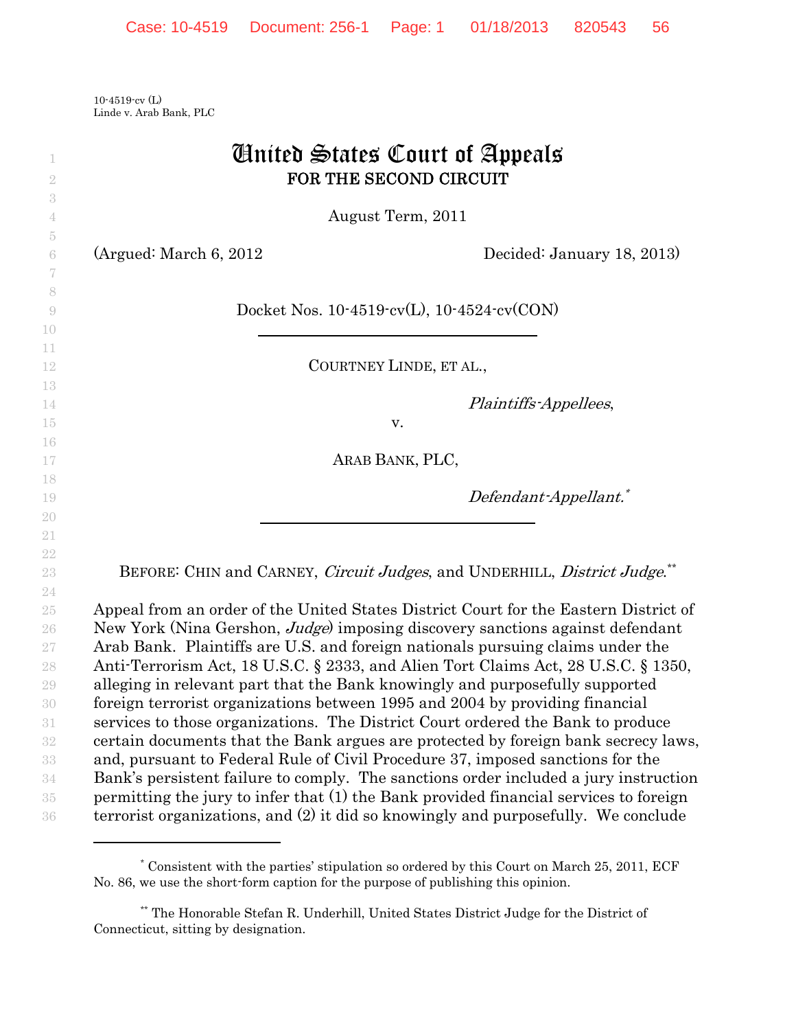10-4519-cv (L) Linde v. Arab Bank, PLC

| $\overline{2}$                   | <b><i>Cinited States Court of Appeals</i></b><br>FOR THE SECOND CIRCUIT                                                                                                                                                                                         |
|----------------------------------|-----------------------------------------------------------------------------------------------------------------------------------------------------------------------------------------------------------------------------------------------------------------|
| 3                                | August Term, 2011                                                                                                                                                                                                                                               |
| 5<br>6<br>7                      | (Argued: March 6, 2012)<br>Decided: January 18, 2013)                                                                                                                                                                                                           |
| 8<br>$\overline{0}$<br>10        | Docket Nos. $10-4519$ cv(L), $10-4524$ cv(CON)                                                                                                                                                                                                                  |
| 11<br>12                         | COURTNEY LINDE, ET AL.,                                                                                                                                                                                                                                         |
| 13<br>14<br>15                   | Plaintiffs-Appellees,<br>v.                                                                                                                                                                                                                                     |
| 16<br>17                         | ARAB BANK, PLC,                                                                                                                                                                                                                                                 |
| 18<br>19<br>20                   | Defendant-Appellant.*                                                                                                                                                                                                                                           |
| 21<br>$22\,$<br>$23\,$           | BEFORE: CHIN and CARNEY, Circuit Judges, and UNDERHILL, District Judge. <sup>**</sup>                                                                                                                                                                           |
| 24<br>$25\,$<br>$26\,$<br>$27\,$ | Appeal from an order of the United States District Court for the Eastern District of<br>New York (Nina Gershon, <i>Judge</i> ) imposing discovery sanctions against defendant<br>Arab Bank. Plaintiffs are U.S. and foreign nationals pursuing claims under the |
| 28<br>$\,29$                     | Anti-Terrorism Act, 18 U.S.C. § 2333, and Alien Tort Claims Act, 28 U.S.C. § 1350,<br>alleging in relevant part that the Bank knowingly and purposefully supported                                                                                              |
| 30                               | foreign terrorist organizations between 1995 and 2004 by providing financial                                                                                                                                                                                    |
| 31<br>$32\,$                     | services to those organizations. The District Court ordered the Bank to produce<br>certain documents that the Bank argues are protected by foreign bank secrecy laws,                                                                                           |
| $33\,$                           | and, pursuant to Federal Rule of Civil Procedure 37, imposed sanctions for the                                                                                                                                                                                  |
| $34\,$                           | Bank's persistent failure to comply. The sanctions order included a jury instruction                                                                                                                                                                            |
| $35\,$                           | permitting the jury to infer that (1) the Bank provided financial services to foreign                                                                                                                                                                           |
| $36\,$                           | terrorist organizations, and (2) it did so knowingly and purposefully. We conclude                                                                                                                                                                              |

<sup>\*</sup> Consistent with the parties' stipulation so ordered by this Court on March 25, 2011, ECF No. 86, we use the short-form caption for the purpose of publishing this opinion.

<sup>\*\*</sup> The Honorable Stefan R. Underhill, United States District Judge for the District of Connecticut, sitting by designation.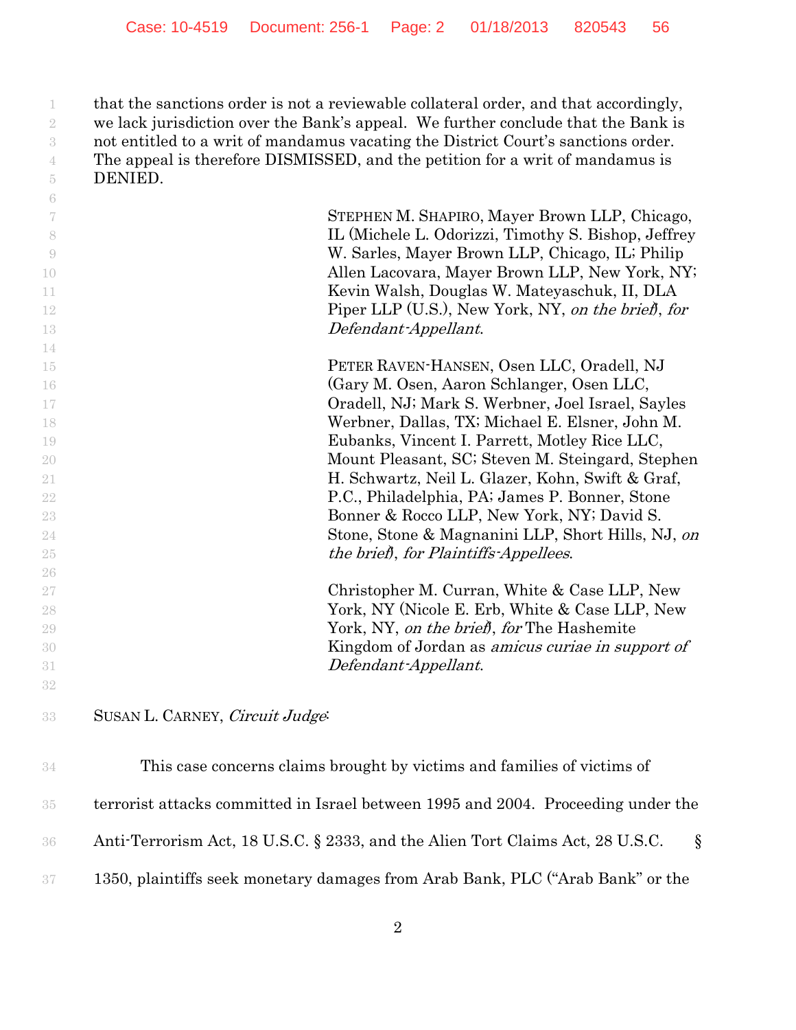that the sanctions order is not a reviewable collateral order, and that accordingly, we lack jurisdiction over the Bank's appeal. We further conclude that the Bank is not entitled to a writ of mandamus vacating the District Court's sanctions order. The appeal is therefore DISMISSED, and the petition for a writ of mandamus is DENIED.

| -6                       |                                                         |
|--------------------------|---------------------------------------------------------|
| $\overline{\mathcal{U}}$ | STEPHEN M. SHAPIRO, Mayer Brown LLP, Chicago,           |
| 8                        | IL (Michele L. Odorizzi, Timothy S. Bishop, Jeffrey     |
| -9                       | W. Sarles, Mayer Brown LLP, Chicago, IL; Philip         |
| 10                       | Allen Lacovara, Mayer Brown LLP, New York, NY;          |
| 11                       | Kevin Walsh, Douglas W. Mateyaschuk, II, DLA            |
| 12                       | Piper LLP (U.S.), New York, NY, on the brief, for       |
| 13                       | Defendant-Appellant.                                    |
| 14                       |                                                         |
| 15                       | PETER RAVEN-HANSEN, Osen LLC, Oradell, NJ               |
| 16                       | (Gary M. Osen, Aaron Schlanger, Osen LLC,               |
| 17                       | Oradell, NJ; Mark S. Werbner, Joel Israel, Sayles       |
| 18                       | Werbner, Dallas, TX; Michael E. Elsner, John M.         |
| 19                       | Eubanks, Vincent I. Parrett, Motley Rice LLC,           |
| 20                       | Mount Pleasant, SC; Steven M. Steingard, Stephen        |
| 21                       | H. Schwartz, Neil L. Glazer, Kohn, Swift & Graf,        |
| 22                       | P.C., Philadelphia, PA; James P. Bonner, Stone          |
| 23                       | Bonner & Rocco LLP, New York, NY; David S.              |
| 24                       | Stone, Stone & Magnanini LLP, Short Hills, NJ, on       |
| $25\,$                   | the brief, for Plaintiffs-Appellees.                    |
| 26                       |                                                         |
| 27                       | Christopher M. Curran, White & Case LLP, New            |
| 28                       | York, NY (Nicole E. Erb, White & Case LLP, New          |
| 29                       | York, NY, on the brief, for The Hashemite               |
| 30                       | Kingdom of Jordan as <i>amicus curiae in support of</i> |
| 31                       | Defendant-Appellant.                                    |
| 32                       |                                                         |
|                          |                                                         |
| 33                       | SUSAN L. CARNEY, Circuit Judge:                         |

| 34  | This case concerns claims brought by victims and families of victims of           |
|-----|-----------------------------------------------------------------------------------|
| 35. | terrorist attacks committed in Israel between 1995 and 2004. Proceeding under the |
| 36. | Anti-Terrorism Act, 18 U.S.C. § 2333, and the Alien Tort Claims Act, 28 U.S.C.    |
| 37  | 1350, plaintiffs seek monetary damages from Arab Bank, PLC ("Arab Bank" or the    |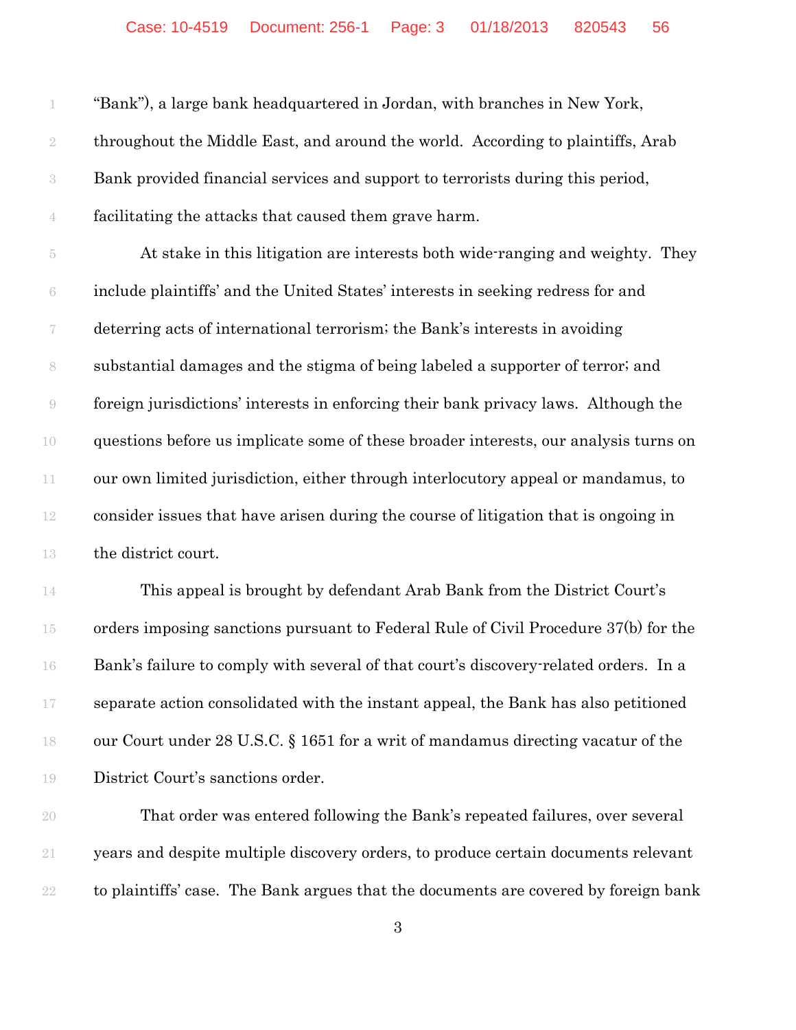| 1              | "Bank"), a large bank headquartered in Jordan, with branches in New York,            |
|----------------|--------------------------------------------------------------------------------------|
| $\sqrt{2}$     | throughout the Middle East, and around the world. According to plaintiffs, Arab      |
| $\sqrt{3}$     | Bank provided financial services and support to terrorists during this period,       |
| $\,4\,$        | facilitating the attacks that caused them grave harm.                                |
| $\overline{5}$ | At stake in this litigation are interests both wide-ranging and weighty. They        |
| $\rm 6$        | include plaintiffs' and the United States' interests in seeking redress for and      |
| 7              | deterring acts of international terrorism; the Bank's interests in avoiding          |
| $\,$ $\,$      | substantial damages and the stigma of being labeled a supporter of terror; and       |
| $\Theta$       | foreign jurisdictions' interests in enforcing their bank privacy laws. Although the  |
| 10             | questions before us implicate some of these broader interests, our analysis turns on |
| $11\,$         | our own limited jurisdiction, either through interlocutory appeal or mandamus, to    |
| $12\,$         | consider issues that have arisen during the course of litigation that is ongoing in  |
| 13             | the district court.                                                                  |
| 14             | This appeal is brought by defendant Arab Bank from the District Court's              |
| 15             | orders imposing sanctions pursuant to Federal Rule of Civil Procedure 37(b) for the  |
| 16             | Bank's failure to comply with several of that court's discovery-related orders. In a |
| 17             | separate action consolidated with the instant appeal, the Bank has also petitioned   |
| 18             | our Court under 28 U.S.C. § 1651 for a writ of mandamus directing vacatur of the     |
| 19             | District Court's sanctions order.                                                    |
| 20             | That order was entered following the Bank's repeated failures, over several          |
| $21\,$         | years and despite multiple discovery orders, to produce certain documents relevant   |
| $22\,$         | to plaintiffs' case. The Bank argues that the documents are covered by foreign bank  |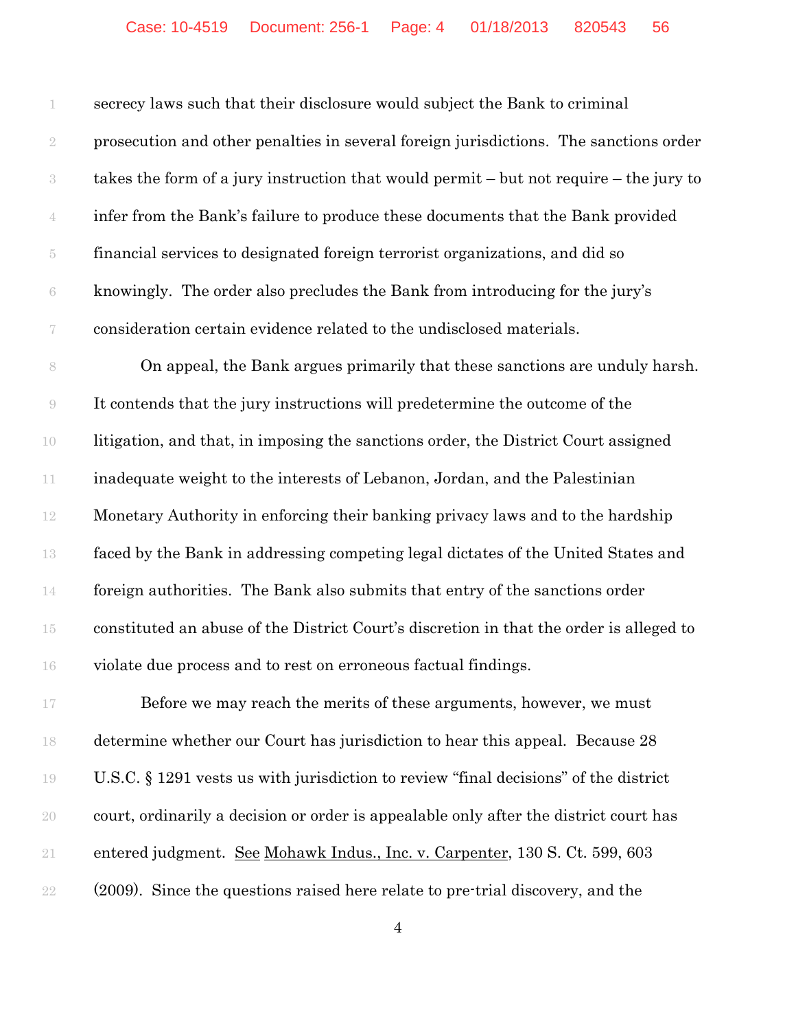secrecy laws such that their disclosure would subject the Bank to criminal prosecution and other penalties in several foreign jurisdictions. The sanctions order takes the form of a jury instruction that would permit – but not require – the jury to infer from the Bank's failure to produce these documents that the Bank provided financial services to designated foreign terrorist organizations, and did so knowingly. The order also precludes the Bank from introducing for the jury's consideration certain evidence related to the undisclosed materials.

8 On appeal, the Bank argues primarily that these sanctions are unduly harsh. It contends that the jury instructions will predetermine the outcome of the litigation, and that, in imposing the sanctions order, the District Court assigned inadequate weight to the interests of Lebanon, Jordan, and the Palestinian Monetary Authority in enforcing their banking privacy laws and to the hardship faced by the Bank in addressing competing legal dictates of the United States and foreign authorities. The Bank also submits that entry of the sanctions order constituted an abuse of the District Court's discretion in that the order is alleged to violate due process and to rest on erroneous factual findings.

**Before we may reach the merits of these arguments, however, we must**  determine whether our Court has jurisdiction to hear this appeal. Because 28 U.S.C. § 1291 vests us with jurisdiction to review "final decisions" of the district court, ordinarily a decision or order is appealable only after the district court has entered judgment. See Mohawk Indus., Inc. v. Carpenter, 130 S. Ct. 599, 603 (2009). Since the questions raised here relate to pre-trial discovery, and the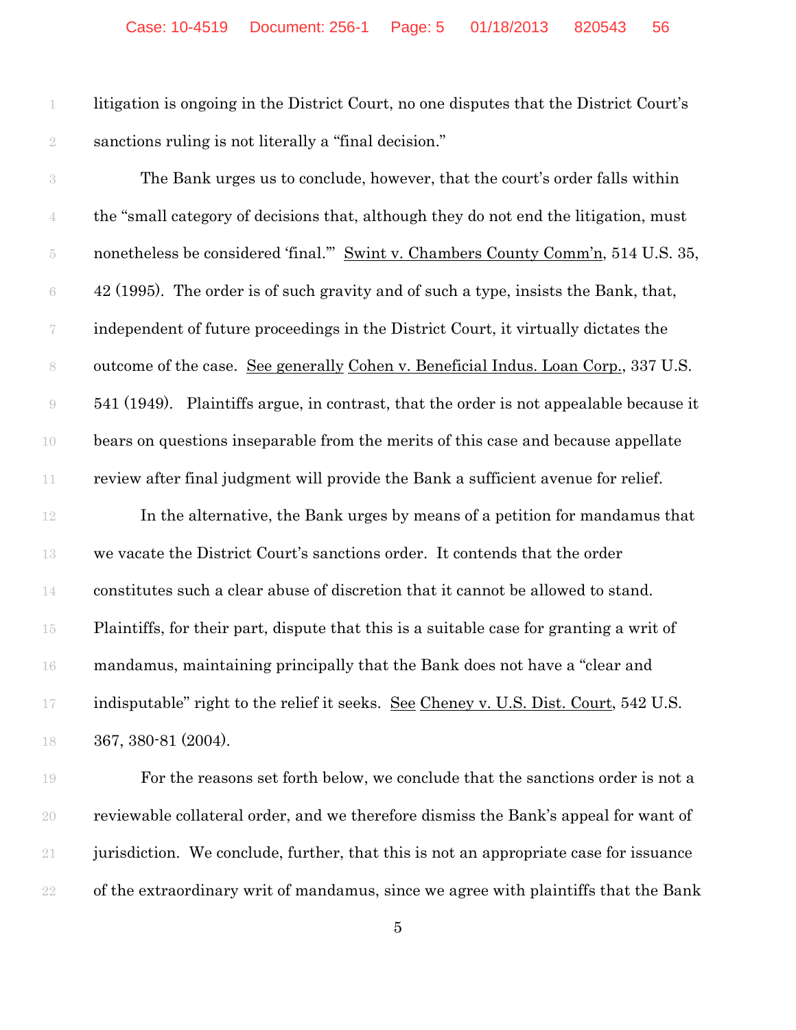litigation is ongoing in the District Court, no one disputes that the District Court's sanctions ruling is not literally a "final decision."

 The Bank urges us to conclude, however, that the court's order falls within the "small category of decisions that, although they do not end the litigation, must 5 nonetheless be considered 'final." Swint v. Chambers County Comm'n, 514 U.S. 35,  $6 \times 42$  (1995). The order is of such gravity and of such a type, insists the Bank, that, independent of future proceedings in the District Court, it virtually dictates the outcome of the case. See generally Cohen v. Beneficial Indus. Loan Corp., 337 U.S. 541 (1949). Plaintiffs argue, in contrast, that the order is not appealable because it bears on questions inseparable from the merits of this case and because appellate review after final judgment will provide the Bank a sufficient avenue for relief.

 In the alternative, the Bank urges by means of a petition for mandamus that we vacate the District Court's sanctions order. It contends that the order constitutes such a clear abuse of discretion that it cannot be allowed to stand. Plaintiffs, for their part, dispute that this is a suitable case for granting a writ of mandamus, maintaining principally that the Bank does not have a "clear and indisputable" right to the relief it seeks. See Cheney v. U.S. Dist. Court, 542 U.S. 367, 380-81 (2004).

 For the reasons set forth below, we conclude that the sanctions order is not a reviewable collateral order, and we therefore dismiss the Bank's appeal for want of jurisdiction. We conclude, further, that this is not an appropriate case for issuance of the extraordinary writ of mandamus, since we agree with plaintiffs that the Bank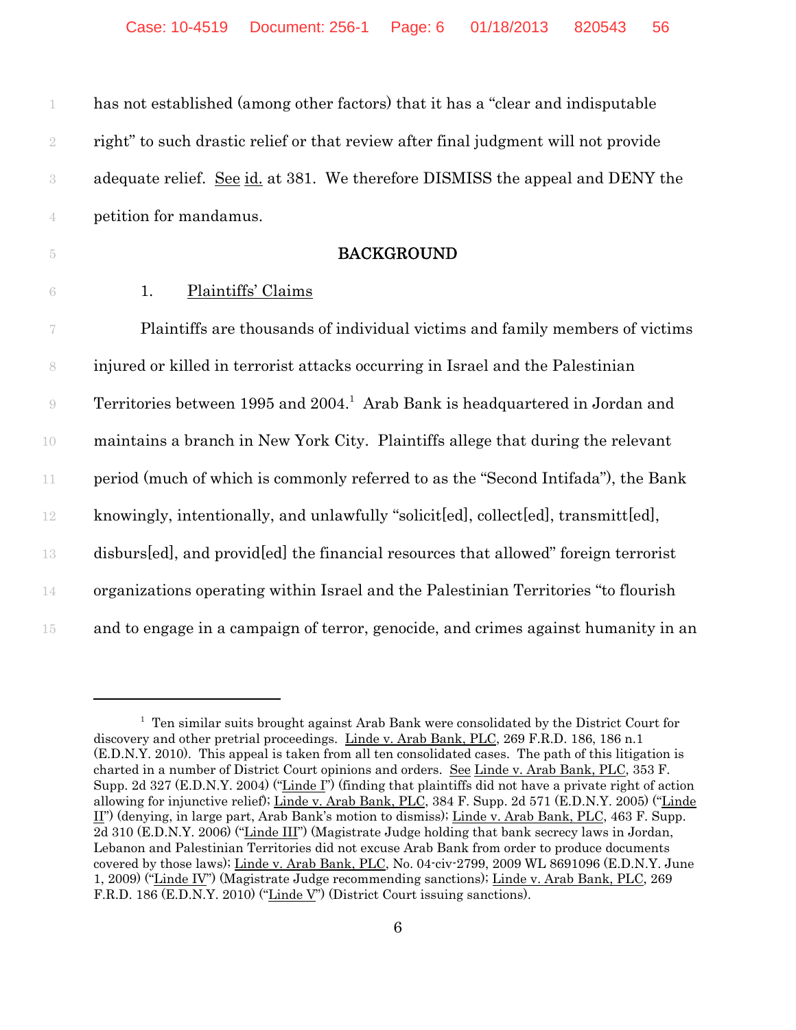| $1\,$              | has not established (among other factors) that it has a "clear and indisputable          |
|--------------------|------------------------------------------------------------------------------------------|
| $\sqrt{2}$         | right" to such drastic relief or that review after final judgment will not provide       |
| $\sqrt{3}$         | adequate relief. See id. at 381. We therefore DISMISS the appeal and DENY the            |
| $\overline{4}$     | petition for mandamus.                                                                   |
| $\tilde{\text{5}}$ | <b>BACKGROUND</b>                                                                        |
| $\sqrt{6}$         | Plaintiffs' Claims<br>1.                                                                 |
| 7                  | Plaintiffs are thousands of individual victims and family members of victims             |
| $\,$ $\,$          | injured or killed in terrorist attacks occurring in Israel and the Palestinian           |
| $\Theta$           | Territories between 1995 and 2004. <sup>1</sup> Arab Bank is headquartered in Jordan and |
| $10\,$             | maintains a branch in New York City. Plaintiffs allege that during the relevant          |
| $11\,$             | period (much of which is commonly referred to as the "Second Intifada"), the Bank        |
| $12\,$             | knowingly, intentionally, and unlawfully "solicited, collected, transmitted,             |
| 13                 | disburs[ed], and provid[ed] the financial resources that allowed" foreign terrorist      |
| 14                 | organizations operating within Israel and the Palestinian Territories "to flourish"      |

15 and to engage in a campaign of terror, genocide, and crimes against humanity in an

<sup>&</sup>lt;sup>1</sup> Ten similar suits brought against Arab Bank were consolidated by the District Court for discovery and other pretrial proceedings. Linde v. Arab Bank, PLC, 269 F.R.D. 186, 186 n.1 (E.D.N.Y. 2010). This appeal is taken from all ten consolidated cases. The path of this litigation is charted in a number of District Court opinions and orders. See Linde v. Arab Bank, PLC, 353 F. Supp. 2d 327 (E.D.N.Y. 2004) ("Linde I") (finding that plaintiffs did not have a private right of action allowing for injunctive relief); Linde v. Arab Bank, PLC, 384 F. Supp. 2d 571 (E.D.N.Y. 2005) ("Linde II") (denying, in large part, Arab Bank's motion to dismiss); Linde v. Arab Bank, PLC, 463 F. Supp. 2d 310 (E.D.N.Y. 2006) ("Linde III") (Magistrate Judge holding that bank secrecy laws in Jordan, Lebanon and Palestinian Territories did not excuse Arab Bank from order to produce documents covered by those laws); Linde v. Arab Bank, PLC, No. 04-civ-2799, 2009 WL 8691096 (E.D.N.Y. June 1, 2009) ("Linde IV") (Magistrate Judge recommending sanctions); Linde v. Arab Bank, PLC, 269 F.R.D. 186 (E.D.N.Y. 2010) ("Linde V") (District Court issuing sanctions).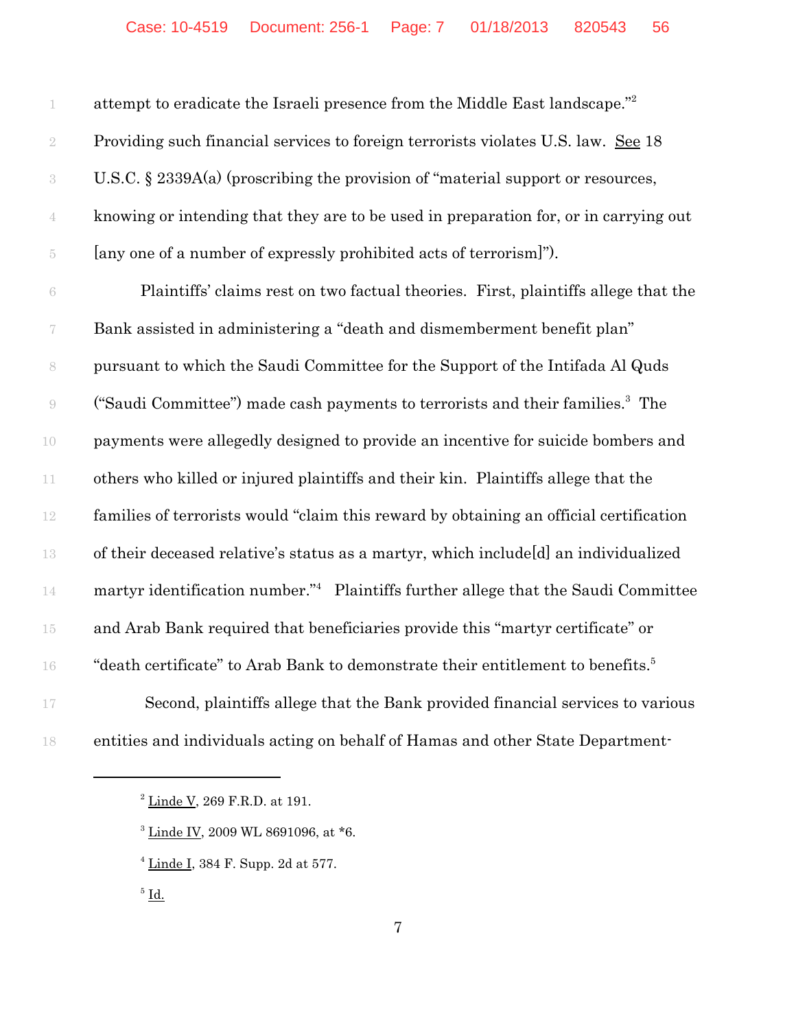| 1                        | attempt to eradicate the Israeli presence from the Middle East landscape."                  |
|--------------------------|---------------------------------------------------------------------------------------------|
| $\sqrt{2}$               | Providing such financial services to foreign terrorists violates U.S. law. See 18           |
| $\,3$                    | U.S.C. $\S$ 2339A(a) (proscribing the provision of "material support or resources,          |
| 4                        | knowing or intending that they are to be used in preparation for, or in carrying out        |
| $\tilde{\text{5}}$       | [any one of a number of expressly prohibited acts of terrorism]").                          |
| $\rm 6$                  | Plaintiffs' claims rest on two factual theories. First, plaintiffs allege that the          |
| $\overline{\mathcal{C}}$ | Bank assisted in administering a "death and dismemberment benefit plan"                     |
| $\,$ $\,$                | pursuant to which the Saudi Committee for the Support of the Intifada Al Quds               |
| $\Theta$                 | ("Saudi Committee") made cash payments to terrorists and their families. <sup>3</sup> The   |
| 10                       | payments were allegedly designed to provide an incentive for suicide bombers and            |
| $11\,$                   | others who killed or injured plaintiffs and their kin. Plaintiffs allege that the           |
| $12\,$                   | families of terrorists would "claim this reward by obtaining an official certification      |
| $13\,$                   | of their deceased relative's status as a martyr, which include[d] an individualized         |
| $14\,$                   | martyr identification number." Plaintiffs further allege that the Saudi Committee           |
| 15                       | and Arab Bank required that beneficiaries provide this "martyr certificate" or              |
| $16\,$                   | "death certificate" to Arab Bank to demonstrate their entitlement to benefits. <sup>5</sup> |
| $17\,$                   | Second, plaintiffs allege that the Bank provided financial services to various              |
| 18                       | entities and individuals acting on behalf of Hamas and other State Department-              |

 $^2$  <u>Linde V,</u> 269 F.R.D. at 191.

Linde IV, 2009 WL 8691096, at  $*$ 6.

 $4 \underline{\text{Line I}}$ , 384 F. Supp. 2d at 577.

 $^5$   $\underline{\mathrm{Id}}$ .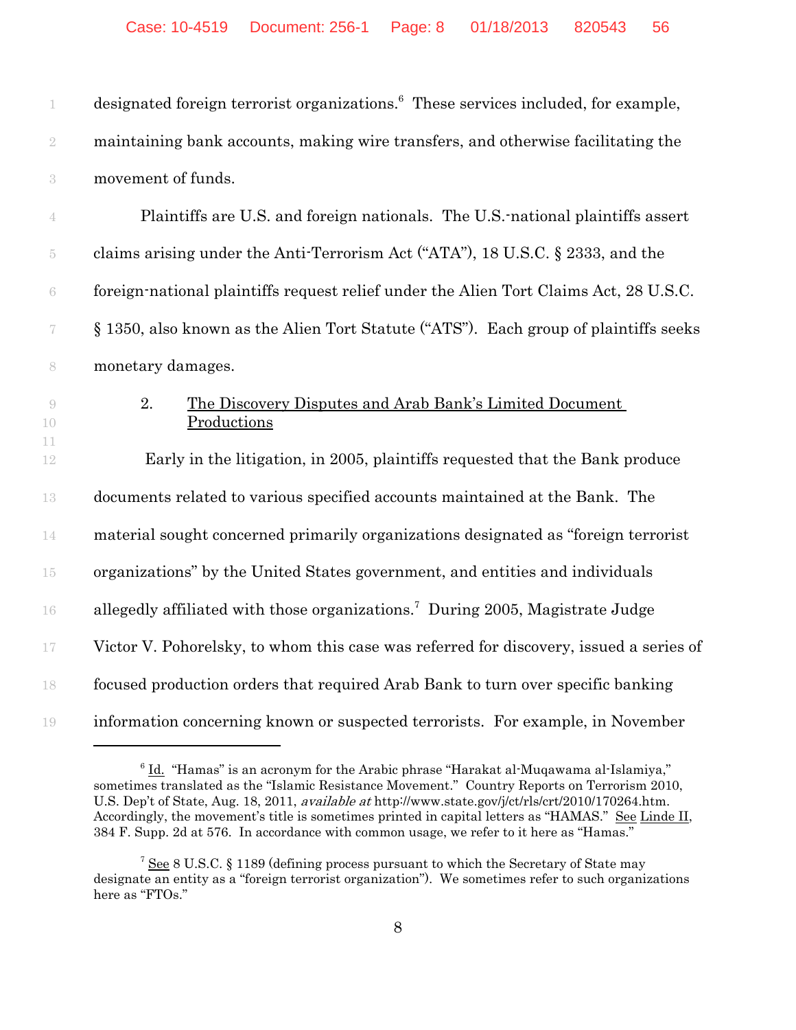| 1                        | designated foreign terrorist organizations. <sup>6</sup> These services included, for example, |
|--------------------------|------------------------------------------------------------------------------------------------|
| $\sqrt{2}$               | maintaining bank accounts, making wire transfers, and otherwise facilitating the               |
| $\sqrt{3}$               | movement of funds.                                                                             |
| $\overline{4}$           | Plaintiffs are U.S. and foreign nationals. The U.S. national plaintiffs assert                 |
| $\overline{5}$           | claims arising under the Anti-Terrorism Act ("ATA"), 18 U.S.C. § 2333, and the                 |
| $\rm 6$                  | foreign-national plaintiffs request relief under the Alien Tort Claims Act, 28 U.S.C.          |
| $\overline{\mathcal{C}}$ | § 1350, also known as the Alien Tort Statute ("ATS"). Each group of plaintiffs seeks           |
| 8                        | monetary damages.                                                                              |
| $\Theta$<br>10           | 2.<br>The Discovery Disputes and Arab Bank's Limited Document<br>Productions                   |
| 11<br>12                 | Early in the litigation, in 2005, plaintiffs requested that the Bank produce                   |
| 13                       | documents related to various specified accounts maintained at the Bank. The                    |
| 14                       | material sought concerned primarily organizations designated as "foreign terrorist"            |
| 15                       | organizations" by the United States government, and entities and individuals                   |
| 16                       | allegedly affiliated with those organizations. <sup>7</sup> During 2005, Magistrate Judge      |
| $17\,$                   | Victor V. Pohorelsky, to whom this case was referred for discovery, issued a series of         |
| 18                       | focused production orders that required Arab Bank to turn over specific banking                |
| 19                       | information concerning known or suspected terrorists. For example, in November                 |

 $6$   $\underline{\text{Id.}}$  "Hamas" is an acronym for the Arabic phrase "Harakat al-Muqawama al-Islamiya," sometimes translated as the "Islamic Resistance Movement." Country Reports on Terrorism 2010, U.S. Dep't of State, Aug. 18, 2011, available at http://www.state.gov/j/ct/rls/crt/2010/170264.htm. Accordingly, the movement's title is sometimes printed in capital letters as "HAMAS." See Linde II, 384 F. Supp. 2d at 576. In accordance with common usage, we refer to it here as "Hamas."

<sup>&</sup>lt;sup>7</sup> See 8 U.S.C. § 1189 (defining process pursuant to which the Secretary of State may designate an entity as a "foreign terrorist organization"). We sometimes refer to such organizations here as "FTOs."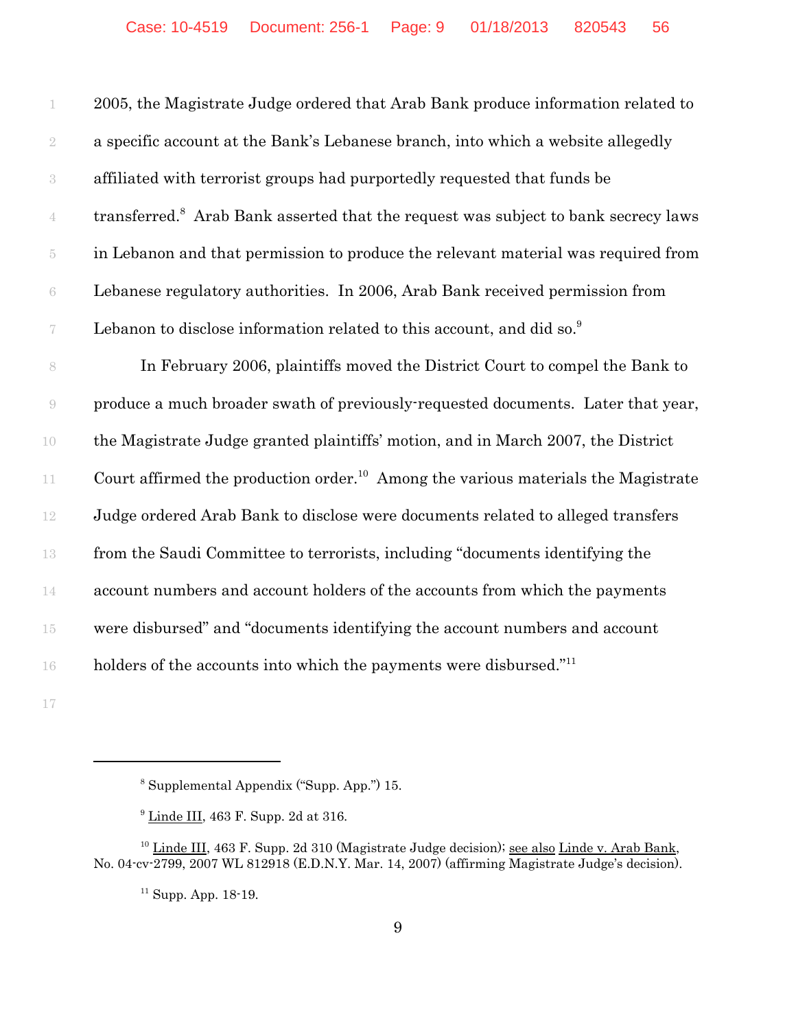|                          | 2005, the Magistrate Judge ordered that Arab Bank produce information related to               |
|--------------------------|------------------------------------------------------------------------------------------------|
| $\sqrt{2}$               | a specific account at the Bank's Lebanese branch, into which a website allegedly               |
| $\sqrt{3}$               | affiliated with terrorist groups had purportedly requested that funds be                       |
|                          | transferred. <sup>8</sup> Arab Bank asserted that the request was subject to bank secrecy laws |
| $\tilde{\text{5}}$       | in Lebanon and that permission to produce the relevant material was required from              |
| $\rm 6$                  | Lebanese regulatory authorities. In 2006, Arab Bank received permission from                   |
| $\overline{\mathcal{C}}$ | Lebanon to disclose information related to this account, and did so. <sup>9</sup>              |
| $\,$ $\,$                | In February 2006, plaintiffs moved the District Court to compel the Bank to                    |
| $\Theta$                 | produce a much broader swath of previously-requested documents. Later that year,               |
| 10                       | the Magistrate Judge granted plaintiffs' motion, and in March 2007, the District               |
| 11                       | Court affirmed the production order. <sup>10</sup> Among the various materials the Magistrate  |
| 12                       | Judge ordered Arab Bank to disclose were documents related to alleged transfers                |
| 13                       | from the Saudi Committee to terrorists, including "documents identifying the                   |
| 14                       | account numbers and account holders of the accounts from which the payments                    |
| $15\,$                   | were disbursed" and "documents identifying the account numbers and account                     |
| 16                       | holders of the accounts into which the payments were disbursed." <sup>11</sup>                 |
|                          |                                                                                                |

Supplemental Appendix ("Supp. App.") 15.

 $9 \underline{\text{Line III}}$ , 463 F. Supp. 2d at 316.

 Linde III, 463 F. Supp. 2d 310 (Magistrate Judge decision); see also Linde v. Arab Bank, No. 04-cv-2799, 2007 WL 812918 (E.D.N.Y. Mar. 14, 2007) (affirming Magistrate Judge's decision).

Supp. App. 18-19.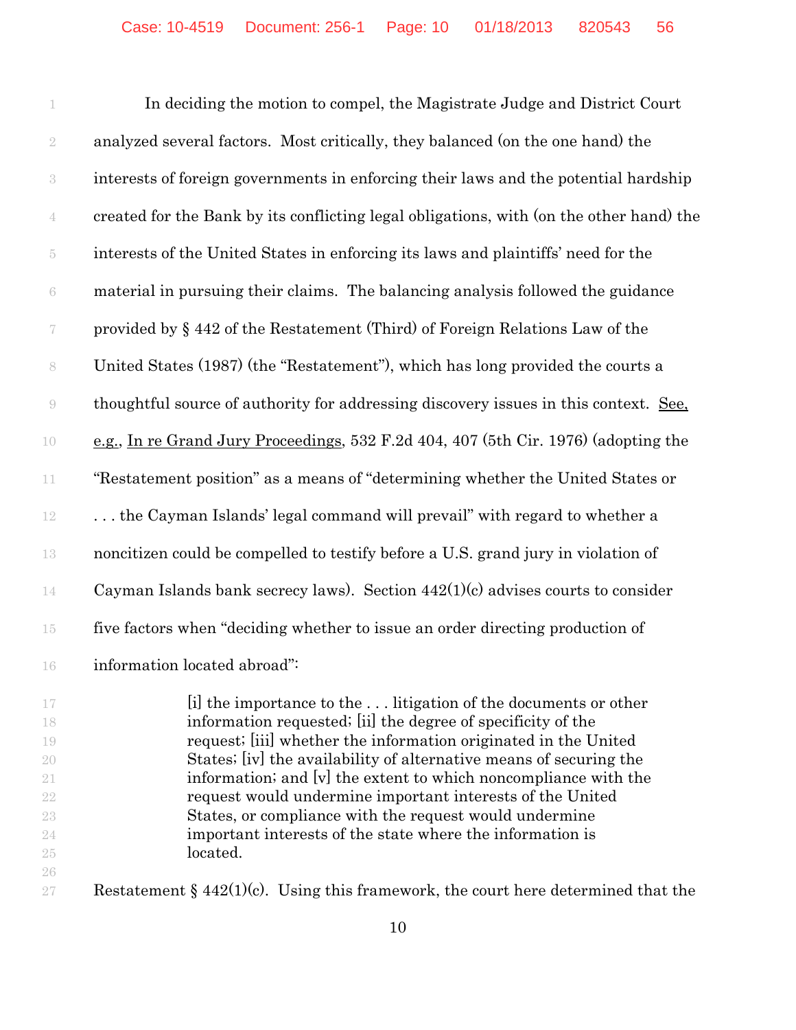1 In deciding the motion to compel, the Magistrate Judge and District Court analyzed several factors. Most critically, they balanced (on the one hand) the interests of foreign governments in enforcing their laws and the potential hardship created for the Bank by its conflicting legal obligations, with (on the other hand) the interests of the United States in enforcing its laws and plaintiffs' need for the material in pursuing their claims. The balancing analysis followed the guidance provided by § 442 of the Restatement (Third) of Foreign Relations Law of the United States (1987) (the "Restatement"), which has long provided the courts a thoughtful source of authority for addressing discovery issues in this context. See, e.g., In re Grand Jury Proceedings, 532 F.2d 404, 407 (5th Cir. 1976) (adopting the "Restatement position" as a means of "determining whether the United States or . . . the Cayman Islands' legal command will prevail" with regard to whether a noncitizen could be compelled to testify before a U.S. grand jury in violation of Cayman Islands bank secrecy laws). Section 442(1)(c) advises courts to consider five factors when "deciding whether to issue an order directing production of 16 information located abroad":

 [i] the importance to the . . . litigation of the documents or other information requested; [ii] the degree of specificity of the request; [iii] whether the information originated in the United States; [iv] the availability of alternative means of securing the 21 information; and  $\vert v \vert$  the extent to which noncompliance with the request would undermine important interests of the United States, or compliance with the request would undermine important interests of the state where the information is located. 

27 Restatement § 442(1)(c). Using this framework, the court here determined that the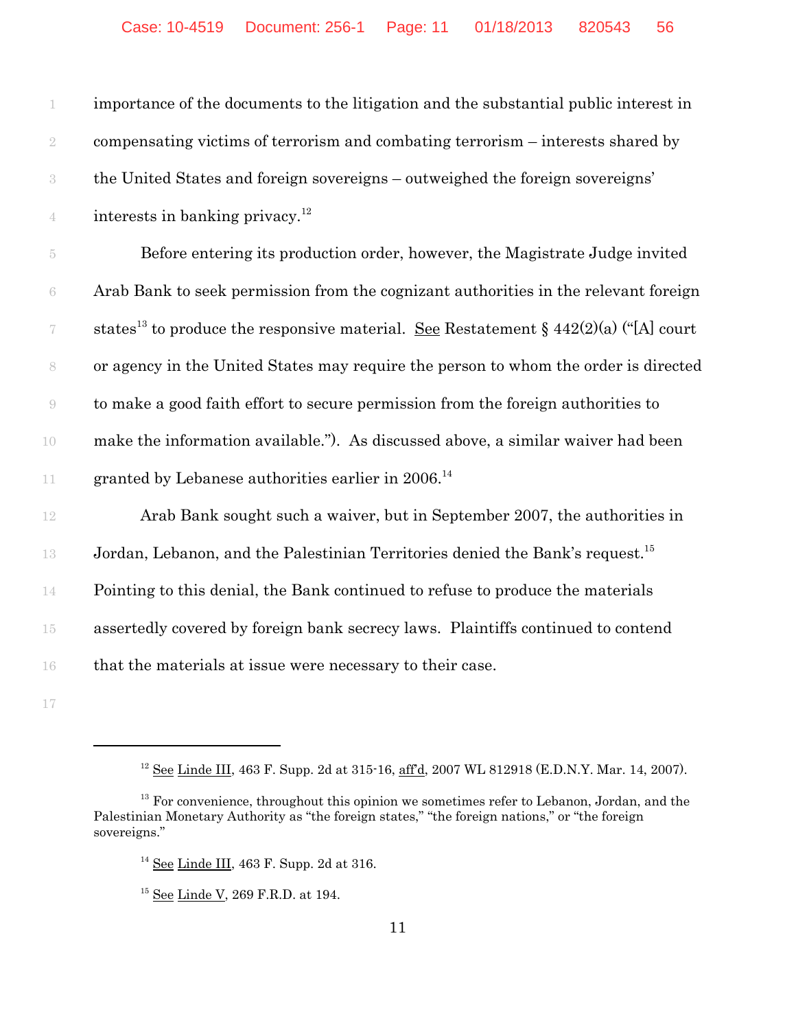| 1                        | importance of the documents to the litigation and the substantial public interest in                    |
|--------------------------|---------------------------------------------------------------------------------------------------------|
| $\sqrt{2}$               | compensating victims of terrorism and combating terrorism – interests shared by                         |
| $\sqrt{3}$               | the United States and foreign sovereigns - outweighed the foreign sovereigns'                           |
| $\overline{4}$           | interests in banking privacy. <sup>12</sup>                                                             |
| $\overline{5}$           | Before entering its production order, however, the Magistrate Judge invited                             |
| $\rm 6$                  | Arab Bank to seek permission from the cognizant authorities in the relevant foreign                     |
| $\overline{\mathcal{C}}$ | states <sup>13</sup> to produce the responsive material. <u>See</u> Restatement § 442(2)(a) ("[A] court |
| $\,$ $\,$                | or agency in the United States may require the person to whom the order is directed                     |
| $\rm{O}$                 | to make a good faith effort to secure permission from the foreign authorities to                        |
| 10                       | make the information available."). As discussed above, a similar waiver had been                        |
| 11                       | granted by Lebanese authorities earlier in $2006$ . <sup>14</sup>                                       |
| 12                       | Arab Bank sought such a waiver, but in September 2007, the authorities in                               |
| 13                       | Jordan, Lebanon, and the Palestinian Territories denied the Bank's request. <sup>15</sup>               |
| 14                       | Pointing to this denial, the Bank continued to refuse to produce the materials                          |
| $15\,$                   | assertedly covered by foreign bank secrecy laws. Plaintiffs continued to contend                        |
| 16                       | that the materials at issue were necessary to their case.                                               |
| 17                       |                                                                                                         |

<sup>&</sup>lt;sup>12</sup> See Linde III, 463 F. Supp. 2d at 315-16, <u>aff'd</u>, 2007 WL 812918 (E.D.N.Y. Mar. 14, 2007).

 For convenience, throughout this opinion we sometimes refer to Lebanon, Jordan, and the Palestinian Monetary Authority as "the foreign states," "the foreign nations," or "the foreign sovereigns."

See Linde III, 463 F. Supp. 2d at 316.

<sup>&</sup>lt;sup>15</sup> <u>See Linde V</u>, 269 F.R.D. at 194.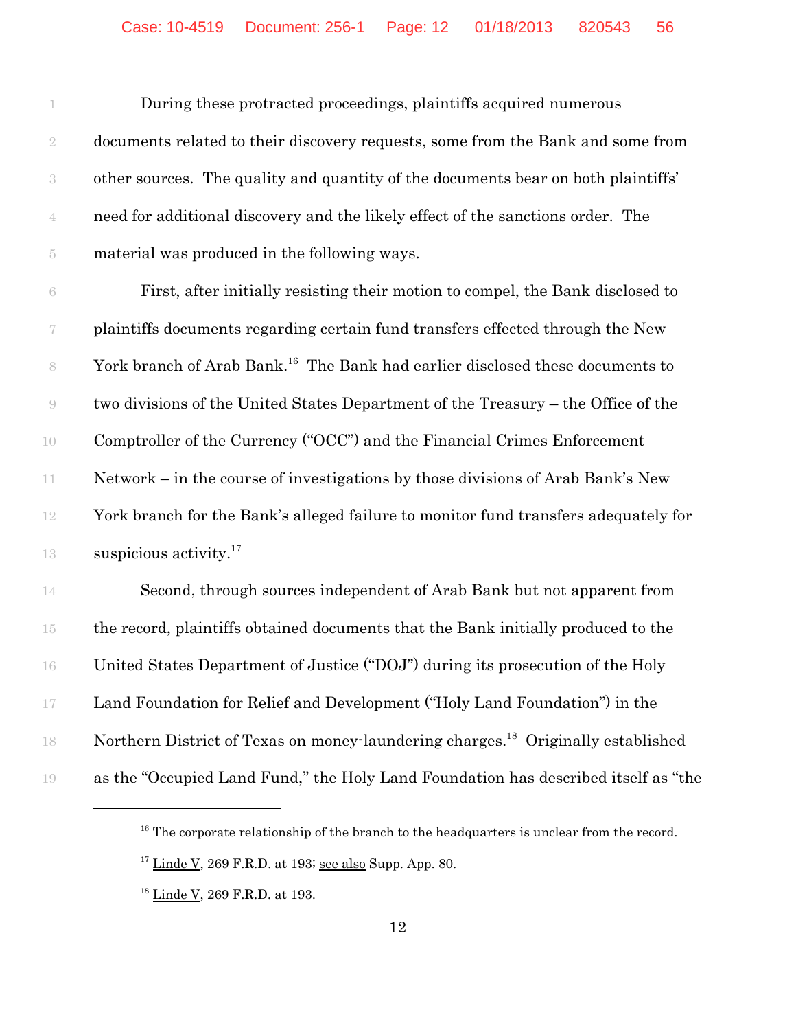During these protracted proceedings, plaintiffs acquired numerous documents related to their discovery requests, some from the Bank and some from other sources. The quality and quantity of the documents bear on both plaintiffs' need for additional discovery and the likely effect of the sanctions order. The material was produced in the following ways.

 First, after initially resisting their motion to compel, the Bank disclosed to plaintiffs documents regarding certain fund transfers effected through the New 8 York branch of Arab Bank.<sup>16</sup> The Bank had earlier disclosed these documents to two divisions of the United States Department of the Treasury – the Office of the Comptroller of the Currency ("OCC") and the Financial Crimes Enforcement Network – in the course of investigations by those divisions of Arab Bank's New York branch for the Bank's alleged failure to monitor fund transfers adequately for 13 suspicious activity.<sup>17</sup>

 Second, through sources independent of Arab Bank but not apparent from the record, plaintiffs obtained documents that the Bank initially produced to the United States Department of Justice ("DOJ") during its prosecution of the Holy Land Foundation for Relief and Development ("Holy Land Foundation") in the 18 Northern District of Texas on money-laundering charges.<sup>18</sup> Originally established as the "Occupied Land Fund," the Holy Land Foundation has described itself as "the

<sup>&</sup>lt;sup>16</sup> The corporate relationship of the branch to the headquarters is unclear from the record.

Linde V, 269 F.R.D. at 193; see also Supp. App. 80.

<sup>&</sup>lt;sup>18</sup> Linde V, 269 F.R.D. at 193.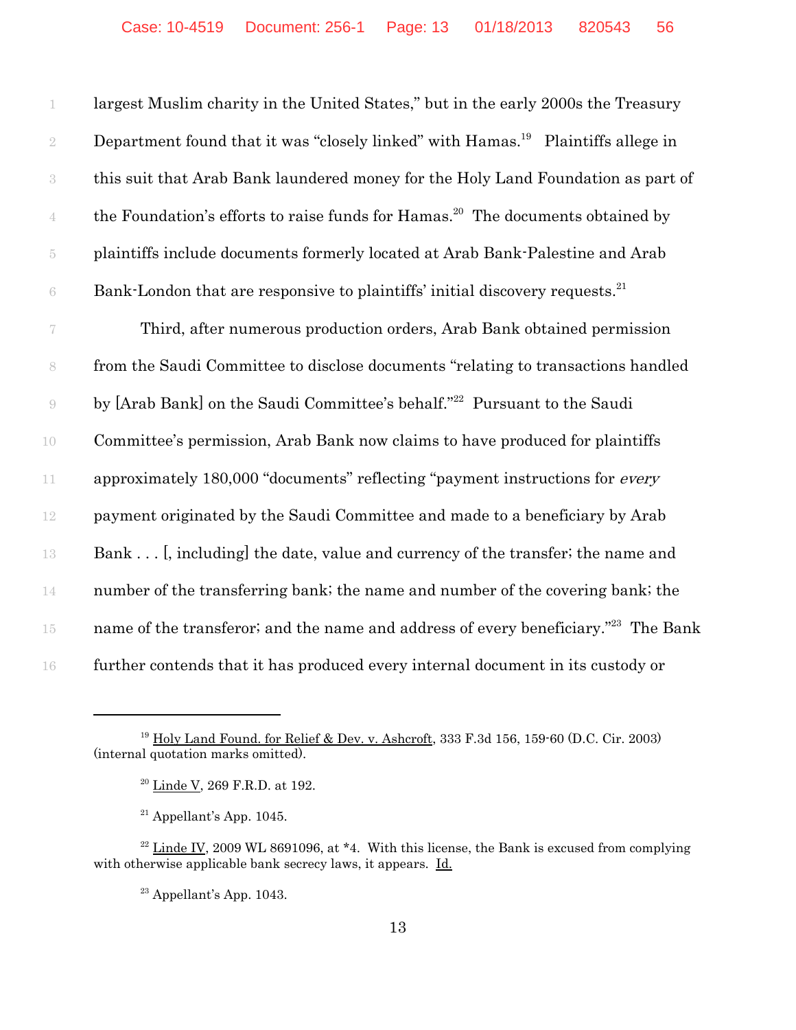largest Muslim charity in the United States," but in the early 2000s the Treasury 2 Department found that it was "closely linked" with Hamas.<sup>19</sup> Plaintiffs allege in this suit that Arab Bank laundered money for the Holy Land Foundation as part of the Foundation's efforts to raise funds for Hamas.<sup>20</sup> The documents obtained by plaintiffs include documents formerly located at Arab Bank-Palestine and Arab Bank-London that are responsive to plaintiffs' initial discovery requests.<sup>21</sup>

7 Third, after numerous production orders, Arab Bank obtained permission 8 from the Saudi Committee to disclose documents "relating to transactions handled 9 by [Arab Bank] on the Saudi Committee's behalf."<sup>22</sup> Pursuant to the Saudi 10 Committee's permission, Arab Bank now claims to have produced for plaintiffs 11 approximately 180,000 "documents" reflecting "payment instructions for *every* 12 payment originated by the Saudi Committee and made to a beneficiary by Arab 13 Bank . . . [, including] the date, value and currency of the transfer; the name and 14 number of the transferring bank; the name and number of the covering bank; the  $15$  name of the transferor; and the name and address of every beneficiary."<sup>23</sup> The Bank 16 further contends that it has produced every internal document in its custody or

 $23$  Appellant's App. 1043.

<sup>&</sup>lt;sup>19</sup> Holy Land Found, for Relief & Dev. v. Ashcroft, 333 F.3d 156, 159-60 (D.C. Cir. 2003) (internal quotation marks omitted).

<sup>20</sup> Linde V, 269 F.R.D. at 192.

 $21$  Appellant's App. 1045.

 $22$  Linde IV, 2009 WL 8691096, at  $*4$ . With this license, the Bank is excused from complying with otherwise applicable bank secrecy laws, it appears. Id.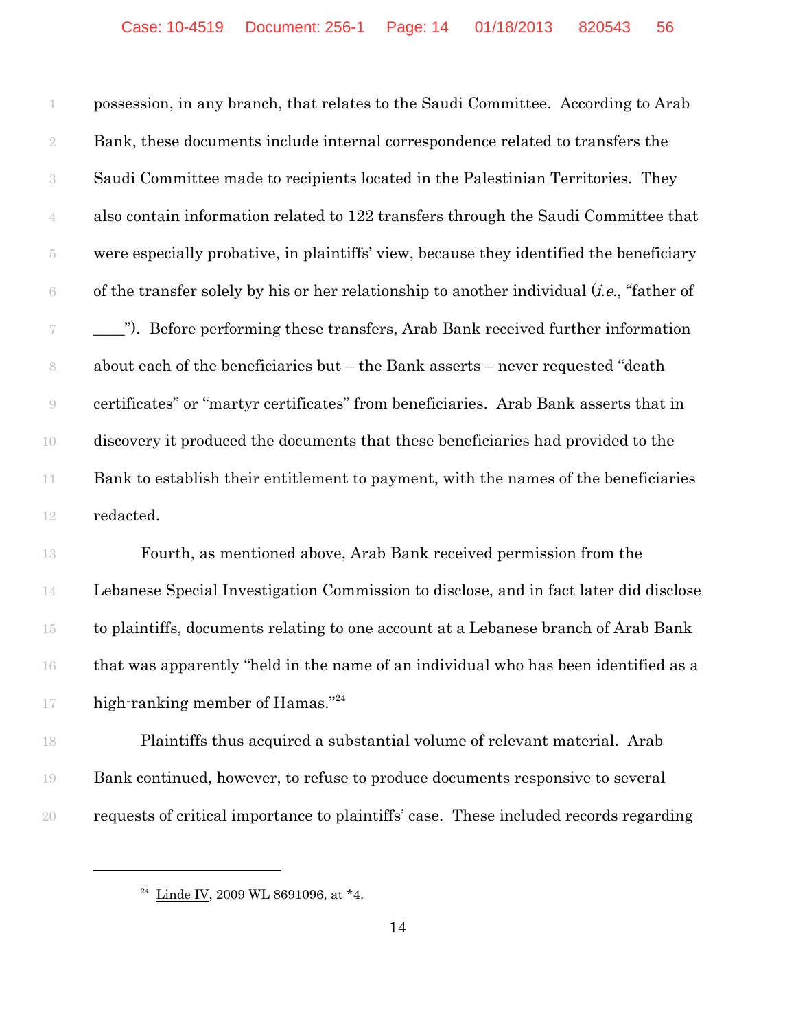possession, in any branch, that relates to the Saudi Committee. According to Arab Bank, these documents include internal correspondence related to transfers the Saudi Committee made to recipients located in the Palestinian Territories. They also contain information related to 122 transfers through the Saudi Committee that were especially probative, in plaintiffs' view, because they identified the beneficiary of the transfer solely by his or her relationship to another individual (*i.e.*, "father of \_\_\_\_"). Before performing these transfers, Arab Bank received further information about each of the beneficiaries but – the Bank asserts – never requested "death certificates" or "martyr certificates" from beneficiaries. Arab Bank asserts that in discovery it produced the documents that these beneficiaries had provided to the 11 Bank to establish their entitlement to payment, with the names of the beneficiaries redacted.

 Fourth, as mentioned above, Arab Bank received permission from the Lebanese Special Investigation Commission to disclose, and in fact later did disclose to plaintiffs, documents relating to one account at a Lebanese branch of Arab Bank that was apparently "held in the name of an individual who has been identified as a 17 high-ranking member of Hamas."<sup>24</sup>

 Plaintiffs thus acquired a substantial volume of relevant material. Arab Bank continued, however, to refuse to produce documents responsive to several requests of critical importance to plaintiffs' case. These included records regarding

<sup>&</sup>lt;sup>24</sup> Linde IV, 2009 WL 8691096, at  $*4$ .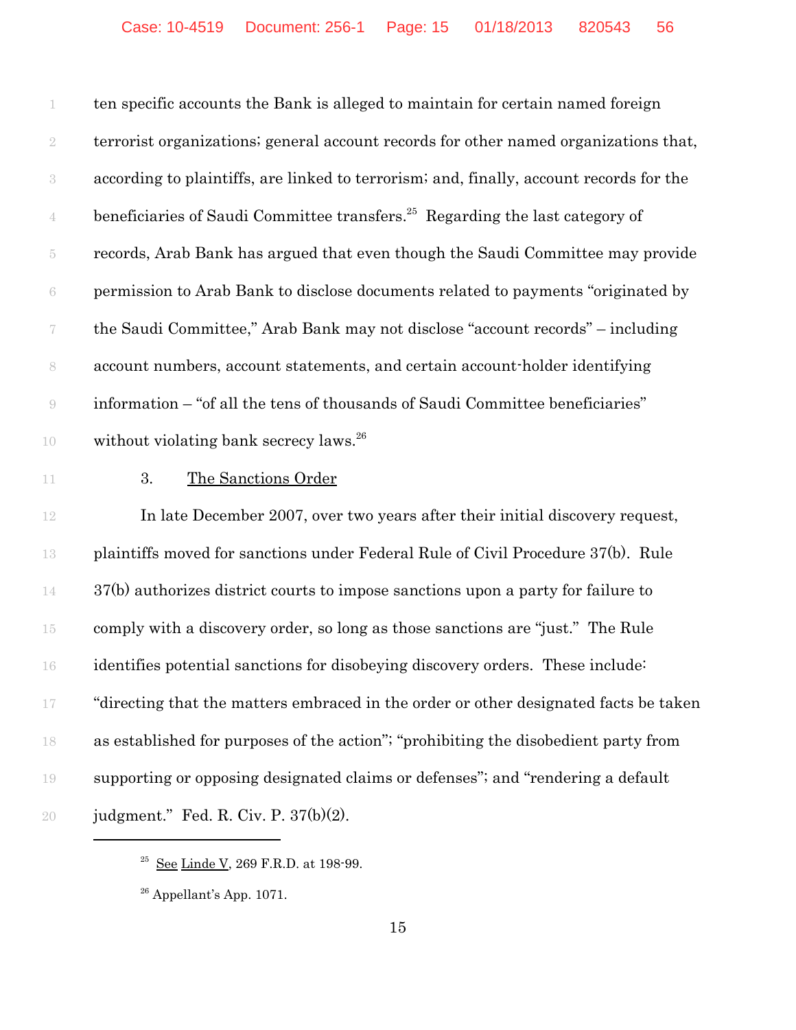ten specific accounts the Bank is alleged to maintain for certain named foreign terrorist organizations; general account records for other named organizations that, according to plaintiffs, are linked to terrorism; and, finally, account records for the  $\frac{4}{4}$  beneficiaries of Saudi Committee transfers.<sup>25</sup> Regarding the last category of records, Arab Bank has argued that even though the Saudi Committee may provide permission to Arab Bank to disclose documents related to payments "originated by the Saudi Committee," Arab Bank may not disclose "account records" – including account numbers, account statements, and certain account-holder identifying information – "of all the tens of thousands of Saudi Committee beneficiaries" 10 without violating bank secrecy laws.<sup>26</sup>

11 3. The Sanctions Order

 In late December 2007, over two years after their initial discovery request, plaintiffs moved for sanctions under Federal Rule of Civil Procedure 37(b). Rule 37(b) authorizes district courts to impose sanctions upon a party for failure to comply with a discovery order, so long as those sanctions are "just." The Rule identifies potential sanctions for disobeying discovery orders. These include: "directing that the matters embraced in the order or other designated facts be taken as established for purposes of the action"; "prohibiting the disobedient party from supporting or opposing designated claims or defenses"; and "rendering a default judgment." Fed. R. Civ. P. 37(b)(2).

 $^{25}$  See Linde V, 269 F.R.D. at 198-99.

Appellant's App. 1071.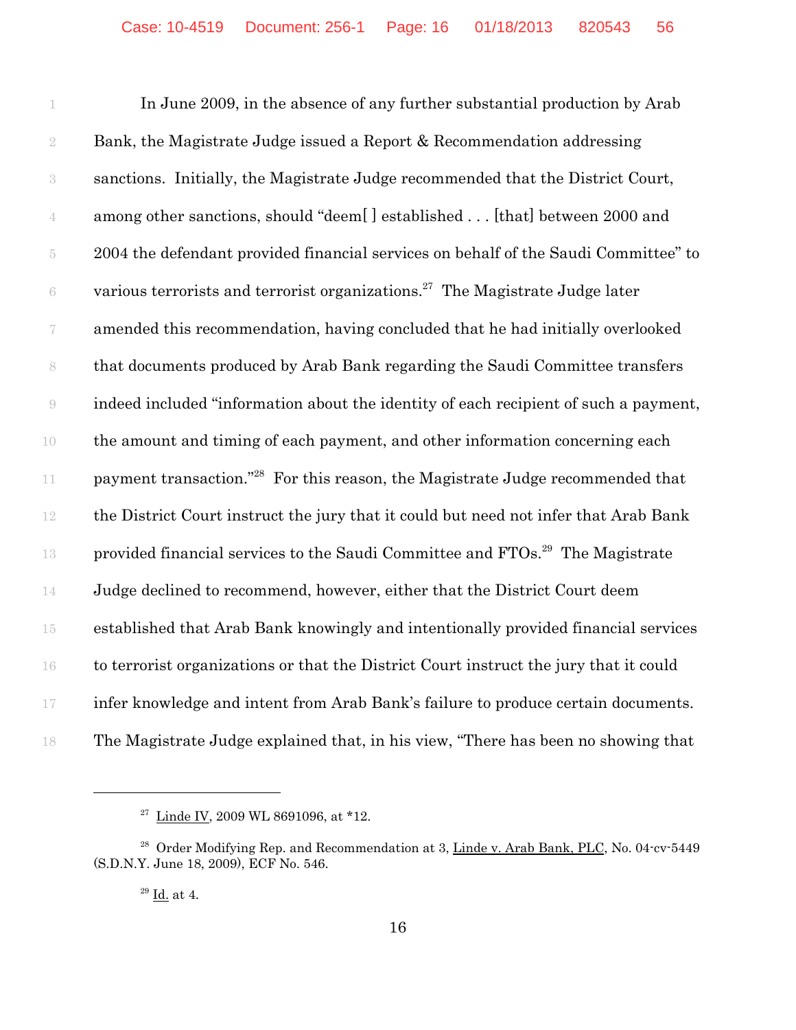In June 2009, in the absence of any further substantial production by Arab Bank, the Magistrate Judge issued a Report & Recommendation addressing sanctions. Initially, the Magistrate Judge recommended that the District Court, among other sanctions, should "deem[ ] established . . . [that] between 2000 and 2004 the defendant provided financial services on behalf of the Saudi Committee" to  $\delta$  various terrorists and terrorist organizations.<sup>27</sup> The Magistrate Judge later amended this recommendation, having concluded that he had initially overlooked that documents produced by Arab Bank regarding the Saudi Committee transfers indeed included "information about the identity of each recipient of such a payment, the amount and timing of each payment, and other information concerning each 11 payment transaction."<sup>28</sup> For this reason, the Magistrate Judge recommended that the District Court instruct the jury that it could but need not infer that Arab Bank 13 provided financial services to the Saudi Committee and  $FTOs.<sup>29</sup>$  The Magistrate Judge declined to recommend, however, either that the District Court deem established that Arab Bank knowingly and intentionally provided financial services to terrorist organizations or that the District Court instruct the jury that it could infer knowledge and intent from Arab Bank's failure to produce certain documents. The Magistrate Judge explained that, in his view, "There has been no showing that

<sup>&</sup>lt;sup>27</sup> Linde IV, 2009 WL 8691096, at \*12.

<sup>&</sup>lt;sup>28</sup> Order Modifying Rep. and Recommendation at 3, Linde v. Arab Bank, PLC, No. 04-cv-5449 (S.D.N.Y. June 18, 2009), ECF No. 546.

Id. at 4.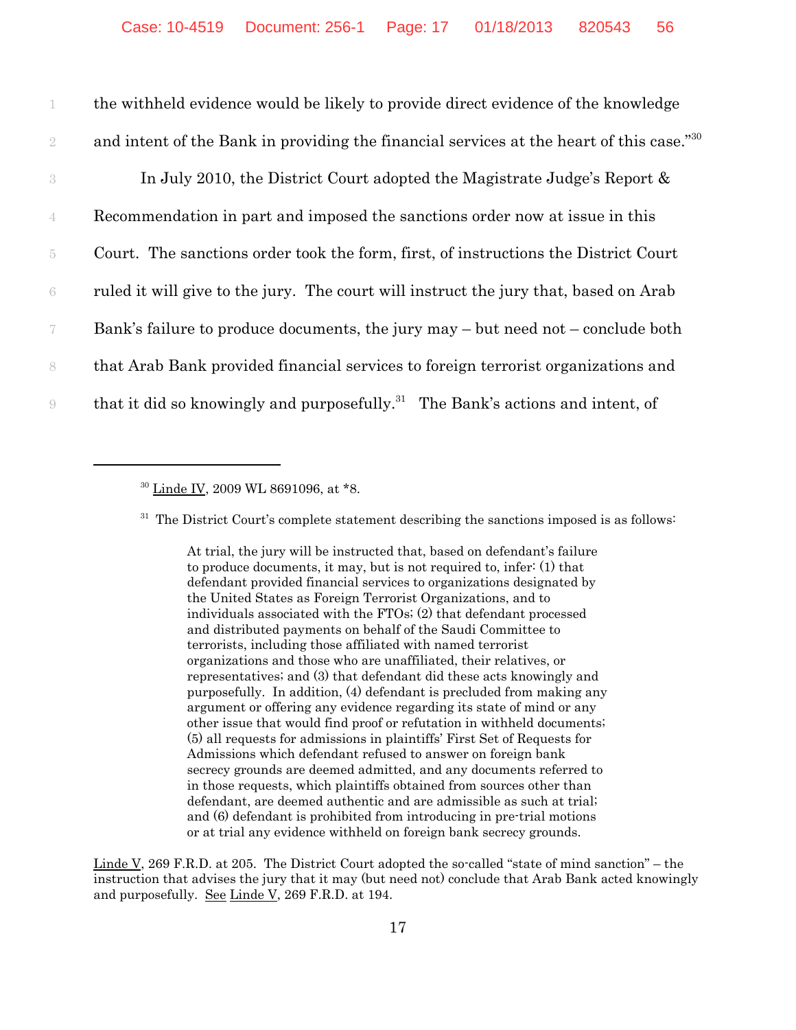the withheld evidence would be likely to provide direct evidence of the knowledge 2 and intent of the Bank in providing the financial services at the heart of this case."<sup>30</sup> In July 2010, the District Court adopted the Magistrate Judge's Report & Recommendation in part and imposed the sanctions order now at issue in this Court. The sanctions order took the form, first, of instructions the District Court ruled it will give to the jury. The court will instruct the jury that, based on Arab Bank's failure to produce documents, the jury may – but need not – conclude both that Arab Bank provided financial services to foreign terrorist organizations and that it did so knowingly and purposefully.<sup>31</sup> The Bank's actions and intent, of

 $31$  The District Court's complete statement describing the sanctions imposed is as follows:

At trial, the jury will be instructed that, based on defendant's failure to produce documents, it may, but is not required to, infer: (1) that defendant provided financial services to organizations designated by the United States as Foreign Terrorist Organizations, and to individuals associated with the FTOs; (2) that defendant processed and distributed payments on behalf of the Saudi Committee to terrorists, including those affiliated with named terrorist organizations and those who are unaffiliated, their relatives, or representatives; and (3) that defendant did these acts knowingly and purposefully. In addition, (4) defendant is precluded from making any argument or offering any evidence regarding its state of mind or any other issue that would find proof or refutation in withheld documents; (5) all requests for admissions in plaintiffs' First Set of Requests for Admissions which defendant refused to answer on foreign bank secrecy grounds are deemed admitted, and any documents referred to in those requests, which plaintiffs obtained from sources other than defendant, are deemed authentic and are admissible as such at trial; and (6) defendant is prohibited from introducing in pre-trial motions or at trial any evidence withheld on foreign bank secrecy grounds.

Linde V, 269 F.R.D. at 205. The District Court adopted the so-called "state of mind sanction" – the instruction that advises the jury that it may (but need not) conclude that Arab Bank acted knowingly and purposefully. See Linde V, 269 F.R.D. at 194.

<sup>&</sup>lt;sup>30</sup> Linde IV, 2009 WL 8691096, at \*8.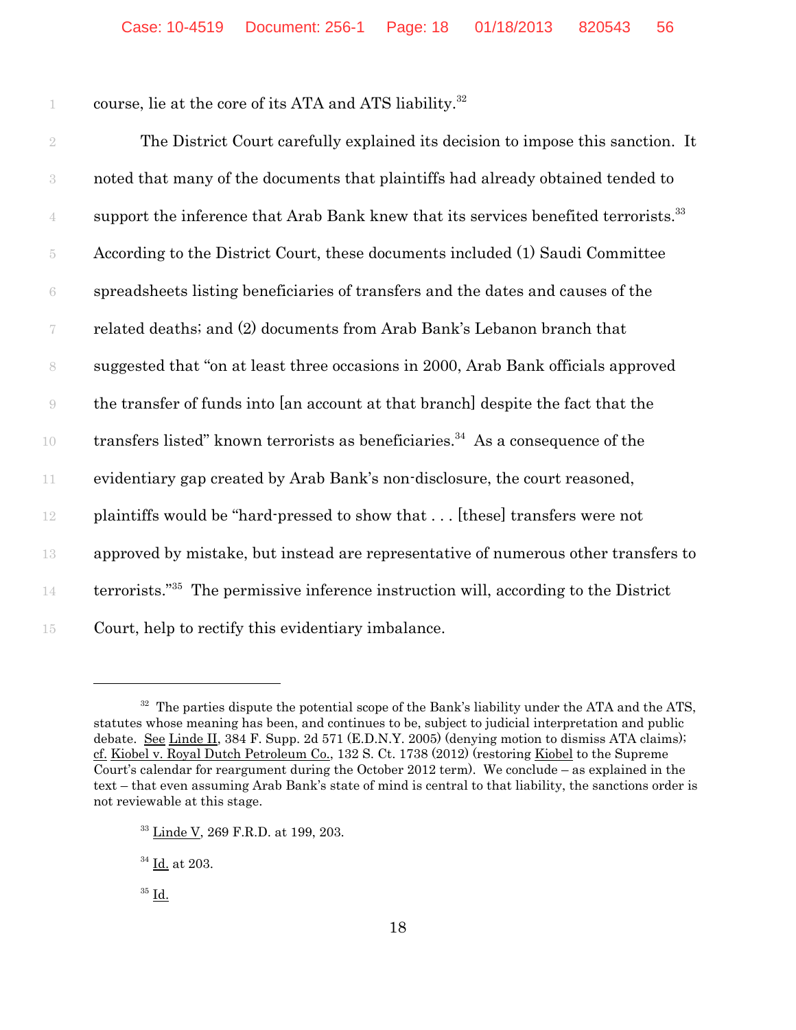1 course, lie at the core of its ATA and ATS liability.<sup>32</sup>

 The District Court carefully explained its decision to impose this sanction. It noted that many of the documents that plaintiffs had already obtained tended to support the inference that Arab Bank knew that its services benefited terrorists.<sup>33</sup> According to the District Court, these documents included (1) Saudi Committee spreadsheets listing beneficiaries of transfers and the dates and causes of the related deaths; and (2) documents from Arab Bank's Lebanon branch that suggested that "on at least three occasions in 2000, Arab Bank officials approved the transfer of funds into [an account at that branch] despite the fact that the transfers listed" known terrorists as beneficiaries.<sup>34</sup> As a consequence of the evidentiary gap created by Arab Bank's non-disclosure, the court reasoned, plaintiffs would be "hard-pressed to show that . . . [these] transfers were not approved by mistake, but instead are representative of numerous other transfers to terrorists."35 14 The permissive inference instruction will, according to the District Court, help to rectify this evidentiary imbalance.

 $32$  The parties dispute the potential scope of the Bank's liability under the ATA and the ATS, statutes whose meaning has been, and continues to be, subject to judicial interpretation and public debate. See Linde II, 384 F. Supp. 2d 571 (E.D.N.Y. 2005) (denying motion to dismiss ATA claims); cf. Kiobel v. Royal Dutch Petroleum Co., 132 S. Ct. 1738 (2012) (restoring Kiobel to the Supreme Court's calendar for reargument during the October 2012 term). We conclude – as explained in the text – that even assuming Arab Bank's state of mind is central to that liability, the sanctions order is not reviewable at this stage.

<sup>33</sup> Linde V, 269 F.R.D. at 199, 203.

<sup>34</sup> Id. at 203.

 $35$  Id.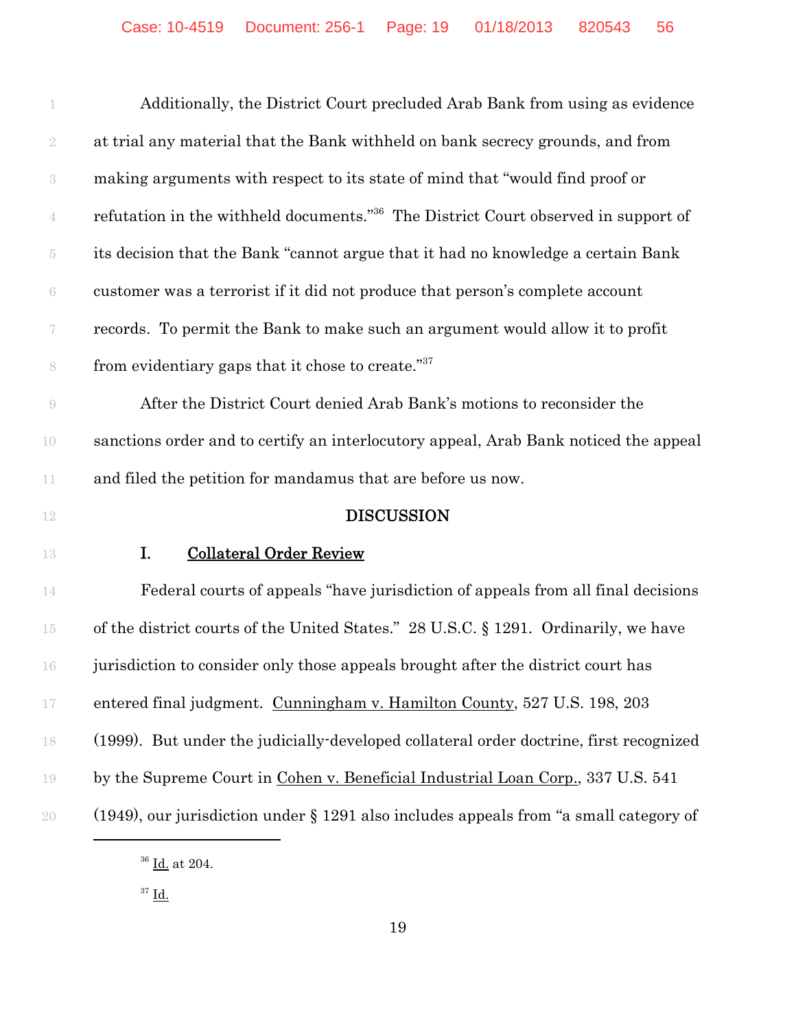|                          | Additionally, the District Court precluded Arab Bank from using as evidence                    |
|--------------------------|------------------------------------------------------------------------------------------------|
| $\sqrt{2}$               | at trial any material that the Bank withheld on bank secrecy grounds, and from                 |
| $\,3$                    | making arguments with respect to its state of mind that "would find proof or                   |
| $\overline{4}$           | refutation in the withheld documents." <sup>36</sup> The District Court observed in support of |
| $\overline{5}$           | its decision that the Bank "cannot argue that it had no knowledge a certain Bank               |
| 6                        | customer was a terrorist if it did not produce that person's complete account                  |
| $\overline{\mathcal{C}}$ | records. To permit the Bank to make such an argument would allow it to profit                  |
| 8                        | from evidentiary gaps that it chose to create." <sup>37</sup>                                  |
| $\Theta$                 | After the District Court denied Arab Bank's motions to reconsider the                          |
| 10                       | sanctions order and to certify an interlocutory appeal, Arab Bank noticed the appeal           |
| 11                       | and filed the petition for mandamus that are before us now.                                    |
| 12                       | <b>DISCUSSION</b>                                                                              |
| 13                       | I.<br><b>Collateral Order Review</b>                                                           |
| 14                       | Federal courts of appeals "have jurisdiction of appeals from all final decisions               |
| $15\,$                   | of the district courts of the United States." 28 U.S.C. § 1291. Ordinarily, we have            |
| 16                       | jurisdiction to consider only those appeals brought after the district court has               |
| $17\,$                   | entered final judgment. Cunningham v. Hamilton County, 527 U.S. 198, 203                       |
| 18                       | (1999). But under the judicially-developed collateral order doctrine, first recognized         |
| 19                       | by the Supreme Court in Cohen v. Beneficial Industrial Loan Corp., 337 U.S. 541                |
| 20                       | $(1949)$ , our jurisdiction under § 1291 also includes appeals from "a small category of       |
|                          |                                                                                                |

 $^{36}$  <u>Id.</u> at 204.

 $37 \underline{\mathbf{Id}}$ .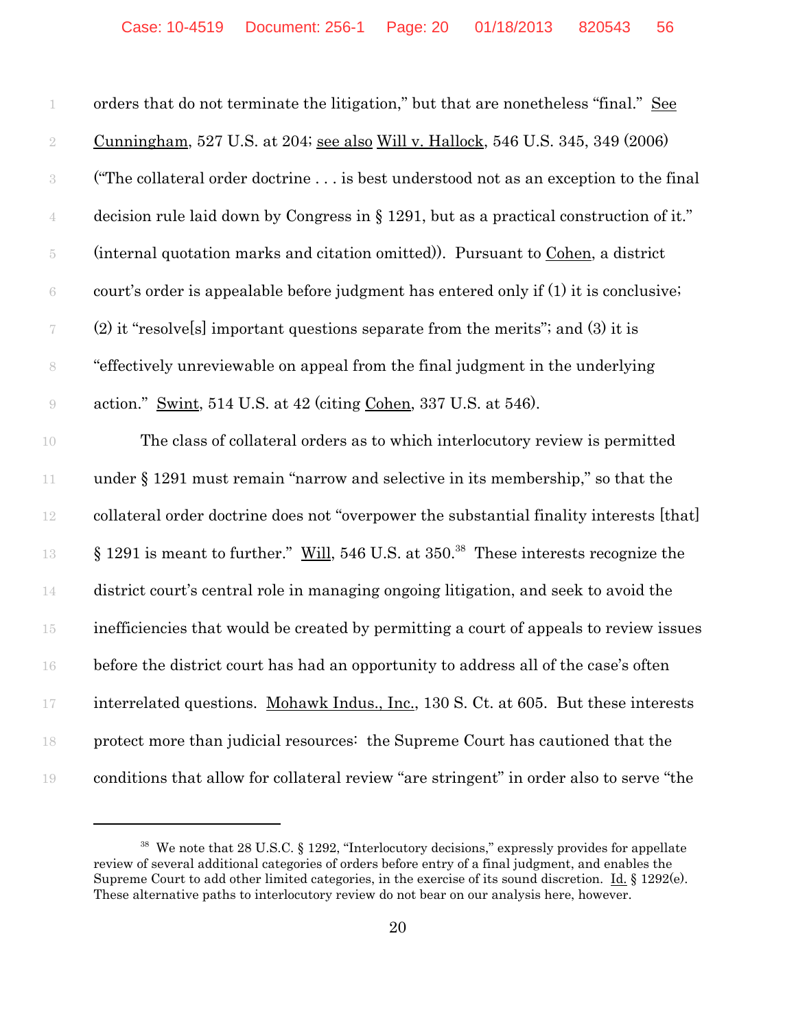| 1              | orders that do not terminate the litigation," but that are nonetheless "final." See             |
|----------------|-------------------------------------------------------------------------------------------------|
| $\sqrt{2}$     | <u>Cunningham</u> , 527 U.S. at 204; see also Will v. Hallock, 546 U.S. 345, 349 (2006)         |
| 3              | ("The collateral order doctrine is best understood not as an exception to the final             |
| 4              | decision rule laid down by Congress in § 1291, but as a practical construction of it."          |
| $\overline{5}$ | (internal quotation marks and citation omitted)). Pursuant to Cohen, a district                 |
| $\,6\,$        | court's order is appealable before judgment has entered only if (1) it is conclusive.           |
|                | $(2)$ it "resolve[s] important questions separate from the merits"; and $(3)$ it is             |
| 8              | "effectively unreviewable on appeal from the final judgment in the underlying                   |
| $\Theta$       | action." Swint, 514 U.S. at 42 (citing Cohen, 337 U.S. at 546).                                 |
| 10             | The class of collateral orders as to which interlocutory review is permitted                    |
| 11             | under $\S 1291$ must remain "narrow and selective in its membership," so that the               |
| 12             | collateral order doctrine does not "overpower the substantial finality interests [that]         |
| 13             | § 1291 is meant to further." Will, 546 U.S. at 350. <sup>38</sup> These interests recognize the |
| 14             | district court's central role in managing ongoing litigation, and seek to avoid the             |
| $15\,$         | inefficiencies that would be created by permitting a court of appeals to review issues          |
| 16             | before the district court has had an opportunity to address all of the case's often             |
| 17             | interrelated questions. Mohawk Indus., Inc., 130 S. Ct. at 605. But these interests             |
| 18             | protect more than judicial resources: the Supreme Court has cautioned that the                  |
| 19             | conditions that allow for collateral review "are stringent" in order also to serve "the         |

<sup>&</sup>lt;sup>38</sup> We note that 28 U.S.C. § 1292, "Interlocutory decisions," expressly provides for appellate review of several additional categories of orders before entry of a final judgment, and enables the Supreme Court to add other limited categories, in the exercise of its sound discretion. Id. § 1292(e). These alternative paths to interlocutory review do not bear on our analysis here, however.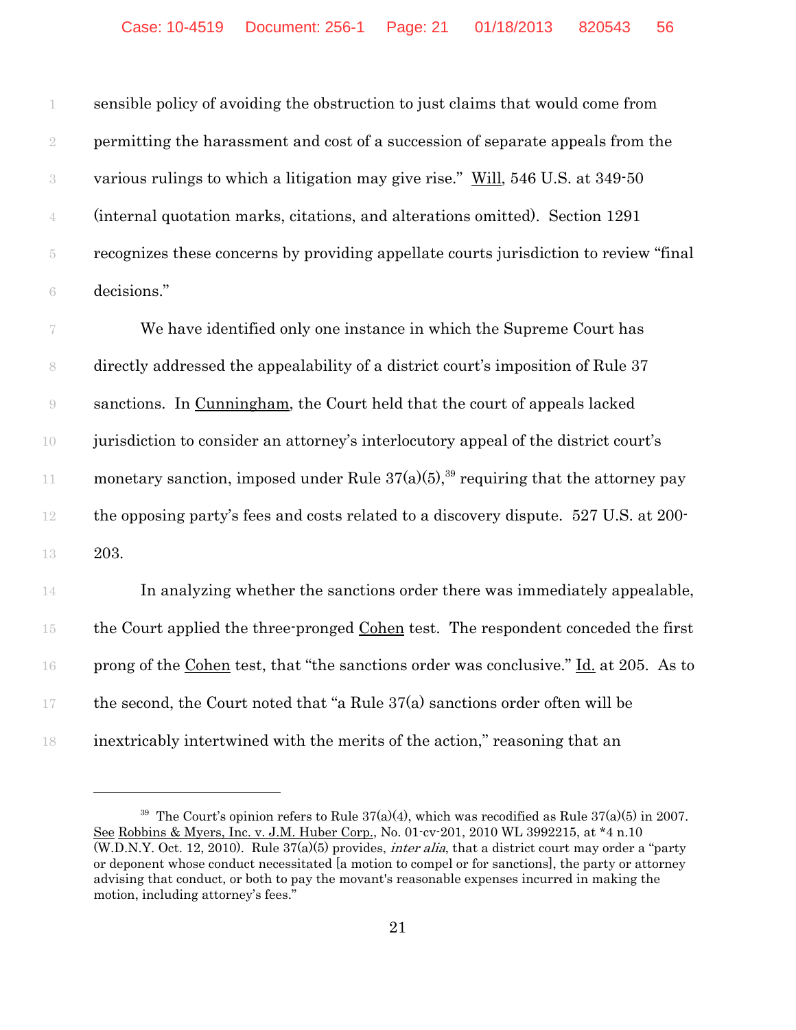sensible policy of avoiding the obstruction to just claims that would come from permitting the harassment and cost of a succession of separate appeals from the various rulings to which a litigation may give rise." Will, 546 U.S. at 349-50 (internal quotation marks, citations, and alterations omitted). Section 1291 recognizes these concerns by providing appellate courts jurisdiction to review "final decisions."

 We have identified only one instance in which the Supreme Court has directly addressed the appealability of a district court's imposition of Rule 37 sanctions. In Cunningham, the Court held that the court of appeals lacked jurisdiction to consider an attorney's interlocutory appeal of the district court's 11 monetary sanction, imposed under Rule  $37(a)(5)$ ,<sup>39</sup> requiring that the attorney pay the opposing party's fees and costs related to a discovery dispute. 527 U.S. at 200- 203.

 In analyzing whether the sanctions order there was immediately appealable, the Court applied the three-pronged Cohen test. The respondent conceded the first prong of the Cohen test, that "the sanctions order was conclusive." Id. at 205. As to 17 the second, the Court noted that "a Rule  $37(a)$  sanctions order often will be inextricably intertwined with the merits of the action," reasoning that an

<sup>&</sup>lt;sup>39</sup> The Court's opinion refers to Rule  $37(a)(4)$ , which was recodified as Rule  $37(a)(5)$  in 2007. See Robbins & Myers, Inc. v. J.M. Huber Corp., No. 01-cv-201, 2010 WL 3992215, at \*4 n.10  $(W.D.N.Y. Oct. 12, 2010)$ . Rule  $37(a)(5)$  provides, *inter alia*, that a district court may order a "party" or deponent whose conduct necessitated [a motion to compel or for sanctions], the party or attorney advising that conduct, or both to pay the movant's reasonable expenses incurred in making the motion, including attorney's fees."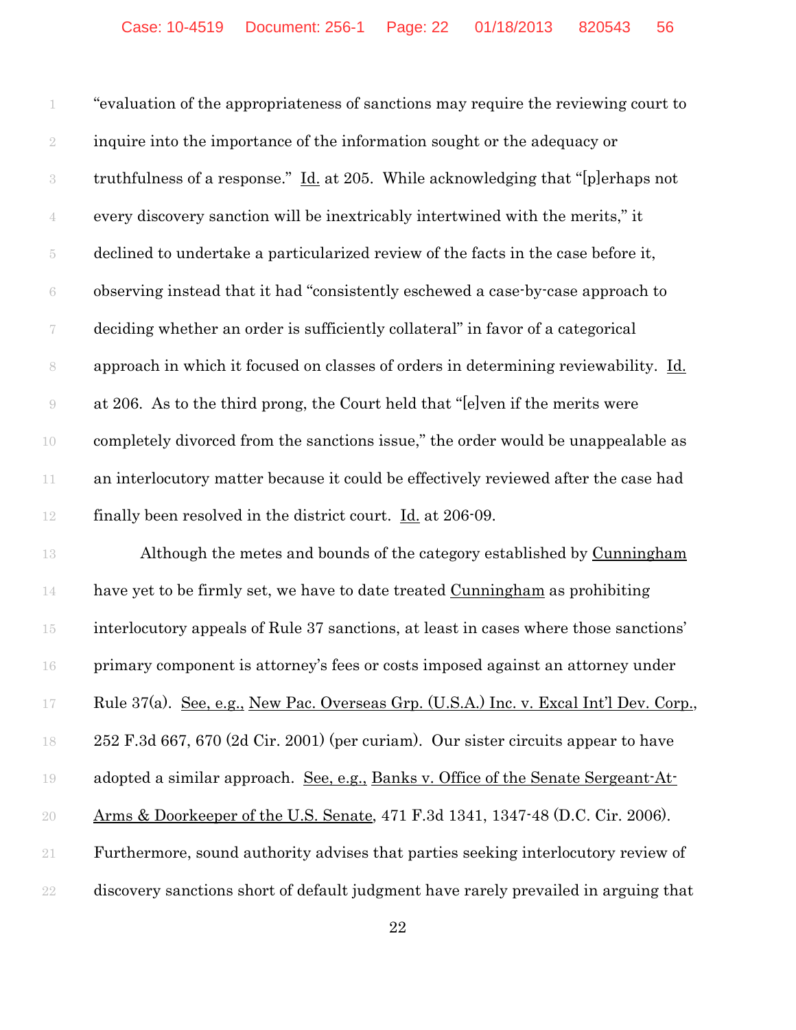"evaluation of the appropriateness of sanctions may require the reviewing court to 2 inquire into the importance of the information sought or the adequacy or truthfulness of a response." Id. at 205. While acknowledging that "[p]erhaps not every discovery sanction will be inextricably intertwined with the merits," it declined to undertake a particularized review of the facts in the case before it, observing instead that it had "consistently eschewed a case-by-case approach to deciding whether an order is sufficiently collateral" in favor of a categorical approach in which it focused on classes of orders in determining reviewability. Id. at 206. As to the third prong, the Court held that "[e]ven if the merits were completely divorced from the sanctions issue," the order would be unappealable as 11 an interlocutory matter because it could be effectively reviewed after the case had finally been resolved in the district court. Id. at 206-09.

 Although the metes and bounds of the category established by Cunningham 14 have yet to be firmly set, we have to date treated Cunningham as prohibiting interlocutory appeals of Rule 37 sanctions, at least in cases where those sanctions' primary component is attorney's fees or costs imposed against an attorney under Rule 37(a). See, e.g., New Pac. Overseas Grp. (U.S.A.) Inc. v. Excal Int'l Dev. Corp., 252 F.3d 667, 670 (2d Cir. 2001) (per curiam). Our sister circuits appear to have adopted a similar approach. See, e.g., Banks v. Office of the Senate Sergeant-At- Arms & Doorkeeper of the U.S. Senate, 471 F.3d 1341, 1347-48 (D.C. Cir. 2006). Furthermore, sound authority advises that parties seeking interlocutory review of discovery sanctions short of default judgment have rarely prevailed in arguing that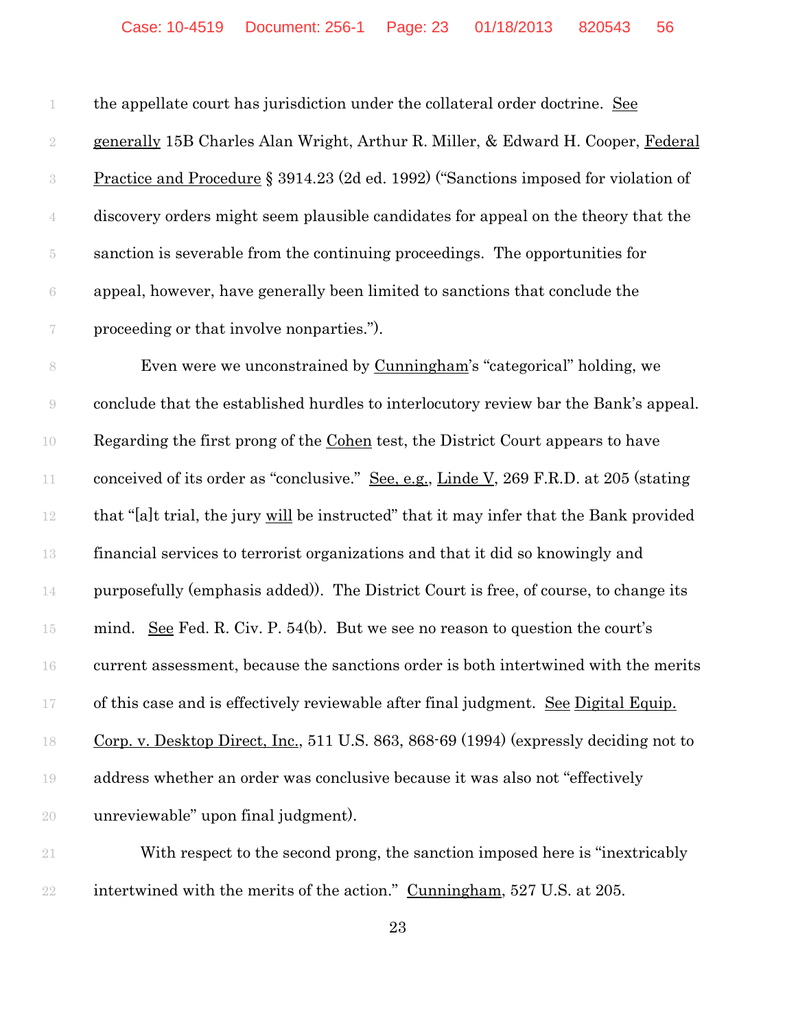the appellate court has jurisdiction under the collateral order doctrine. See 2 generally 15B Charles Alan Wright, Arthur R. Miller, & Edward H. Cooper, Federal Practice and Procedure § 3914.23 (2d ed. 1992) ("Sanctions imposed for violation of discovery orders might seem plausible candidates for appeal on the theory that the sanction is severable from the continuing proceedings. The opportunities for appeal, however, have generally been limited to sanctions that conclude the proceeding or that involve nonparties.").

 Even were we unconstrained by Cunningham's "categorical" holding, we conclude that the established hurdles to interlocutory review bar the Bank's appeal. Regarding the first prong of the Cohen test, the District Court appears to have 11 conceived of its order as "conclusive." See, e.g., Linde V, 269 F.R.D. at 205 (stating that "[a]t trial, the jury will be instructed" that it may infer that the Bank provided financial services to terrorist organizations and that it did so knowingly and purposefully (emphasis added)). The District Court is free, of course, to change its mind. See Fed. R. Civ. P. 54(b). But we see no reason to question the court's current assessment, because the sanctions order is both intertwined with the merits 17 of this case and is effectively reviewable after final judgment. See Digital Equip. Corp. v. Desktop Direct, Inc., 511 U.S. 863, 868-69 (1994) (expressly deciding not to address whether an order was conclusive because it was also not "effectively unreviewable" upon final judgment).

 With respect to the second prong, the sanction imposed here is "inextricably intertwined with the merits of the action." Cunningham, 527 U.S. at 205.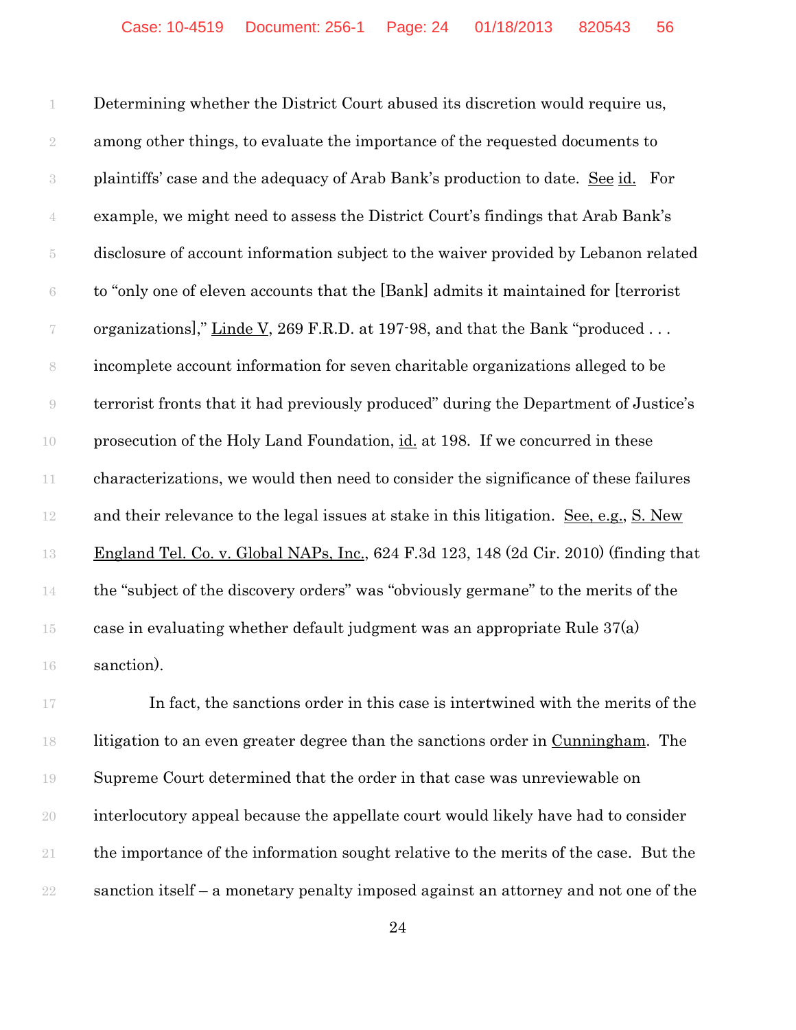Determining whether the District Court abused its discretion would require us, among other things, to evaluate the importance of the requested documents to plaintiffs' case and the adequacy of Arab Bank's production to date. See id. For example, we might need to assess the District Court's findings that Arab Bank's disclosure of account information subject to the waiver provided by Lebanon related to "only one of eleven accounts that the [Bank] admits it maintained for [terrorist 7 organizations]," Linde V, 269 F.R.D. at 197-98, and that the Bank "produced ... incomplete account information for seven charitable organizations alleged to be terrorist fronts that it had previously produced" during the Department of Justice's prosecution of the Holy Land Foundation, id. at 198. If we concurred in these characterizations, we would then need to consider the significance of these failures and their relevance to the legal issues at stake in this litigation. See, e.g., S. New England Tel. Co. v. Global NAPs, Inc., 624 F.3d 123, 148 (2d Cir. 2010) (finding that the "subject of the discovery orders" was "obviously germane" to the merits of the 15 case in evaluating whether default judgment was an appropriate Rule  $37(a)$ sanction).

17 In fact, the sanctions order in this case is intertwined with the merits of the litigation to an even greater degree than the sanctions order in Cunningham. The Supreme Court determined that the order in that case was unreviewable on interlocutory appeal because the appellate court would likely have had to consider the importance of the information sought relative to the merits of the case. But the sanction itself – a monetary penalty imposed against an attorney and not one of the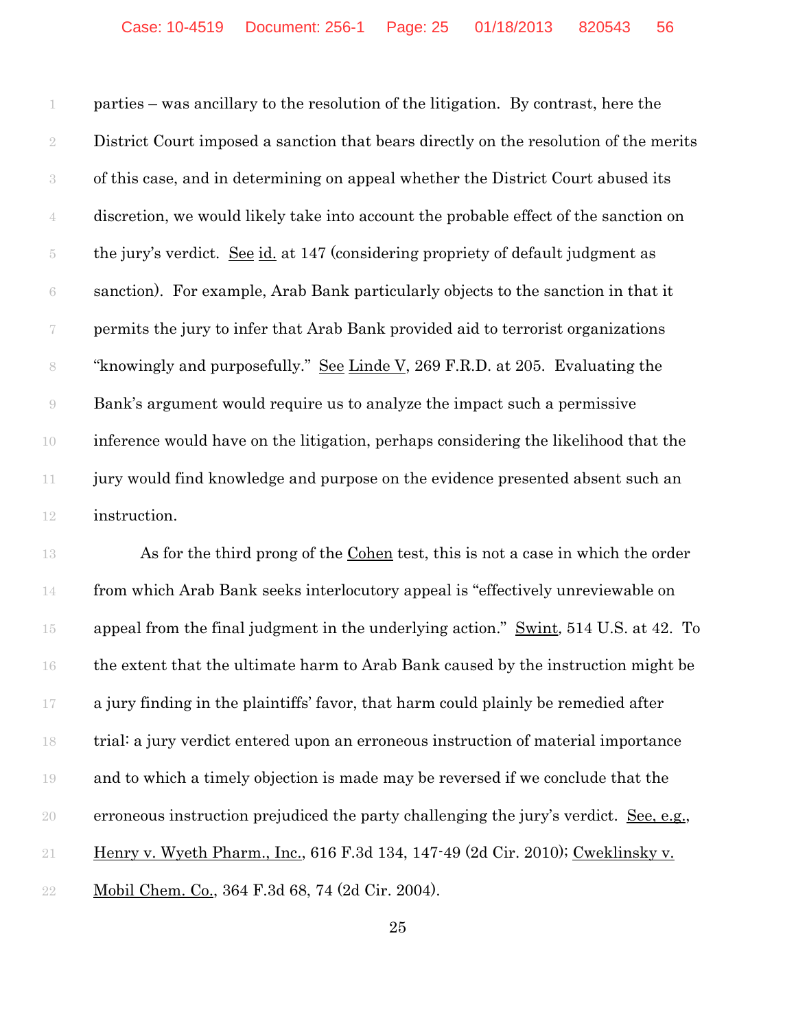parties – was ancillary to the resolution of the litigation. By contrast, here the District Court imposed a sanction that bears directly on the resolution of the merits of this case, and in determining on appeal whether the District Court abused its discretion, we would likely take into account the probable effect of the sanction on the jury's verdict. See id. at 147 (considering propriety of default judgment as sanction). For example, Arab Bank particularly objects to the sanction in that it permits the jury to infer that Arab Bank provided aid to terrorist organizations "knowingly and purposefully." See Linde V, 269 F.R.D. at 205. Evaluating the Bank's argument would require us to analyze the impact such a permissive inference would have on the litigation, perhaps considering the likelihood that the jury would find knowledge and purpose on the evidence presented absent such an instruction.

 As for the third prong of the Cohen test, this is not a case in which the order from which Arab Bank seeks interlocutory appeal is "effectively unreviewable on 15 appeal from the final judgment in the underlying action." Swint, 514 U.S. at 42. To the extent that the ultimate harm to Arab Bank caused by the instruction might be a jury finding in the plaintiffs' favor, that harm could plainly be remedied after trial: a jury verdict entered upon an erroneous instruction of material importance and to which a timely objection is made may be reversed if we conclude that the erroneous instruction prejudiced the party challenging the jury's verdict. See, e.g., Henry v. Wyeth Pharm., Inc., 616 F.3d 134, 147-49 (2d Cir. 2010); Cweklinsky v. Mobil Chem. Co., 364 F.3d 68, 74 (2d Cir. 2004).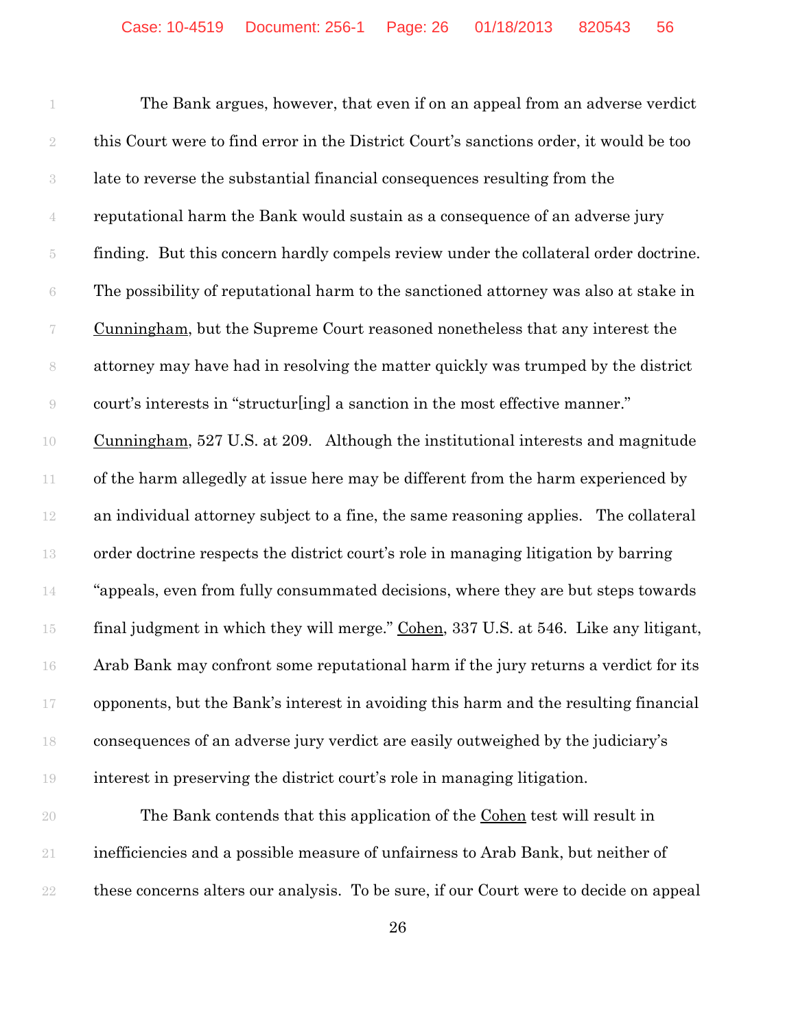The Bank argues, however, that even if on an appeal from an adverse verdict this Court were to find error in the District Court's sanctions order, it would be too late to reverse the substantial financial consequences resulting from the reputational harm the Bank would sustain as a consequence of an adverse jury finding. But this concern hardly compels review under the collateral order doctrine. The possibility of reputational harm to the sanctioned attorney was also at stake in Cunningham, but the Supreme Court reasoned nonetheless that any interest the attorney may have had in resolving the matter quickly was trumped by the district court's interests in "structur[ing] a sanction in the most effective manner." Cunningham, 527 U.S. at 209. Although the institutional interests and magnitude of the harm allegedly at issue here may be different from the harm experienced by an individual attorney subject to a fine, the same reasoning applies. The collateral order doctrine respects the district court's role in managing litigation by barring "appeals, even from fully consummated decisions, where they are but steps towards 15 final judgment in which they will merge." Cohen, 337 U.S. at 546. Like any litigant, Arab Bank may confront some reputational harm if the jury returns a verdict for its opponents, but the Bank's interest in avoiding this harm and the resulting financial consequences of an adverse jury verdict are easily outweighed by the judiciary's interest in preserving the district court's role in managing litigation.

 The Bank contends that this application of the Cohen test will result in inefficiencies and a possible measure of unfairness to Arab Bank, but neither of these concerns alters our analysis. To be sure, if our Court were to decide on appeal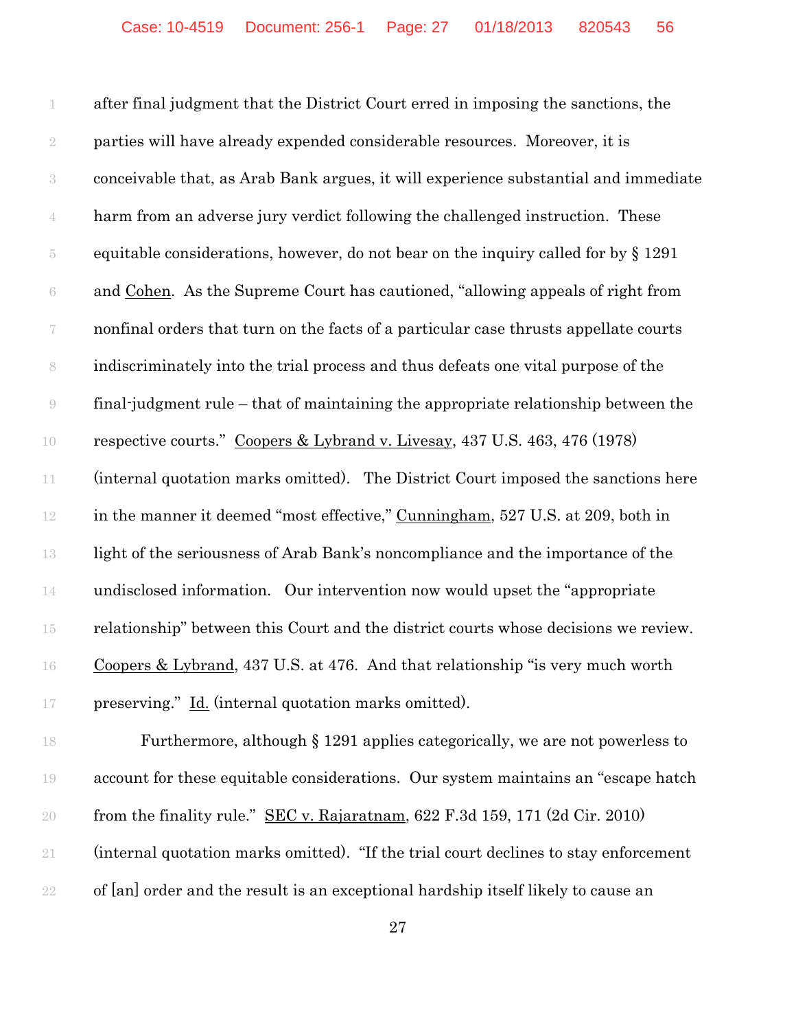after final judgment that the District Court erred in imposing the sanctions, the parties will have already expended considerable resources. Moreover, it is conceivable that, as Arab Bank argues, it will experience substantial and immediate harm from an adverse jury verdict following the challenged instruction. These equitable considerations, however, do not bear on the inquiry called for by § 1291 and Cohen. As the Supreme Court has cautioned, "allowing appeals of right from nonfinal orders that turn on the facts of a particular case thrusts appellate courts indiscriminately into the trial process and thus defeats one vital purpose of the final-judgment rule – that of maintaining the appropriate relationship between the respective courts." Coopers & Lybrand v. Livesay, 437 U.S. 463, 476 (1978) (internal quotation marks omitted). The District Court imposed the sanctions here 12 in the manner it deemed "most effective," Cunningham, 527 U.S. at 209, both in light of the seriousness of Arab Bank's noncompliance and the importance of the undisclosed information. Our intervention now would upset the "appropriate relationship" between this Court and the district courts whose decisions we review. Coopers & Lybrand, 437 U.S. at 476. And that relationship "is very much worth preserving." Id. (internal quotation marks omitted).

 Furthermore, although § 1291 applies categorically, we are not powerless to account for these equitable considerations. Our system maintains an "escape hatch from the finality rule." SEC v. Rajaratnam, 622 F.3d 159, 171 (2d Cir. 2010) (internal quotation marks omitted). "If the trial court declines to stay enforcement of [an] order and the result is an exceptional hardship itself likely to cause an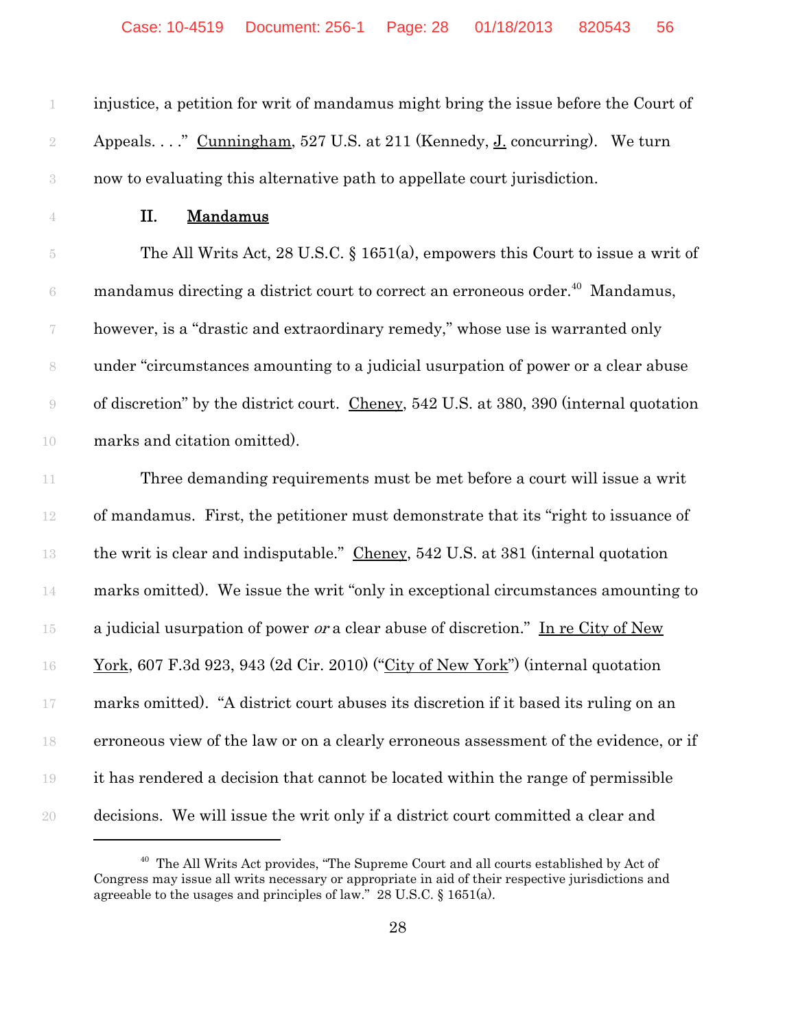injustice, a petition for writ of mandamus might bring the issue before the Court of 2 Appeals. . . . " Cunningham, 527 U.S. at 211 (Kennedy, J. concurring). We turn now to evaluating this alternative path to appellate court jurisdiction.

# II. Mandamus

 The All Writs Act, 28 U.S.C. § 1651(a), empowers this Court to issue a writ of  $\epsilon$  mandamus directing a district court to correct an erroneous order.<sup>40</sup> Mandamus, however, is a "drastic and extraordinary remedy," whose use is warranted only under "circumstances amounting to a judicial usurpation of power or a clear abuse of discretion" by the district court. Cheney, 542 U.S. at 380, 390 (internal quotation marks and citation omitted).

 Three demanding requirements must be met before a court will issue a writ of mandamus. First, the petitioner must demonstrate that its "right to issuance of the writ is clear and indisputable." Cheney, 542 U.S. at 381 (internal quotation marks omitted). We issue the writ "only in exceptional circumstances amounting to 15 a judicial usurpation of power *or* a clear abuse of discretion." In re City of New York, 607 F.3d 923, 943 (2d Cir. 2010) ("City of New York") (internal quotation marks omitted). "A district court abuses its discretion if it based its ruling on an erroneous view of the law or on a clearly erroneous assessment of the evidence, or if it has rendered a decision that cannot be located within the range of permissible decisions. We will issue the writ only if a district court committed a clear and

<sup>&</sup>lt;sup>40</sup> The All Writs Act provides, "The Supreme Court and all courts established by Act of Congress may issue all writs necessary or appropriate in aid of their respective jurisdictions and agreeable to the usages and principles of law." 28 U.S.C. § 1651(a).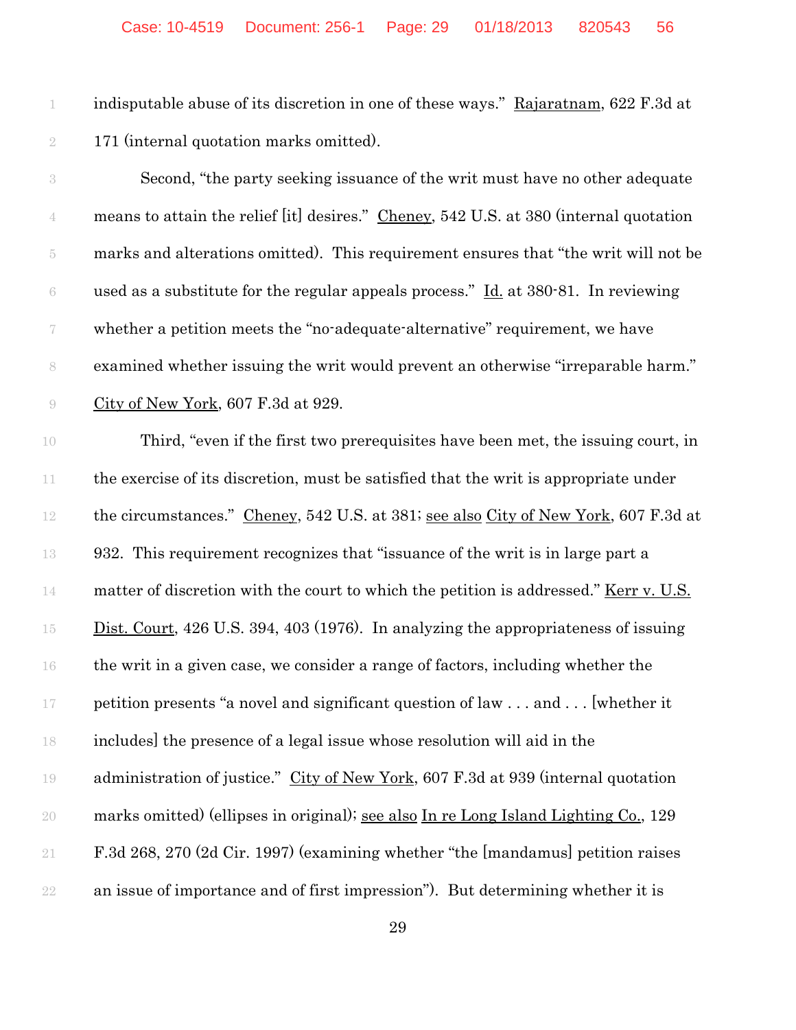indisputable abuse of its discretion in one of these ways." Rajaratnam, 622 F.3d at 171 (internal quotation marks omitted).

 Second, "the party seeking issuance of the writ must have no other adequate 4 means to attain the relief [it] desires." Cheney, 542 U.S. at 380 (internal quotation marks and alterations omitted). This requirement ensures that "the writ will not be 6 used as a substitute for the regular appeals process."  $\underline{Id}$  at 380-81. In reviewing whether a petition meets the "no-adequate-alternative" requirement, we have examined whether issuing the writ would prevent an otherwise "irreparable harm." City of New York, 607 F.3d at 929.

 Third, "even if the first two prerequisites have been met, the issuing court, in 11 the exercise of its discretion, must be satisfied that the writ is appropriate under 12 the circumstances." Cheney, 542 U.S. at 381; see also City of New York, 607 F.3d at 932. This requirement recognizes that "issuance of the writ is in large part a 14 matter of discretion with the court to which the petition is addressed." <u>Kerr v. U.S.</u> 15 Dist. Court, 426 U.S. 394, 403 (1976). In analyzing the appropriateness of issuing the writ in a given case, we consider a range of factors, including whether the petition presents "a novel and significant question of law . . . and . . . [whether it includes] the presence of a legal issue whose resolution will aid in the 19 administration of justice." City of New York, 607 F.3d at 939 (internal quotation marks omitted) (ellipses in original); see also In re Long Island Lighting Co., 129 F.3d 268, 270 (2d Cir. 1997) (examining whether "the [mandamus] petition raises an issue of importance and of first impression"). But determining whether it is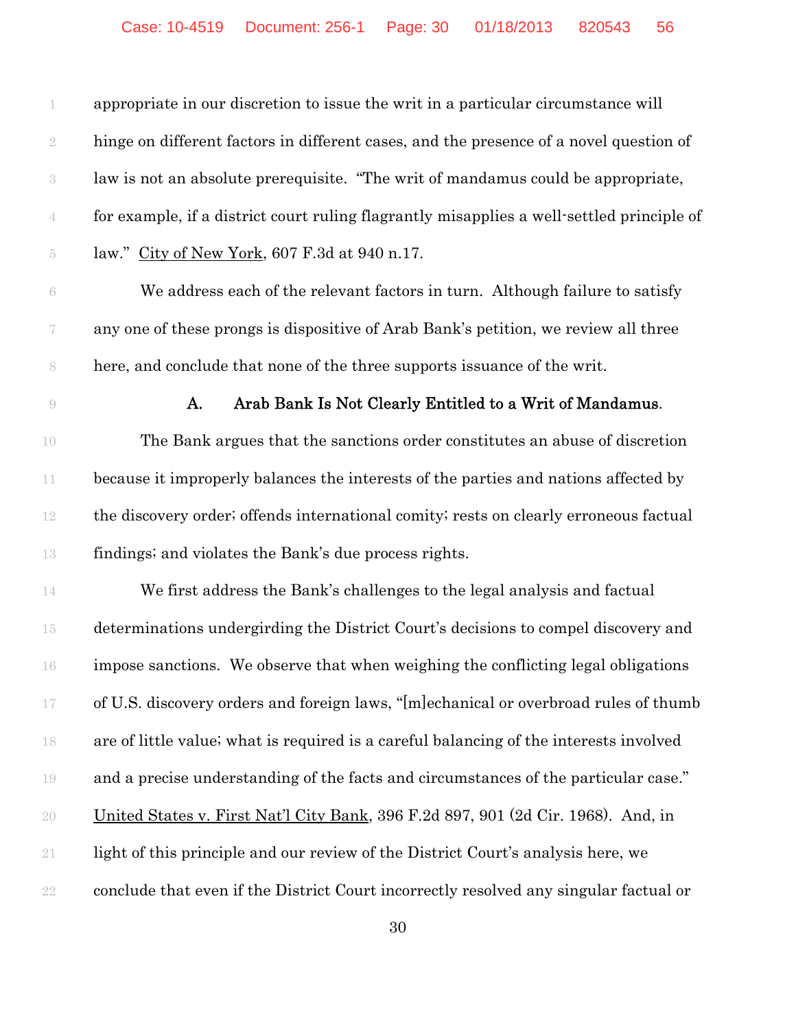appropriate in our discretion to issue the writ in a particular circumstance will hinge on different factors in different cases, and the presence of a novel question of law is not an absolute prerequisite. "The writ of mandamus could be appropriate, for example, if a district court ruling flagrantly misapplies a well-settled principle of law." City of New York, 607 F.3d at 940 n.17.

 We address each of the relevant factors in turn. Although failure to satisfy any one of these prongs is dispositive of Arab Bank's petition, we review all three here, and conclude that none of the three supports issuance of the writ.

#### **A.** Arab Bank Is Not Clearly Entitled to a Writ of Mandamus.

 The Bank argues that the sanctions order constitutes an abuse of discretion because it improperly balances the interests of the parties and nations affected by the discovery order; offends international comity; rests on clearly erroneous factual findings; and violates the Bank's due process rights.

 We first address the Bank's challenges to the legal analysis and factual determinations undergirding the District Court's decisions to compel discovery and impose sanctions. We observe that when weighing the conflicting legal obligations of U.S. discovery orders and foreign laws, "[m]echanical or overbroad rules of thumb are of little value; what is required is a careful balancing of the interests involved and a precise understanding of the facts and circumstances of the particular case." United States v. First Nat'l City Bank, 396 F.2d 897, 901 (2d Cir. 1968). And, in light of this principle and our review of the District Court's analysis here, we conclude that even if the District Court incorrectly resolved any singular factual or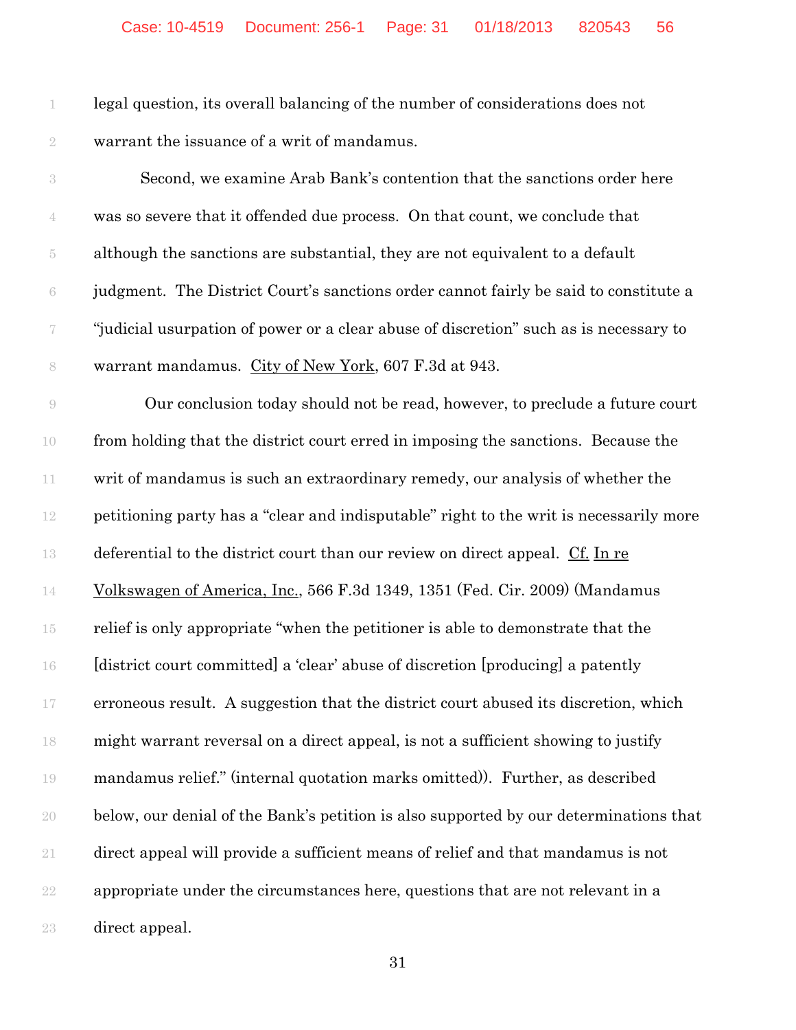legal question, its overall balancing of the number of considerations does not warrant the issuance of a writ of mandamus.

| $\,3$            | Second, we examine Arab Bank's contention that the sanctions order here                |
|------------------|----------------------------------------------------------------------------------------|
| $\mathbf 4$      | was so severe that it offended due process. On that count, we conclude that            |
| $\overline{5}$   | although the sanctions are substantial, they are not equivalent to a default           |
| $\!6\,$          | judgment. The District Court's sanctions order cannot fairly be said to constitute a   |
| $\boldsymbol{7}$ | "judicial usurpation of power or a clear abuse of discretion" such as is necessary to  |
| $\,$ $\,$        | warrant mandamus. City of New York, 607 F.3d at 943.                                   |
| $\Theta$         | Our conclusion today should not be read, however, to preclude a future court           |
| $10\,$           | from holding that the district court erred in imposing the sanctions. Because the      |
| $11\,$           | writ of mandamus is such an extraordinary remedy, our analysis of whether the          |
| $12\,$           | petitioning party has a "clear and indisputable" right to the writ is necessarily more |
| 13               | deferential to the district court than our review on direct appeal. Cf. In re          |
| $14\,$           | Volkswagen of America, Inc., 566 F.3d 1349, 1351 (Fed. Cir. 2009) (Mandamus            |
| $15\,$           | relief is only appropriate "when the petitioner is able to demonstrate that the        |
| $16\,$           | [district court committed] a 'clear' abuse of discretion [producing] a patently        |
| $17\,$           | erroneous result. A suggestion that the district court abused its discretion, which    |
| 18               | might warrant reversal on a direct appeal, is not a sufficient showing to justify      |
| $19\,$           | mandamus relief." (internal quotation marks omitted)). Further, as described           |
| $20\,$           | below, our denial of the Bank's petition is also supported by our determinations that  |
| $2\sqrt{1}$      | direct appeal will provide a sufficient means of relief and that mandamus is not       |
| $2\sqrt{2}$      | appropriate under the circumstances here, questions that are not relevant in a         |
| $23\,$           | direct appeal.                                                                         |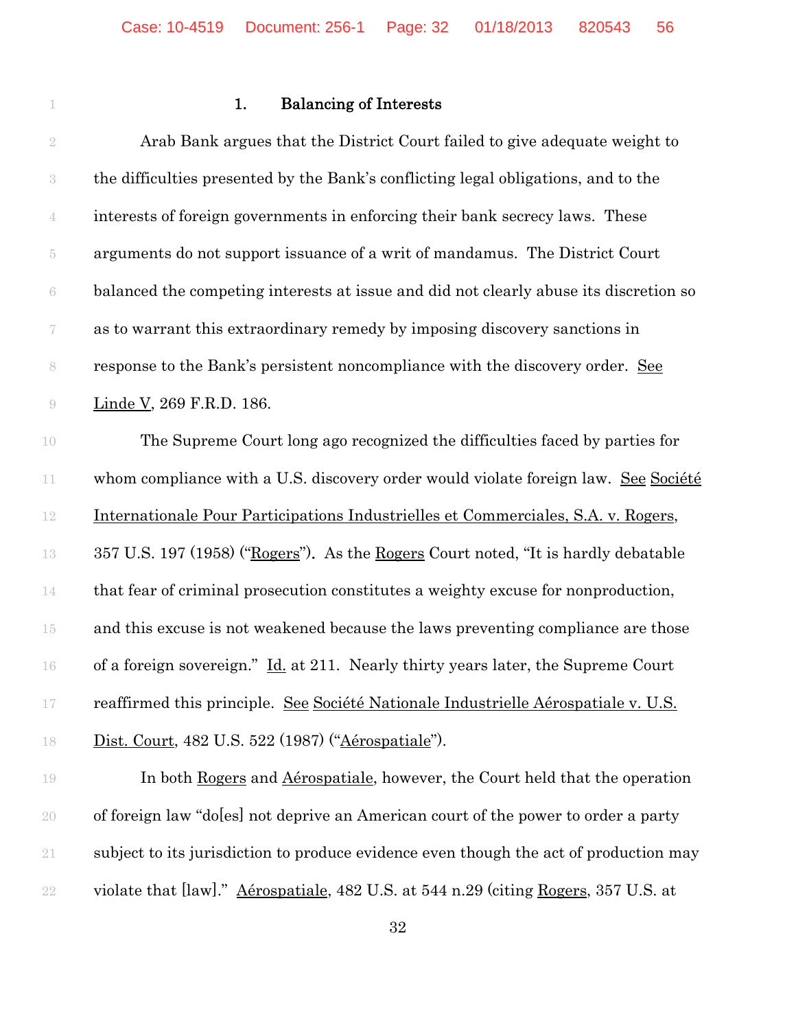# **1.** Balancing of Interests

| $\sqrt{2}$               | Arab Bank argues that the District Court failed to give adequate weight to            |
|--------------------------|---------------------------------------------------------------------------------------|
| $\sqrt{3}$               | the difficulties presented by the Bank's conflicting legal obligations, and to the    |
| $\mathbf 4$              | interests of foreign governments in enforcing their bank secrecy laws. These          |
| $\tilde{\text{5}}$       | arguments do not support issuance of a writ of mandamus. The District Court           |
| $\rm 6$                  | balanced the competing interests at issue and did not clearly abuse its discretion so |
| $\overline{\mathcal{U}}$ | as to warrant this extraordinary remedy by imposing discovery sanctions in            |
| $\,$ $\,$                | response to the Bank's persistent noncompliance with the discovery order. See         |
| $\bigcirc$               | Linde V, 269 F.R.D. 186.                                                              |
| 10                       | The Supreme Court long ago recognized the difficulties faced by parties for           |
| $11\,$                   | whom compliance with a U.S. discovery order would violate foreign law. See Société    |
| $12\,$                   | Internationale Pour Participations Industrielles et Commerciales, S.A. v. Rogers,     |
| 13                       | 357 U.S. 197 (1958) ("Rogers"). As the Rogers Court noted, "It is hardly debatable    |
| $14\,$                   | that fear of criminal prosecution constitutes a weighty excuse for nonproduction,     |
| 15                       | and this excuse is not weakened because the laws preventing compliance are those      |
| 16                       | of a foreign sovereign." Id. at 211. Nearly thirty years later, the Supreme Court     |
| 17                       | reaffirmed this principle. See Société Nationale Industrielle Aérospatiale v. U.S.    |
| 18                       | Dist. Court, 482 U.S. 522 (1987) ("Aérospatiale").                                    |
| 19                       | In both Rogers and Aérospatiale, however, the Court held that the operation           |
| $20\,$                   | of foreign law "doles] not deprive an American court of the power to order a party    |
| $21\,$                   | subject to its jurisdiction to produce evidence even though the act of production may |
| $22\,$                   | violate that [law]." Aérospatiale, 482 U.S. at 544 n.29 (citing Rogers, 357 U.S. at   |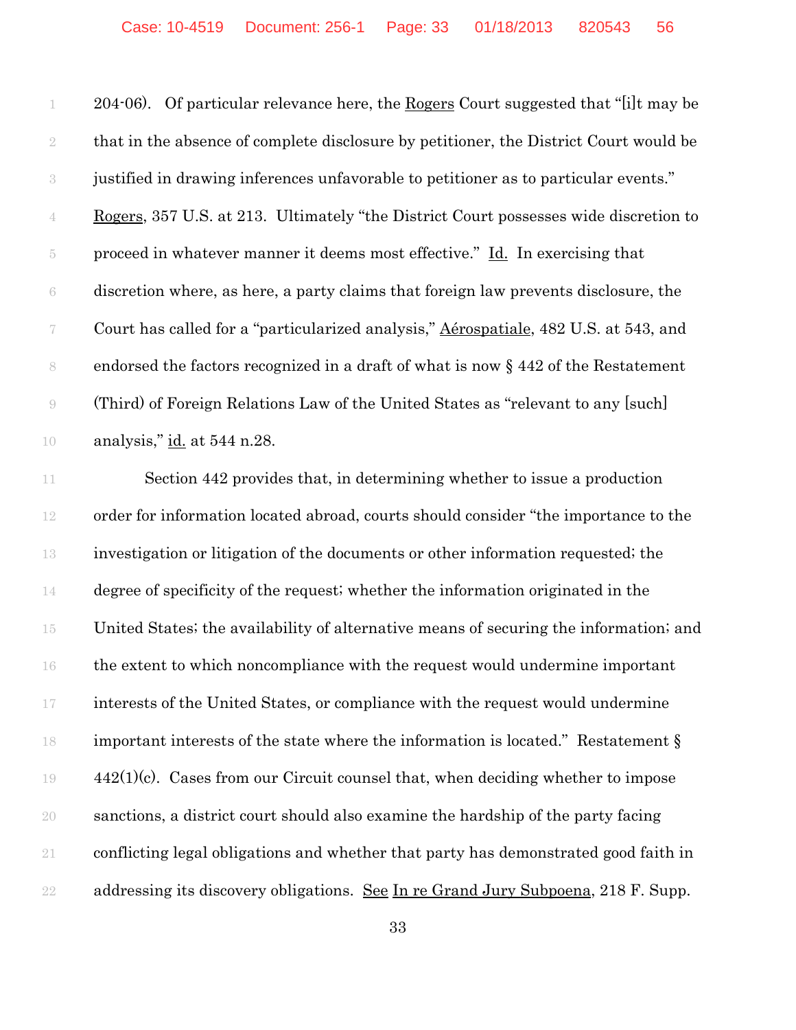204-06). Of particular relevance here, the Rogers Court suggested that "[i]t may be that in the absence of complete disclosure by petitioner, the District Court would be justified in drawing inferences unfavorable to petitioner as to particular events." Rogers, 357 U.S. at 213. Ultimately "the District Court possesses wide discretion to proceed in whatever manner it deems most effective." Id. In exercising that discretion where, as here, a party claims that foreign law prevents disclosure, the Court has called for a "particularized analysis," Aérospatiale, 482 U.S. at 543, and endorsed the factors recognized in a draft of what is now § 442 of the Restatement (Third) of Foreign Relations Law of the United States as "relevant to any [such] analysis," id. at 544 n.28.

11 Section 442 provides that, in determining whether to issue a production order for information located abroad, courts should consider "the importance to the investigation or litigation of the documents or other information requested; the degree of specificity of the request; whether the information originated in the United States; the availability of alternative means of securing the information; and the extent to which noncompliance with the request would undermine important interests of the United States, or compliance with the request would undermine important interests of the state where the information is located." Restatement § 442(1)(c). Cases from our Circuit counsel that, when deciding whether to impose sanctions, a district court should also examine the hardship of the party facing conflicting legal obligations and whether that party has demonstrated good faith in 22 addressing its discovery obligations. See In re Grand Jury Subpoena, 218 F. Supp.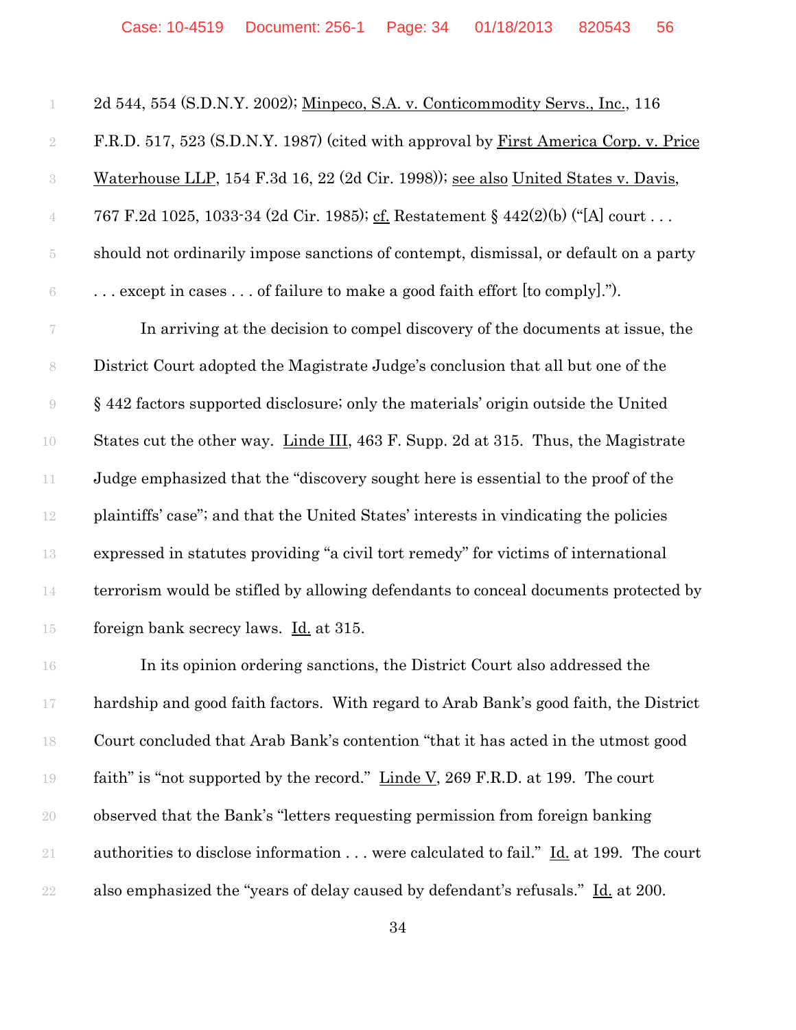| 1                  | 2d 544, 554 (S.D.N.Y. 2002); Minpeco, S.A. v. Conticommodity Servs., Inc., 116           |
|--------------------|------------------------------------------------------------------------------------------|
| $\sqrt{2}$         | F.R.D. 517, 523 (S.D.N.Y. 1987) (cited with approval by First America Corp. v. Price     |
| $\sqrt{3}$         | Waterhouse LLP, 154 F.3d 16, 22 (2d Cir. 1998)); see also United States v. Davis,        |
| $\overline{4}$     | 767 F.2d 1025, 1033-34 (2d Cir. 1985); cf. Restatement § 442(2)(b) ("[A] court           |
| $\tilde{\text{5}}$ | should not ordinarily impose sanctions of contempt, dismissal, or default on a party     |
| $\,6\,$            | $\ldots$ except in cases $\ldots$ of failure to make a good faith effort [to comply]."). |
| 7                  | In arriving at the decision to compel discovery of the documents at issue, the           |
| $\,$ $\,$          | District Court adopted the Magistrate Judge's conclusion that all but one of the         |
| $\Theta$           | § 442 factors supported disclosure; only the materials' origin outside the United        |
| 10                 | States cut the other way. Linde III, 463 F. Supp. 2d at 315. Thus, the Magistrate        |
| $11\,$             | Judge emphasized that the "discovery sought here is essential to the proof of the        |
| $12\,$             | plaintiffs' case"; and that the United States' interests in vindicating the policies     |
| 13                 | expressed in statutes providing "a civil tort remedy" for victims of international       |
| 14                 | terrorism would be stifled by allowing defendants to conceal documents protected by      |
| 15                 | foreign bank secrecy laws. Id. at 315.                                                   |
| 16                 | In its opinion ordering sanctions, the District Court also addressed the                 |
| $17\,$             | hardship and good faith factors. With regard to Arab Bank's good faith, the District     |
| 18                 | Court concluded that Arab Bank's contention "that it has acted in the utmost good        |
| $19\,$             | faith" is "not supported by the record." Linde V, 269 F.R.D. at 199. The court           |
| 20                 | observed that the Bank's "letters requesting permission from foreign banking"            |
| 21                 | authorities to disclose information were calculated to fail." Id. at 199. The court      |
| $22\,$             | also emphasized the "years of delay caused by defendant's refusals." Id. at 200.         |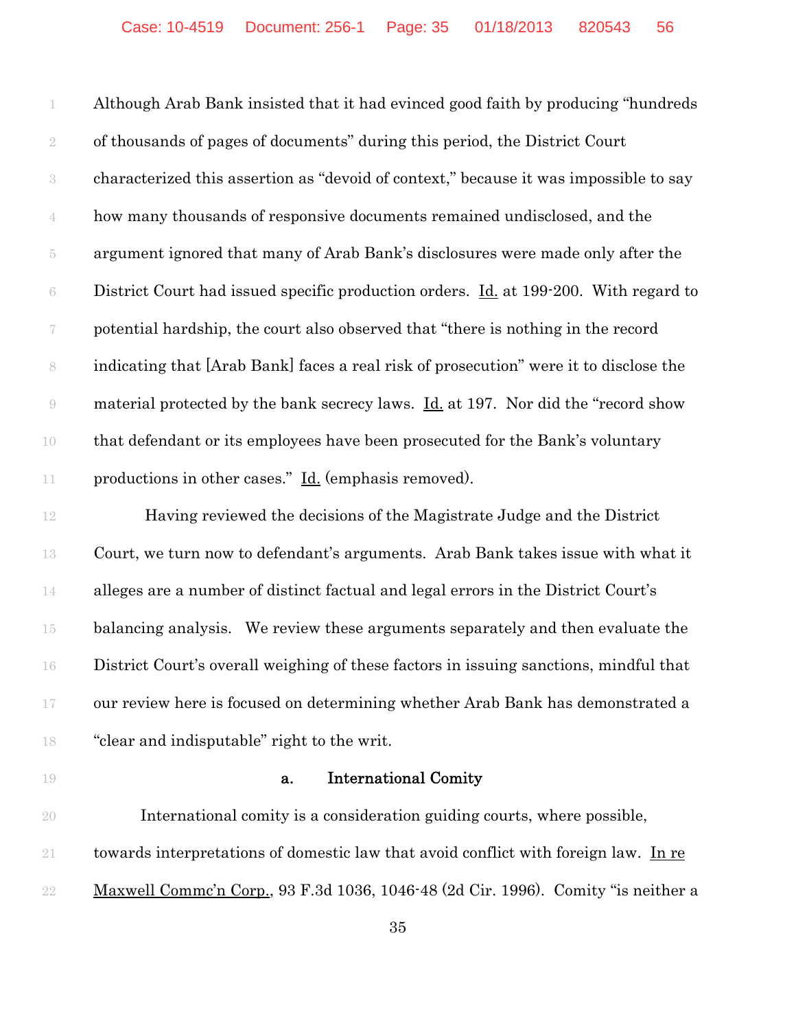Although Arab Bank insisted that it had evinced good faith by producing "hundreds of thousands of pages of documents" during this period, the District Court characterized this assertion as "devoid of context," because it was impossible to say how many thousands of responsive documents remained undisclosed, and the argument ignored that many of Arab Bank's disclosures were made only after the 6 District Court had issued specific production orders. <u>Id.</u> at 199-200. With regard to potential hardship, the court also observed that "there is nothing in the record indicating that [Arab Bank] faces a real risk of prosecution" were it to disclose the material protected by the bank secrecy laws. Id. at 197. Nor did the "record show that defendant or its employees have been prosecuted for the Bank's voluntary 11 productions in other cases." <u>Id.</u> (emphasis removed).

12 Having reviewed the decisions of the Magistrate Judge and the District Court, we turn now to defendant's arguments. Arab Bank takes issue with what it alleges are a number of distinct factual and legal errors in the District Court's balancing analysis. We review these arguments separately and then evaluate the District Court's overall weighing of these factors in issuing sanctions, mindful that our review here is focused on determining whether Arab Bank has demonstrated a "clear and indisputable" right to the writ.

### **a.** International Comity

 International comity is a consideration guiding courts, where possible, towards interpretations of domestic law that avoid conflict with foreign law. In re Maxwell Commc'n Corp., 93 F.3d 1036, 1046-48 (2d Cir. 1996). Comity "is neither a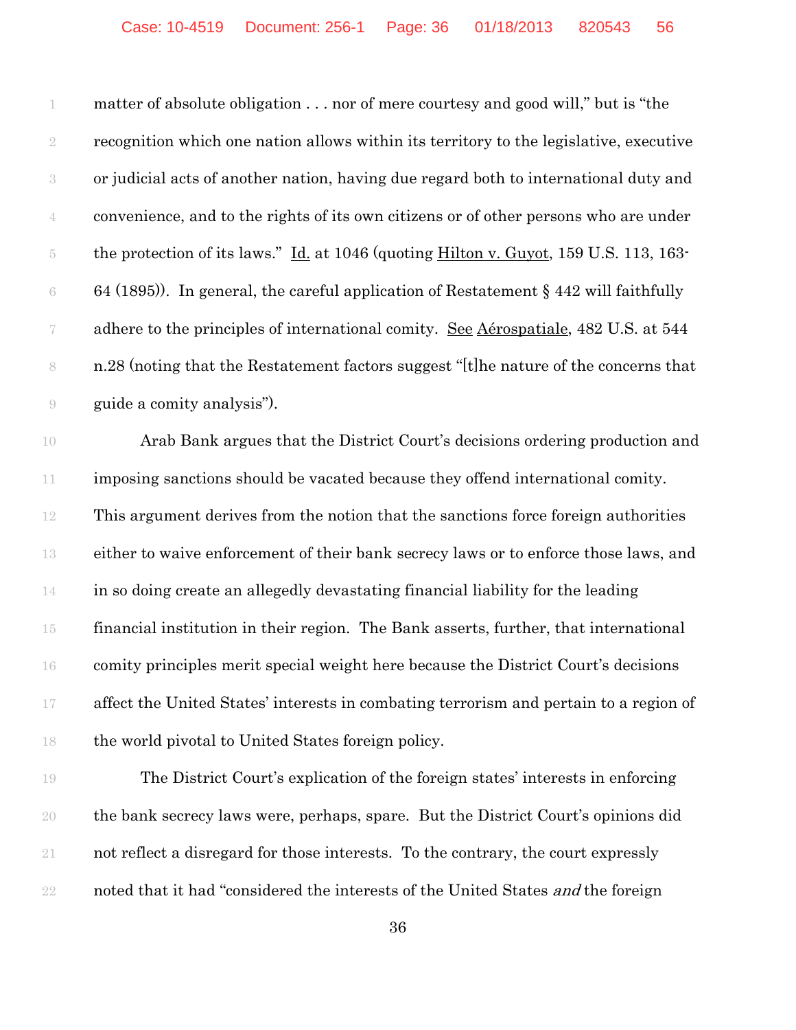matter of absolute obligation . . . nor of mere courtesy and good will," but is "the recognition which one nation allows within its territory to the legislative, executive or judicial acts of another nation, having due regard both to international duty and convenience, and to the rights of its own citizens or of other persons who are under the protection of its laws." Id. at 1046 (quoting Hilton v. Guyot, 159 U.S. 113, 163- 6 64 (1895)). In general, the careful application of Restatement  $\S$  442 will faithfully 7 adhere to the principles of international comity. <u>See Aérospatiale</u>, 482 U.S. at 544 n.28 (noting that the Restatement factors suggest "[t]he nature of the concerns that guide a comity analysis").

 Arab Bank argues that the District Court's decisions ordering production and imposing sanctions should be vacated because they offend international comity. This argument derives from the notion that the sanctions force foreign authorities either to waive enforcement of their bank secrecy laws or to enforce those laws, and in so doing create an allegedly devastating financial liability for the leading financial institution in their region. The Bank asserts, further, that international comity principles merit special weight here because the District Court's decisions affect the United States' interests in combating terrorism and pertain to a region of the world pivotal to United States foreign policy.

 The District Court's explication of the foreign states' interests in enforcing the bank secrecy laws were, perhaps, spare. But the District Court's opinions did not reflect a disregard for those interests. To the contrary, the court expressly 22 noted that it had "considered the interests of the United States *and* the foreign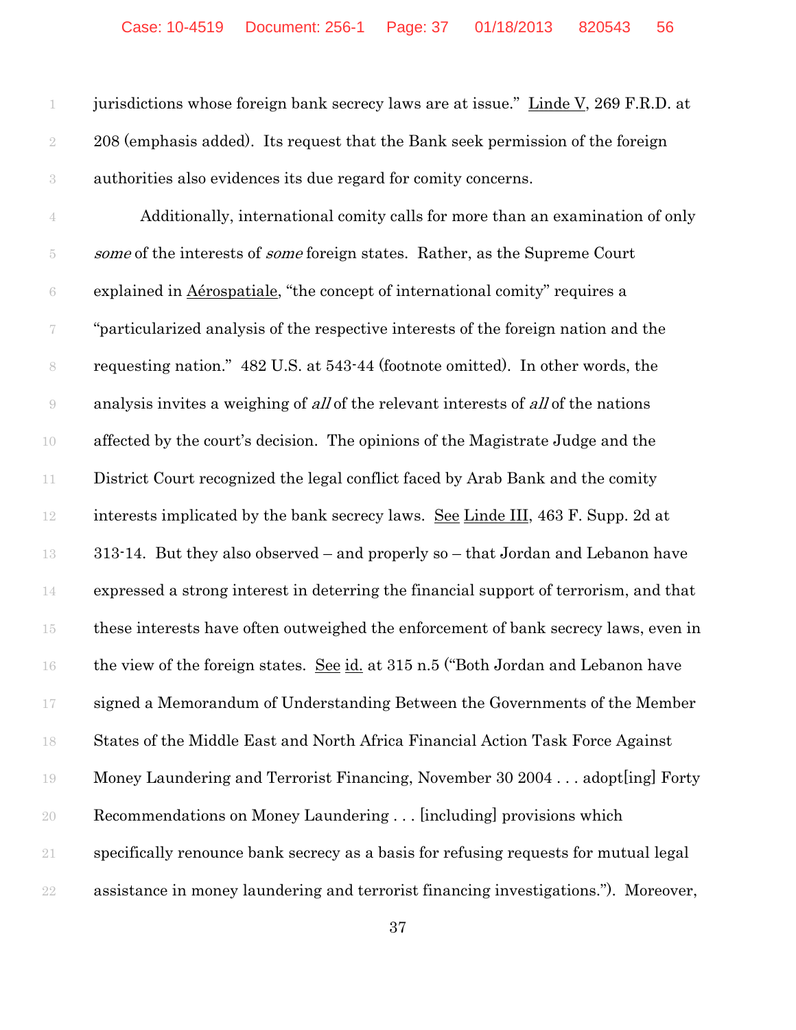jurisdictions whose foreign bank secrecy laws are at issue." Linde V, 269 F.R.D. at 208 (emphasis added). Its request that the Bank seek permission of the foreign authorities also evidences its due regard for comity concerns.

 Additionally, international comity calls for more than an examination of only 5 some of the interests of *some* foreign states. Rather, as the Supreme Court explained in Aérospatiale, "the concept of international comity" requires a "particularized analysis of the respective interests of the foreign nation and the requesting nation." 482 U.S. at 543-44 (footnote omitted). In other words, the analysis invites a weighing of all of the relevant interests of all of the nations affected by the court's decision. The opinions of the Magistrate Judge and the District Court recognized the legal conflict faced by Arab Bank and the comity interests implicated by the bank secrecy laws. See Linde III, 463 F. Supp. 2d at 313-14. But they also observed – and properly so – that Jordan and Lebanon have expressed a strong interest in deterring the financial support of terrorism, and that these interests have often outweighed the enforcement of bank secrecy laws, even in the view of the foreign states. See id. at 315 n.5 ("Both Jordan and Lebanon have signed a Memorandum of Understanding Between the Governments of the Member States of the Middle East and North Africa Financial Action Task Force Against Money Laundering and Terrorist Financing, November 30 2004 . . . adopt[ing] Forty Recommendations on Money Laundering . . . [including] provisions which specifically renounce bank secrecy as a basis for refusing requests for mutual legal assistance in money laundering and terrorist financing investigations."). Moreover,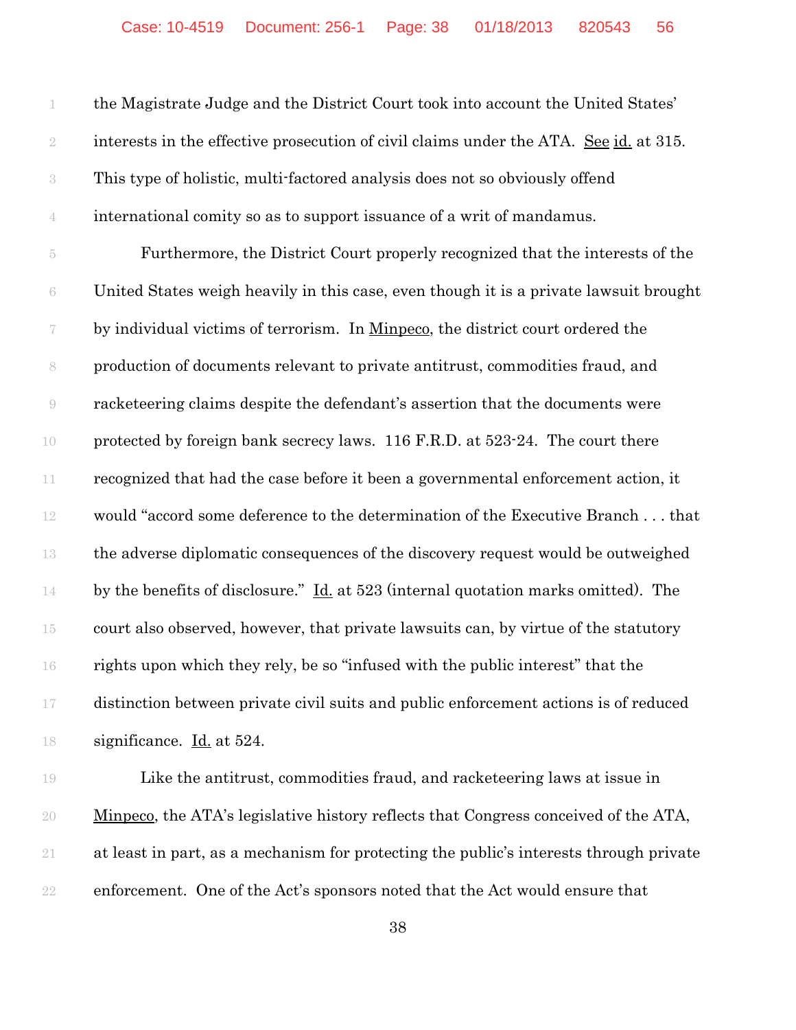|                          | the Magistrate Judge and the District Court took into account the United States'                |
|--------------------------|-------------------------------------------------------------------------------------------------|
| $\sqrt{2}$               | interests in the effective prosecution of civil claims under the ATA. See id. at 315.           |
| $\sqrt{3}$               | This type of holistic, multi-factored analysis does not so obviously offend                     |
| $\,4\,$                  | international comity so as to support issuance of a writ of mandamus.                           |
| $5\,$                    | Furthermore, the District Court properly recognized that the interests of the                   |
| $\rm 6$                  | United States weigh heavily in this case, even though it is a private lawsuit brought           |
| $\overline{\mathcal{C}}$ | by individual victims of terrorism. In Minpeco, the district court ordered the                  |
| $\,$ $\,$                | production of documents relevant to private antitrust, commodities fraud, and                   |
| $\Theta$                 | racketeering claims despite the defendant's assertion that the documents were                   |
| 10                       | protected by foreign bank secrecy laws. 116 F.R.D. at 523-24. The court there                   |
| $11\,$                   | recognized that had the case before it been a governmental enforcement action, it               |
| $12\,$                   | would "accord some deference to the determination of the Executive Branch that                  |
| 13                       | the adverse diplomatic consequences of the discovery request would be outweighed                |
| 14                       | by the benefits of disclosure." $\underline{Id}$ at 523 (internal quotation marks omitted). The |
| 15                       | court also observed, however, that private lawsuits can, by virtue of the statutory             |
| 16                       | rights upon which they rely, be so "infused with the public interest" that the                  |
| 17                       | distinction between private civil suits and public enforcement actions is of reduced            |
| 18                       | significance. Id. at 524.                                                                       |
| 19                       | Like the antitrust, commodities fraud, and racketeering laws at issue in                        |
| $20\,$                   | Minpeco, the ATA's legislative history reflects that Congress conceived of the ATA,             |
| 21                       | at least in part, as a mechanism for protecting the public's interests through private          |

enforcement. One of the Act's sponsors noted that the Act would ensure that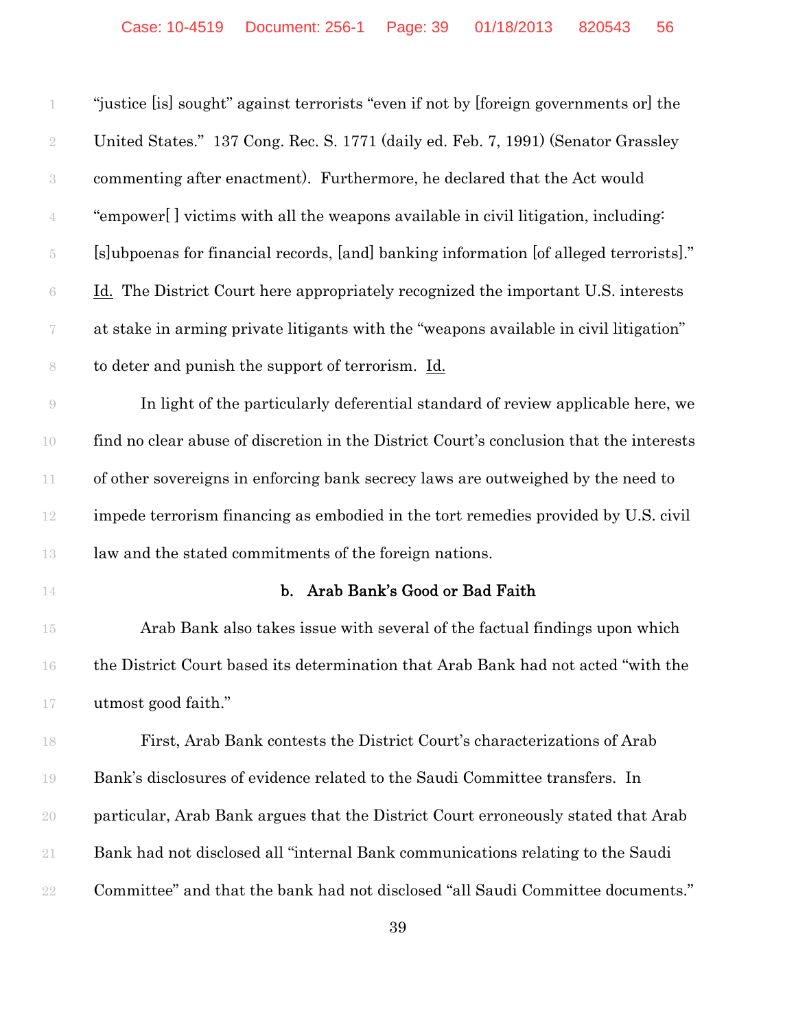| 1                  | "justice [is] sought" against terrorists "even if not by [foreign governments or] the   |
|--------------------|-----------------------------------------------------------------------------------------|
| $\sqrt{2}$         | United States." 137 Cong. Rec. S. 1771 (daily ed. Feb. 7, 1991) (Senator Grassley       |
| $\,3$              | commenting after enactment). Furthermore, he declared that the Act would                |
| $\overline{4}$     | "empower[] victims with all the weapons available in civil litigation, including:       |
| $\tilde{\text{5}}$ | [s]ubpoenas for financial records, [and] banking information [of alleged terrorists]."  |
| $\rm 6$            | Id. The District Court here appropriately recognized the important U.S. interests       |
| $\!\tau$           | at stake in arming private litigants with the "weapons available in civil litigation"   |
| 8                  | to deter and punish the support of terrorism. Id.                                       |
| $\Theta$           | In light of the particularly deferential standard of review applicable here, we         |
| $10\,$             | find no clear abuse of discretion in the District Court's conclusion that the interests |
| 11                 | of other sovereigns in enforcing bank secrecy laws are outweighed by the need to        |
| 12                 | impede terrorism financing as embodied in the tort remedies provided by U.S. civil      |
|                    |                                                                                         |
| 13                 | law and the stated commitments of the foreign nations.                                  |
| 14                 | b. Arab Bank's Good or Bad Faith                                                        |
| $15\,$             | Arab Bank also takes issue with several of the factual findings upon which              |
| $16\,$             | the District Court based its determination that Arab Bank had not acted "with the       |
| $17\,$             | utmost good faith."                                                                     |
| 18                 | First, Arab Bank contests the District Court's characterizations of Arab                |
| 19                 | Bank's disclosures of evidence related to the Saudi Committee transfers. In             |
| 20                 | particular, Arab Bank argues that the District Court erroneously stated that Arab       |
| 21                 | Bank had not disclosed all "internal Bank communications relating to the Saudi          |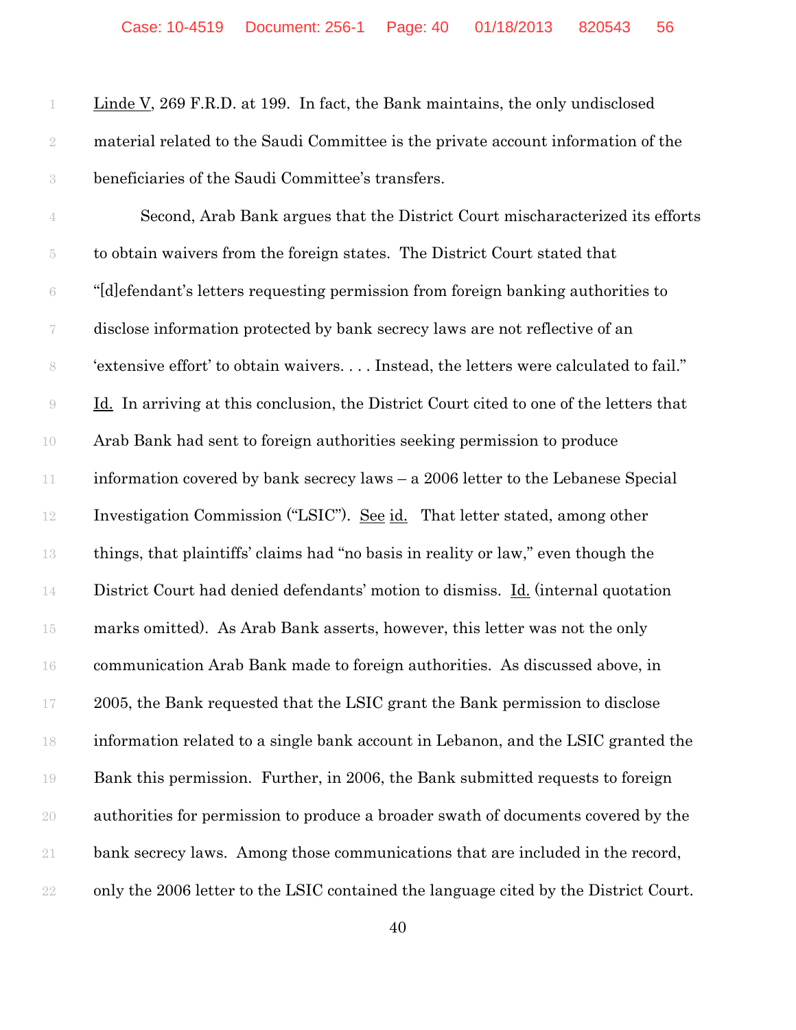Linde V, 269 F.R.D. at 199. In fact, the Bank maintains, the only undisclosed material related to the Saudi Committee is the private account information of the beneficiaries of the Saudi Committee's transfers.

 Second, Arab Bank argues that the District Court mischaracterized its efforts to obtain waivers from the foreign states. The District Court stated that "[d]efendant's letters requesting permission from foreign banking authorities to disclose information protected by bank secrecy laws are not reflective of an 'extensive effort' to obtain waivers. . . . Instead, the letters were calculated to fail." Id. In arriving at this conclusion, the District Court cited to one of the letters that Arab Bank had sent to foreign authorities seeking permission to produce information covered by bank secrecy laws – a 2006 letter to the Lebanese Special Investigation Commission ("LSIC"). See id. That letter stated, among other things, that plaintiffs' claims had "no basis in reality or law," even though the 14 District Court had denied defendants' motion to dismiss. Id. (internal quotation marks omitted). As Arab Bank asserts, however, this letter was not the only communication Arab Bank made to foreign authorities. As discussed above, in 2005, the Bank requested that the LSIC grant the Bank permission to disclose information related to a single bank account in Lebanon, and the LSIC granted the Bank this permission. Further, in 2006, the Bank submitted requests to foreign authorities for permission to produce a broader swath of documents covered by the bank secrecy laws. Among those communications that are included in the record, only the 2006 letter to the LSIC contained the language cited by the District Court.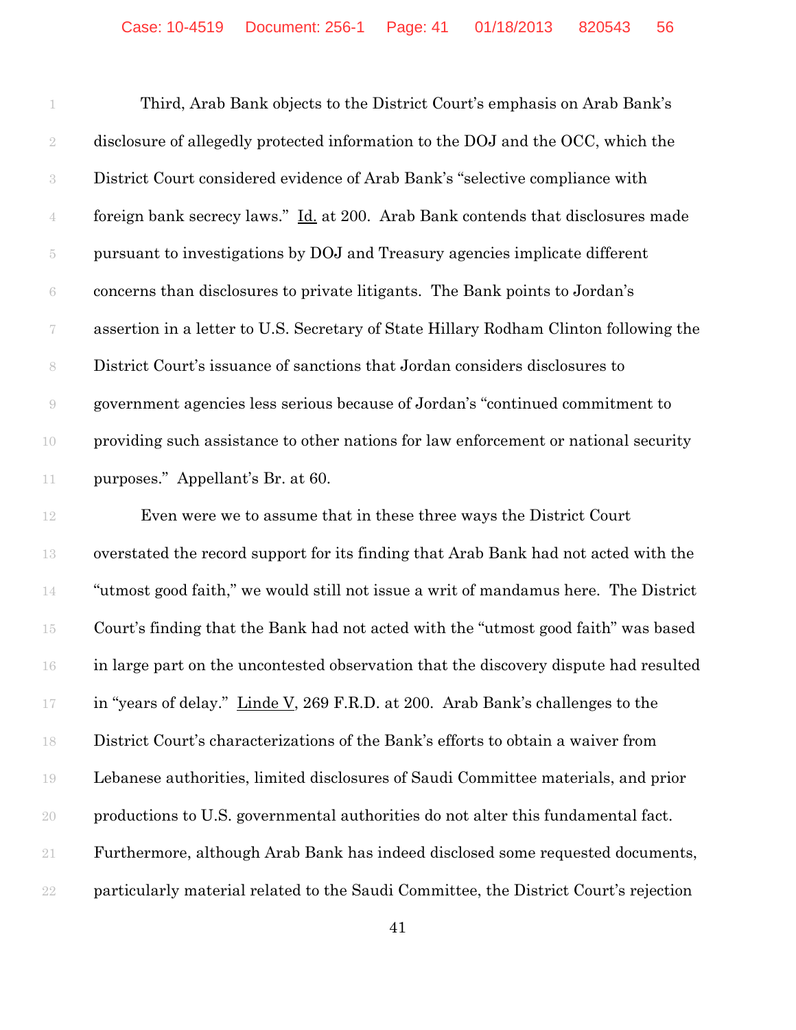|                | Third, Arab Bank objects to the District Court's emphasis on Arab Bank's              |
|----------------|---------------------------------------------------------------------------------------|
| $\overline{2}$ | disclosure of allegedly protected information to the DOJ and the OCC, which the       |
| $\sqrt{3}$     | District Court considered evidence of Arab Bank's "selective compliance with          |
| $\mathbf 4$    | foreign bank secrecy laws." Id. at 200. Arab Bank contends that disclosures made      |
| 5              | pursuant to investigations by DOJ and Treasury agencies implicate different           |
| 6              | concerns than disclosures to private litigants. The Bank points to Jordan's           |
| 7              | assertion in a letter to U.S. Secretary of State Hillary Rodham Clinton following the |
| $8\,$          | District Court's issuance of sanctions that Jordan considers disclosures to           |
| 9              | government agencies less serious because of Jordan's "continued commitment to         |
| 10             | providing such assistance to other nations for law enforcement or national security   |
| 11             | purposes." Appellant's Br. at 60.                                                     |
|                |                                                                                       |

 Even were we to assume that in these three ways the District Court overstated the record support for its finding that Arab Bank had not acted with the "utmost good faith," we would still not issue a writ of mandamus here. The District Court's finding that the Bank had not acted with the "utmost good faith" was based in large part on the uncontested observation that the discovery dispute had resulted 17 in "years of delay." Linde V, 269 F.R.D. at 200. Arab Bank's challenges to the District Court's characterizations of the Bank's efforts to obtain a waiver from Lebanese authorities, limited disclosures of Saudi Committee materials, and prior productions to U.S. governmental authorities do not alter this fundamental fact. Furthermore, although Arab Bank has indeed disclosed some requested documents, particularly material related to the Saudi Committee, the District Court's rejection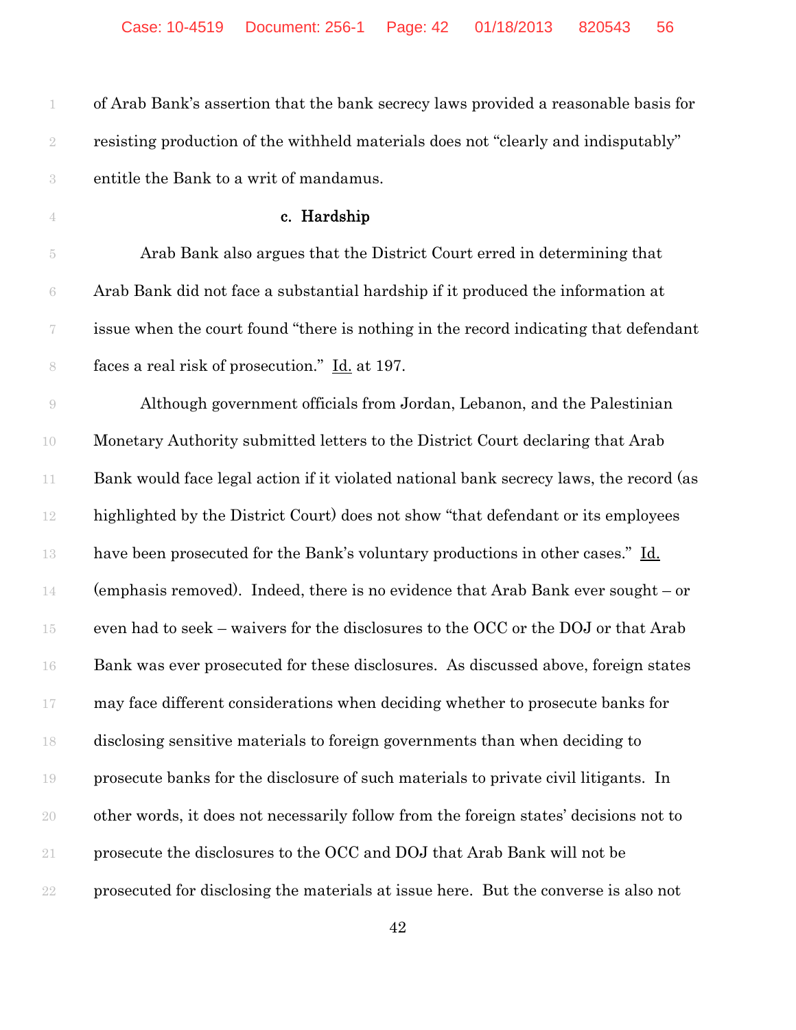| 1                        | of Arab Bank's assertion that the bank secrecy laws provided a reasonable basis for    |
|--------------------------|----------------------------------------------------------------------------------------|
| $\sqrt{2}$               | resisting production of the withheld materials does not "clearly and indisputably"     |
| $\sqrt{3}$               | entitle the Bank to a writ of mandamus.                                                |
| $\overline{4}$           | c. Hardship                                                                            |
| $\tilde{\text{5}}$       | Arab Bank also argues that the District Court erred in determining that                |
| $\rm 6$                  | Arab Bank did not face a substantial hardship if it produced the information at        |
| $\overline{\mathcal{U}}$ | issue when the court found "there is nothing in the record indicating that defendant   |
| $\,$ $\,$                | faces a real risk of prosecution." Id. at 197.                                         |
| $\rm{O}$                 | Although government officials from Jordan, Lebanon, and the Palestinian                |
| 10                       | Monetary Authority submitted letters to the District Court declaring that Arab         |
| $11\,$                   | Bank would face legal action if it violated national bank secrecy laws, the record (as |
| $12\,$                   | highlighted by the District Court) does not show "that defendant or its employees      |
| 13                       | have been prosecuted for the Bank's voluntary productions in other cases." Id.         |
| 14                       | (emphasis removed). Indeed, there is no evidence that Arab Bank ever sought $-$ or     |
| 15                       | even had to seek - waivers for the disclosures to the OCC or the DOJ or that Arab      |
| 16                       | Bank was ever prosecuted for these disclosures. As discussed above, foreign states     |
| $17\,$                   | may face different considerations when deciding whether to prosecute banks for         |
| 18                       | disclosing sensitive materials to foreign governments than when deciding to            |
| 19                       | prosecute banks for the disclosure of such materials to private civil litigants. In    |
| $20\,$                   | other words, it does not necessarily follow from the foreign states' decisions not to  |
| $21\,$                   | prosecute the disclosures to the OCC and DOJ that Arab Bank will not be                |
| $22\,$                   | prosecuted for disclosing the materials at issue here. But the converse is also not    |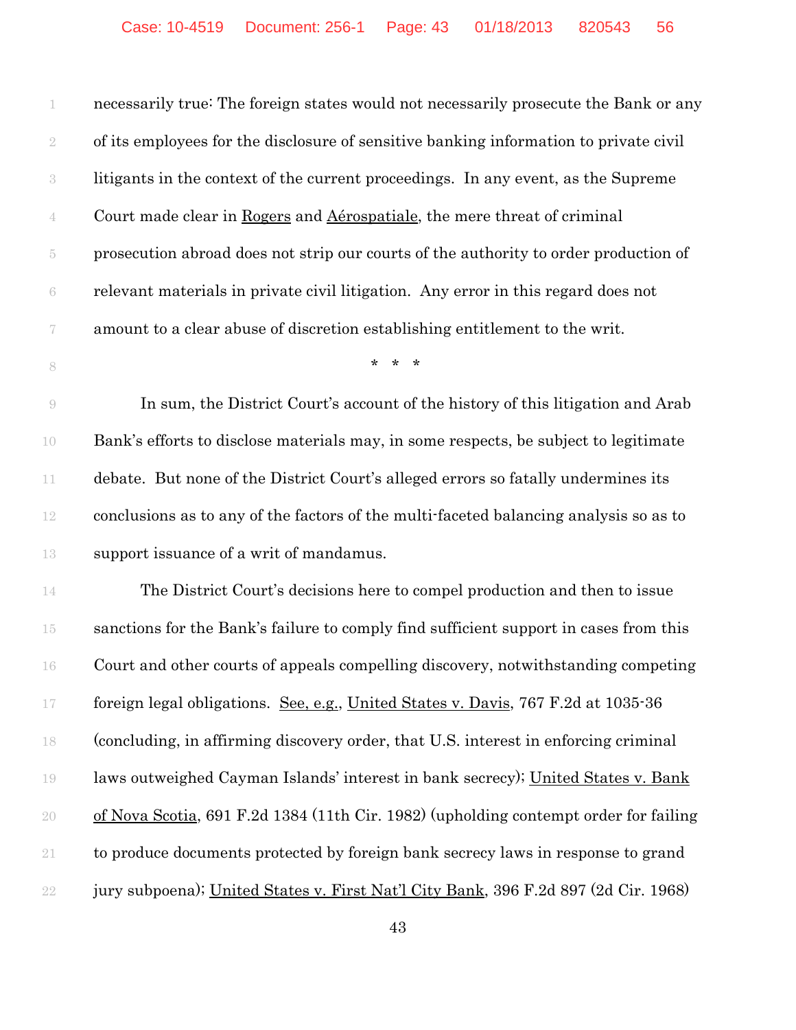| 1                | necessarily true: The foreign states would not necessarily prosecute the Bank or any  |
|------------------|---------------------------------------------------------------------------------------|
| $\sqrt{2}$       | of its employees for the disclosure of sensitive banking information to private civil |
| $\sqrt{3}$       | litigants in the context of the current proceedings. In any event, as the Supreme     |
| $\mathbf 4$      | Court made clear in Rogers and Aérospatiale, the mere threat of criminal              |
| $\overline{5}$   | prosecution abroad does not strip our courts of the authority to order production of  |
| $\rm 6$          | relevant materials in private civil litigation. Any error in this regard does not     |
| $\boldsymbol{7}$ | amount to a clear abuse of discretion establishing entitlement to the writ.           |
| 8                | $* * *$                                                                               |
| $\Theta$         | In sum, the District Court's account of the history of this litigation and Arab       |
| 10               | Bank's efforts to disclose materials may, in some respects, be subject to legitimate  |
| $11\,$           | debate. But none of the District Court's alleged errors so fatally undermines its     |
| $12\,$           | conclusions as to any of the factors of the multi-faceted balancing analysis so as to |
| 13               | support issuance of a writ of mandamus.                                               |
| 14               | The District Court's decisions here to compel production and then to issue            |
| 15               | sanctions for the Bank's failure to comply find sufficient support in cases from this |
| 16               | Court and other courts of appeals compelling discovery, notwithstanding competing     |
| 17               | foreign legal obligations. See, e.g., United States v. Davis, 767 F.2d at 1035-36     |
| 18               | (concluding, in affirming discovery order, that U.S. interest in enforcing criminal   |
| 19               | laws outweighed Cayman Islands' interest in bank secrecy); United States v. Bank      |
| $20\,$           | of Nova Scotia, 691 F.2d 1384 (11th Cir. 1982) (upholding contempt order for failing  |
| $21\,$           | to produce documents protected by foreign bank secrecy laws in response to grand      |
| $22\,$           | jury subpoena); United States v. First Nat'l City Bank, 396 F.2d 897 (2d Cir. 1968)   |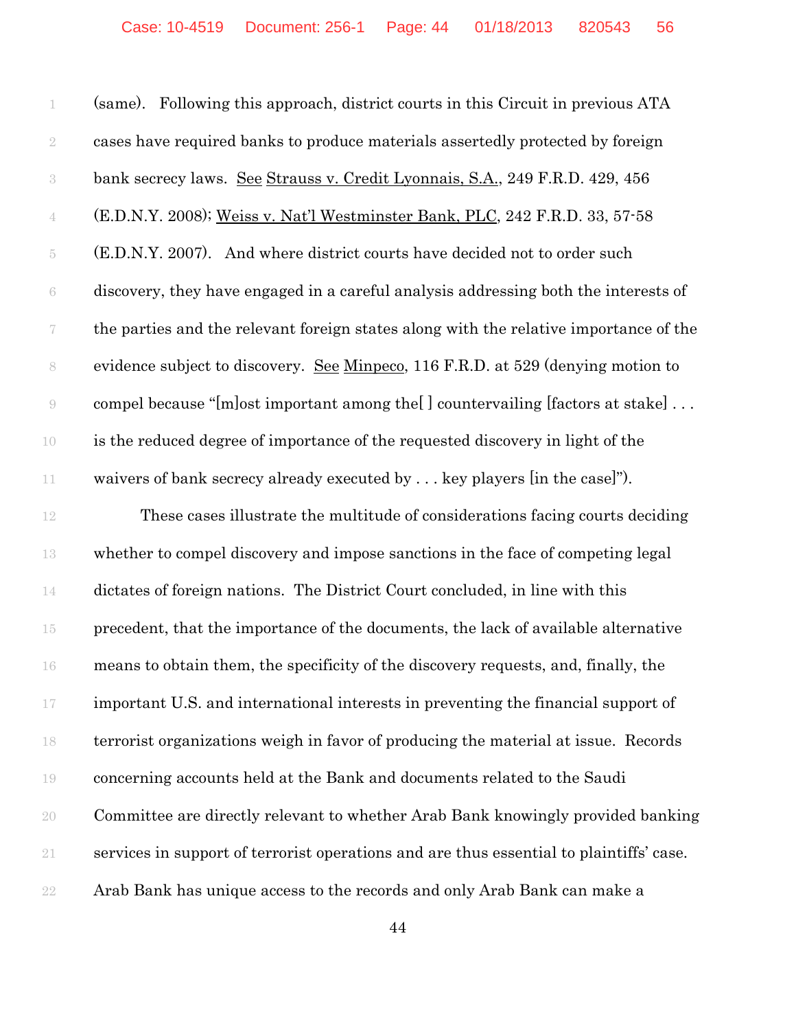(same). Following this approach, district courts in this Circuit in previous ATA cases have required banks to produce materials assertedly protected by foreign bank secrecy laws. See Strauss v. Credit Lyonnais, S.A., 249 F.R.D. 429, 456 (E.D.N.Y. 2008); Weiss v. Nat'l Westminster Bank, PLC, 242 F.R.D. 33, 57-58 (E.D.N.Y. 2007). And where district courts have decided not to order such discovery, they have engaged in a careful analysis addressing both the interests of the parties and the relevant foreign states along with the relative importance of the evidence subject to discovery. See Minpeco, 116 F.R.D. at 529 (denying motion to compel because "[m]ost important among the[ ] countervailing [factors at stake] . . . is the reduced degree of importance of the requested discovery in light of the waivers of bank secrecy already executed by . . . key players [in the case]").

 These cases illustrate the multitude of considerations facing courts deciding whether to compel discovery and impose sanctions in the face of competing legal dictates of foreign nations. The District Court concluded, in line with this precedent, that the importance of the documents, the lack of available alternative means to obtain them, the specificity of the discovery requests, and, finally, the important U.S. and international interests in preventing the financial support of terrorist organizations weigh in favor of producing the material at issue. Records concerning accounts held at the Bank and documents related to the Saudi Committee are directly relevant to whether Arab Bank knowingly provided banking services in support of terrorist operations and are thus essential to plaintiffs' case. Arab Bank has unique access to the records and only Arab Bank can make a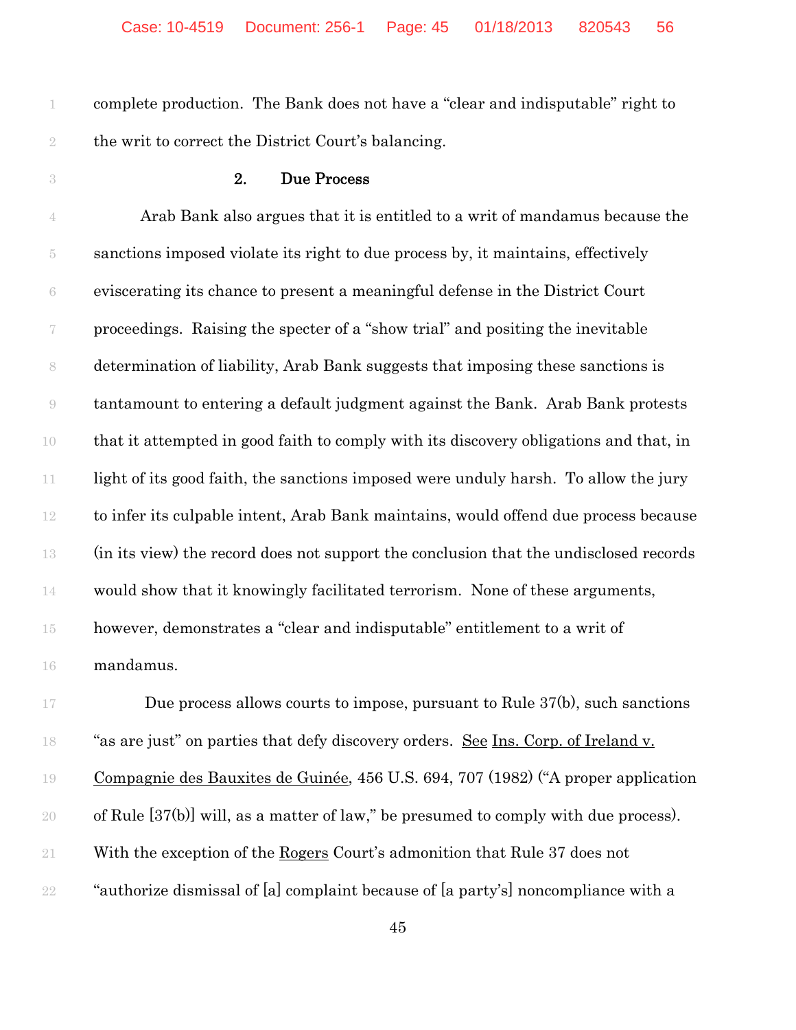complete production. The Bank does not have a "clear and indisputable" right to the writ to correct the District Court's balancing.

#### 2. Due Process

 Arab Bank also argues that it is entitled to a writ of mandamus because the sanctions imposed violate its right to due process by, it maintains, effectively eviscerating its chance to present a meaningful defense in the District Court proceedings. Raising the specter of a "show trial" and positing the inevitable determination of liability, Arab Bank suggests that imposing these sanctions is tantamount to entering a default judgment against the Bank. Arab Bank protests that it attempted in good faith to comply with its discovery obligations and that, in 11 light of its good faith, the sanctions imposed were unduly harsh. To allow the jury to infer its culpable intent, Arab Bank maintains, would offend due process because (in its view) the record does not support the conclusion that the undisclosed records would show that it knowingly facilitated terrorism. None of these arguments, however, demonstrates a "clear and indisputable" entitlement to a writ of mandamus.

17 Due process allows courts to impose, pursuant to Rule 37(b), such sanctions "as are just" on parties that defy discovery orders. See Ins. Corp. of Ireland v. Compagnie des Bauxites de Guinée, 456 U.S. 694, 707 (1982) ("A proper application of Rule [37(b)] will, as a matter of law," be presumed to comply with due process). With the exception of the Rogers Court's admonition that Rule 37 does not "authorize dismissal of [a] complaint because of [a party's] noncompliance with a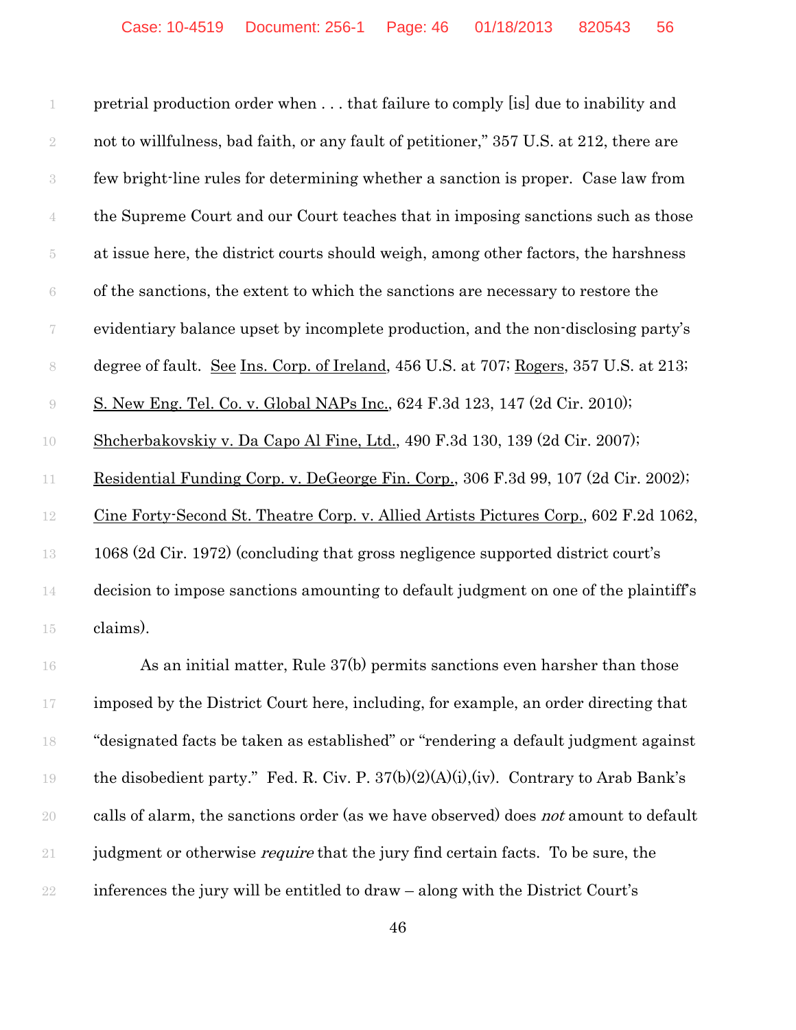|                          | pretrial production order when  that failure to comply [is] due to inability and       |
|--------------------------|----------------------------------------------------------------------------------------|
| $\overline{2}$           | not to willfulness, bad faith, or any fault of petitioner," 357 U.S. at 212, there are |
| $\sqrt{3}$               | few bright-line rules for determining whether a sanction is proper. Case law from      |
| $\overline{4}$           | the Supreme Court and our Court teaches that in imposing sanctions such as those       |
| 5                        | at issue here, the district courts should weigh, among other factors, the harshness    |
| $\rm 6$                  | of the sanctions, the extent to which the sanctions are necessary to restore the       |
| $\overline{\mathcal{C}}$ | evidentiary balance upset by incomplete production, and the non-disclosing party's     |
| $\,8\,$                  | degree of fault. See Ins. Corp. of Ireland, 456 U.S. at 707; Rogers, 357 U.S. at 213;  |
| $\Theta$                 | <u>S. New Eng. Tel. Co. v. Global NAPs Inc.</u> , 624 F.3d 123, 147 (2d Cir. 2010);    |
| 10                       | Shcherbakovskiy v. Da Capo Al Fine, Ltd., 490 F.3d 130, 139 (2d Cir. 2007);            |
| 11                       | Residential Funding Corp. v. DeGeorge Fin. Corp., 306 F.3d 99, 107 (2d Cir. 2002);     |
| 12                       | Cine Forty-Second St. Theatre Corp. v. Allied Artists Pictures Corp., 602 F.2d 1062,   |
| 13                       | 1068 (2d Cir. 1972) (concluding that gross negligence supported district court's       |
| 14                       | decision to impose sanctions amounting to default judgment on one of the plaintiff's   |
| 15                       | claims).                                                                               |
|                          |                                                                                        |

 As an initial matter, Rule 37(b) permits sanctions even harsher than those 17 imposed by the District Court here, including, for example, an order directing that "designated facts be taken as established" or "rendering a default judgment against the disobedient party." Fed. R. Civ. P. 37(b)(2)(A)(i),(iv). Contrary to Arab Bank's 20 calls of alarm, the sanctions order (as we have observed) does *not* amount to default 21 judgment or otherwise *require* that the jury find certain facts. To be sure, the inferences the jury will be entitled to draw – along with the District Court's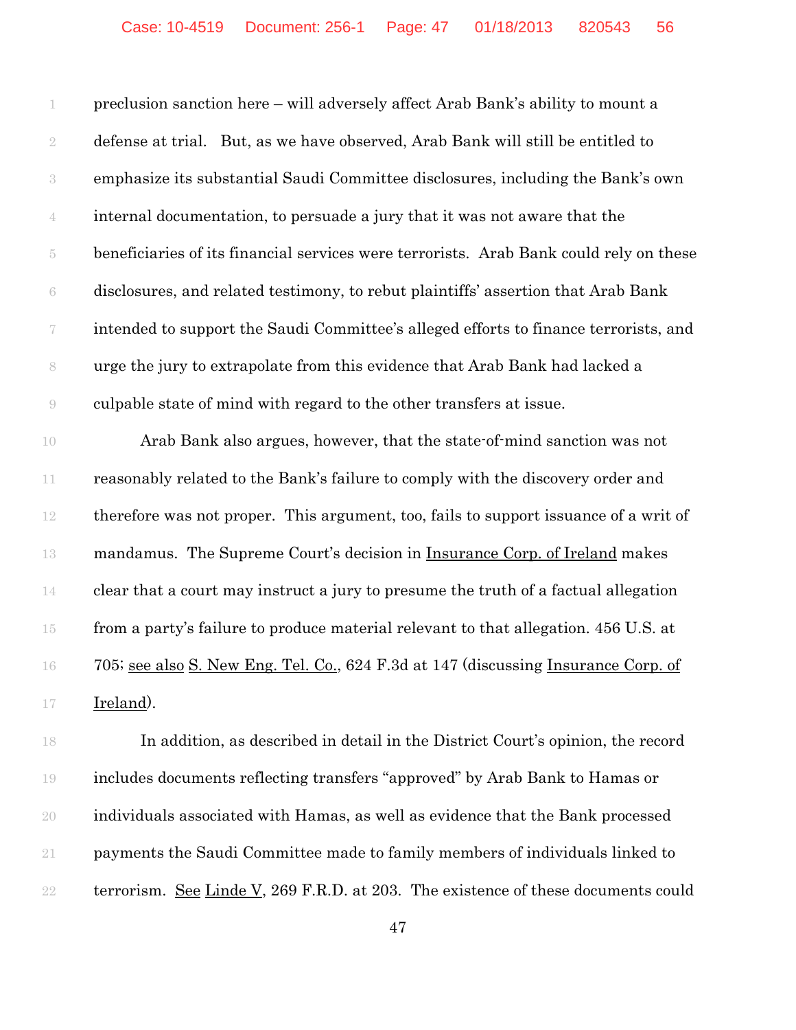preclusion sanction here – will adversely affect Arab Bank's ability to mount a defense at trial. But, as we have observed, Arab Bank will still be entitled to emphasize its substantial Saudi Committee disclosures, including the Bank's own internal documentation, to persuade a jury that it was not aware that the beneficiaries of its financial services were terrorists. Arab Bank could rely on these disclosures, and related testimony, to rebut plaintiffs' assertion that Arab Bank intended to support the Saudi Committee's alleged efforts to finance terrorists, and urge the jury to extrapolate from this evidence that Arab Bank had lacked a culpable state of mind with regard to the other transfers at issue.

 Arab Bank also argues, however, that the state-of-mind sanction was not reasonably related to the Bank's failure to comply with the discovery order and therefore was not proper. This argument, too, fails to support issuance of a writ of mandamus. The Supreme Court's decision in Insurance Corp. of Ireland makes clear that a court may instruct a jury to presume the truth of a factual allegation from a party's failure to produce material relevant to that allegation. 456 U.S. at 705; see also S. New Eng. Tel. Co., 624 F.3d at 147 (discussing Insurance Corp. of Ireland).

 In addition, as described in detail in the District Court's opinion, the record includes documents reflecting transfers "approved" by Arab Bank to Hamas or individuals associated with Hamas, as well as evidence that the Bank processed payments the Saudi Committee made to family members of individuals linked to 22 terrorism. See Linde V, 269 F.R.D. at 203. The existence of these documents could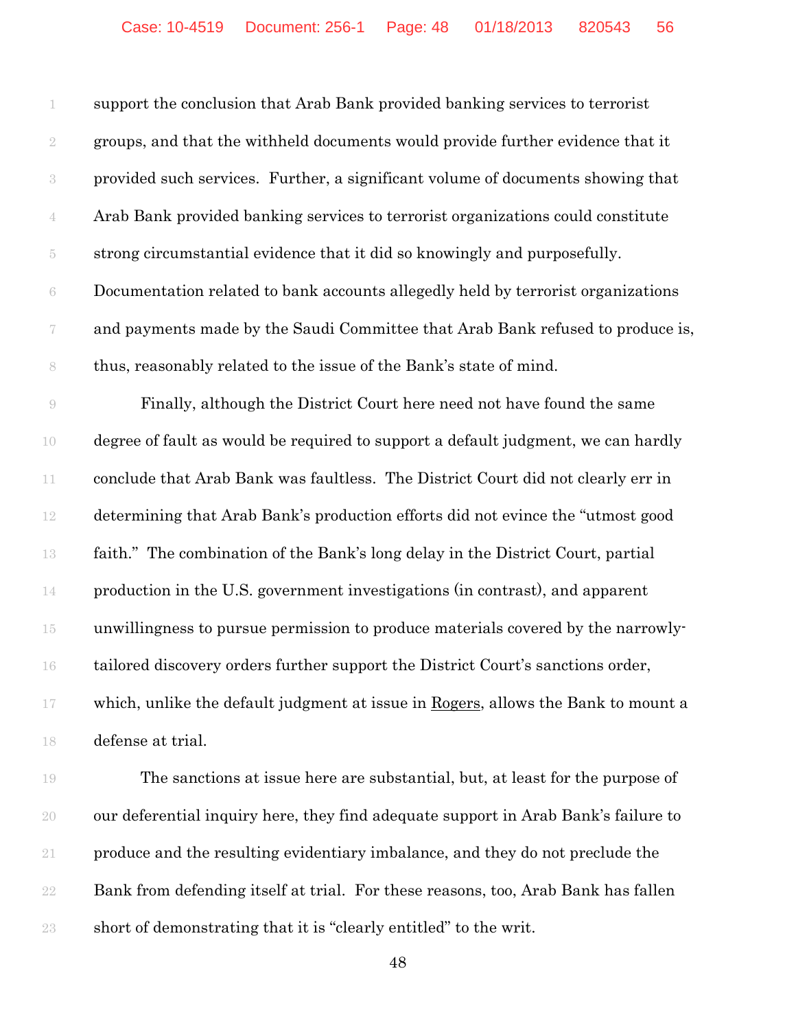| 1                        | support the conclusion that Arab Bank provided banking services to terrorist      |
|--------------------------|-----------------------------------------------------------------------------------|
| $\overline{2}$           | groups, and that the withheld documents would provide further evidence that it    |
| 3                        | provided such services. Further, a significant volume of documents showing that   |
| $\overline{4}$           | Arab Bank provided banking services to terrorist organizations could constitute   |
| 5                        | strong circumstantial evidence that it did so knowingly and purposefully.         |
| 6                        | Documentation related to bank accounts allegedly held by terrorist organizations  |
| $\overline{\mathcal{C}}$ | and payments made by the Saudi Committee that Arab Bank refused to produce is,    |
| 8                        | thus, reasonably related to the issue of the Bank's state of mind.                |
| 9                        | Finally, although the District Court here need not have found the same            |
| 10                       | degree of fault as would be required to support a default judgment, we can hardly |
| 11                       | conclude that Arab Bank was faultless. The District Court did not clearly err in  |
| 12                       | determining that Arab Bank's production efforts did not evince the "utmost good   |
| 13                       | faith." The combination of the Bank's long delay in the District Court, partial   |
| 14                       | production in the U.S. government investigations (in contrast), and apparent      |
| $15\,$                   | unwillingness to pursue permission to produce materials covered by the narrowly-  |
| 16                       | tailored discovery orders further support the District Court's sanctions order,   |
| $17\,$                   | which, unlike the default judgment at issue in Rogers, allows the Bank to mount a |
| 18                       | defense at trial.                                                                 |
|                          |                                                                                   |

 The sanctions at issue here are substantial, but, at least for the purpose of our deferential inquiry here, they find adequate support in Arab Bank's failure to produce and the resulting evidentiary imbalance, and they do not preclude the Bank from defending itself at trial. For these reasons, too, Arab Bank has fallen short of demonstrating that it is "clearly entitled" to the writ.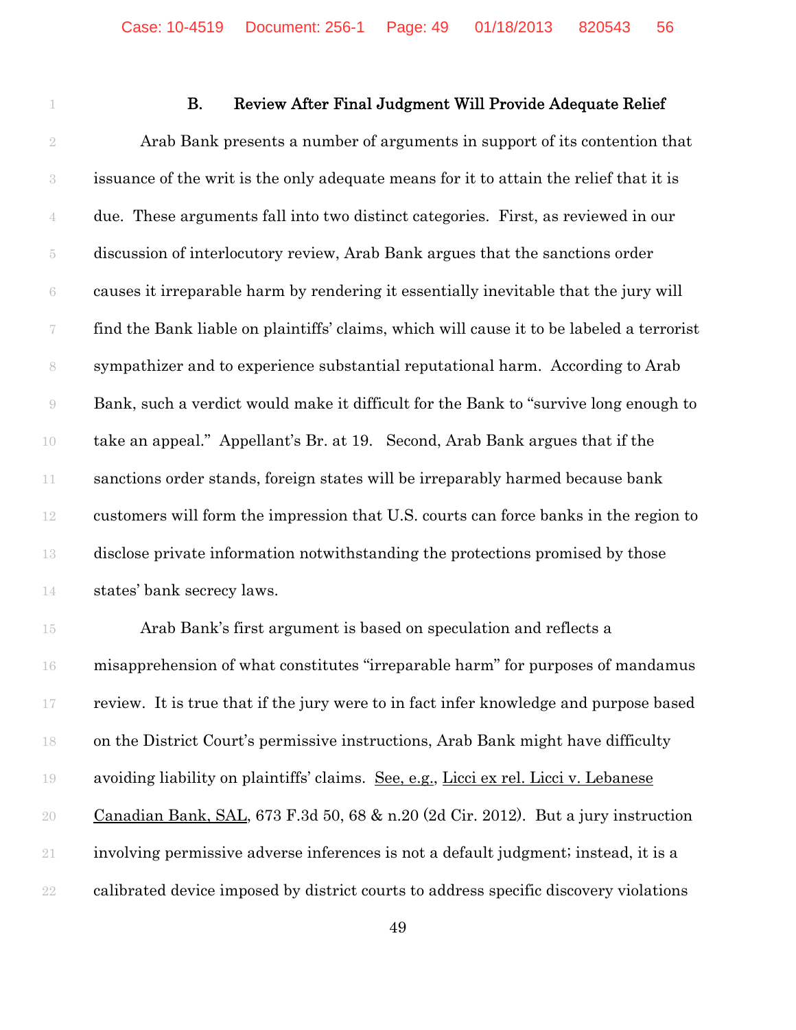## **B.** Review After Final Judgment Will Provide Adequate Relief

 Arab Bank presents a number of arguments in support of its contention that issuance of the writ is the only adequate means for it to attain the relief that it is due. These arguments fall into two distinct categories. First, as reviewed in our discussion of interlocutory review, Arab Bank argues that the sanctions order causes it irreparable harm by rendering it essentially inevitable that the jury will find the Bank liable on plaintiffs' claims, which will cause it to be labeled a terrorist sympathizer and to experience substantial reputational harm. According to Arab Bank, such a verdict would make it difficult for the Bank to "survive long enough to take an appeal." Appellant's Br. at 19. Second, Arab Bank argues that if the sanctions order stands, foreign states will be irreparably harmed because bank customers will form the impression that U.S. courts can force banks in the region to disclose private information notwithstanding the protections promised by those states' bank secrecy laws.

 Arab Bank's first argument is based on speculation and reflects a misapprehension of what constitutes "irreparable harm" for purposes of mandamus review. It is true that if the jury were to in fact infer knowledge and purpose based on the District Court's permissive instructions, Arab Bank might have difficulty avoiding liability on plaintiffs' claims. See, e.g., Licci ex rel. Licci v. Lebanese Canadian Bank, SAL, 673 F.3d 50, 68 & n.20 (2d Cir. 2012). But a jury instruction involving permissive adverse inferences is not a default judgment; instead, it is a calibrated device imposed by district courts to address specific discovery violations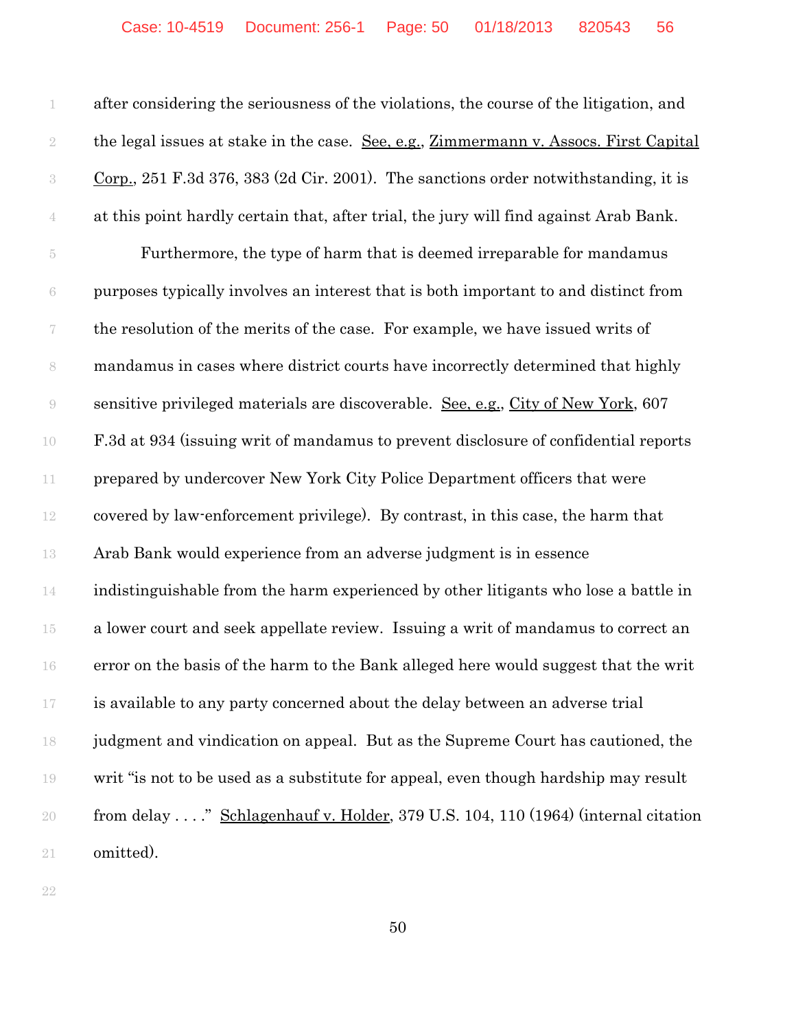after considering the seriousness of the violations, the course of the litigation, and 2 the legal issues at stake in the case. <u>See, e.g., Zimmermann v. Assocs. First Capital</u> Corp., 251 F.3d 376, 383 (2d Cir. 2001). The sanctions order notwithstanding, it is at this point hardly certain that, after trial, the jury will find against Arab Bank. Furthermore, the type of harm that is deemed irreparable for mandamus purposes typically involves an interest that is both important to and distinct from the resolution of the merits of the case. For example, we have issued writs of mandamus in cases where district courts have incorrectly determined that highly sensitive privileged materials are discoverable. See, e.g., City of New York, 607 F.3d at 934 (issuing writ of mandamus to prevent disclosure of confidential reports prepared by undercover New York City Police Department officers that were covered by law-enforcement privilege). By contrast, in this case, the harm that Arab Bank would experience from an adverse judgment is in essence indistinguishable from the harm experienced by other litigants who lose a battle in a lower court and seek appellate review. Issuing a writ of mandamus to correct an error on the basis of the harm to the Bank alleged here would suggest that the writ is available to any party concerned about the delay between an adverse trial judgment and vindication on appeal. But as the Supreme Court has cautioned, the writ "is not to be used as a substitute for appeal, even though hardship may result from delay . . . ." Schlagenhauf v. Holder, 379 U.S. 104, 110 (1964) (internal citation omitted).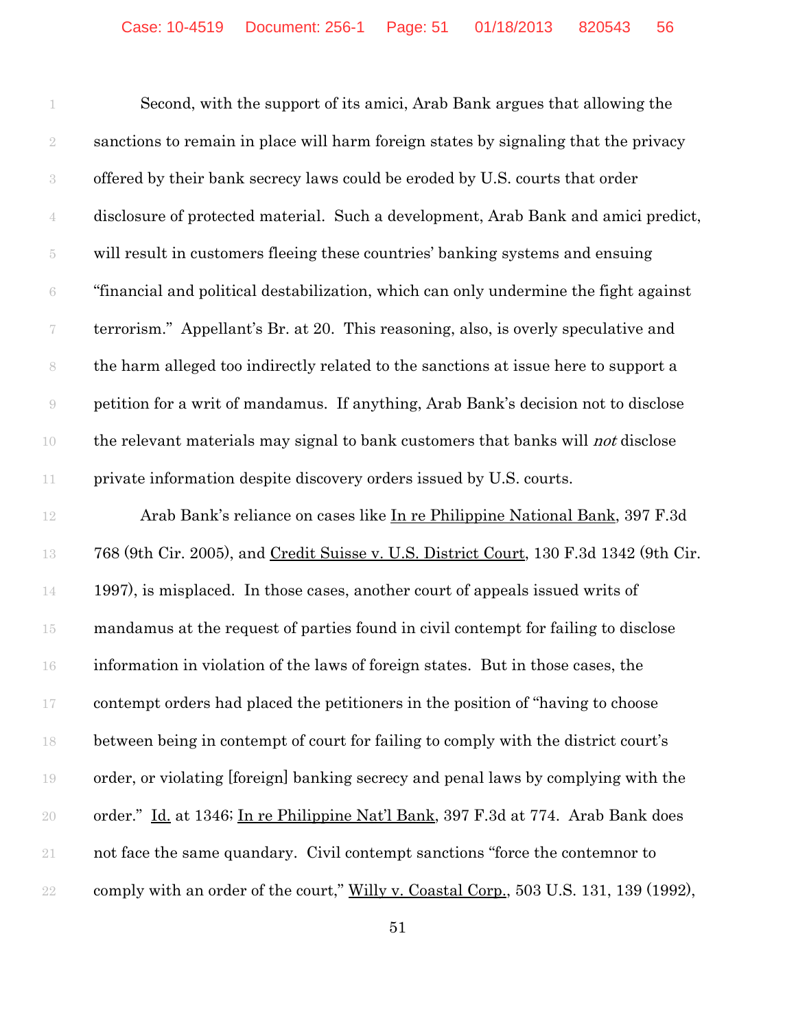Second, with the support of its amici, Arab Bank argues that allowing the sanctions to remain in place will harm foreign states by signaling that the privacy offered by their bank secrecy laws could be eroded by U.S. courts that order disclosure of protected material. Such a development, Arab Bank and amici predict, will result in customers fleeing these countries' banking systems and ensuing "financial and political destabilization, which can only undermine the fight against terrorism." Appellant's Br. at 20. This reasoning, also, is overly speculative and the harm alleged too indirectly related to the sanctions at issue here to support a petition for a writ of mandamus. If anything, Arab Bank's decision not to disclose 10 the relevant materials may signal to bank customers that banks will *not* disclose private information despite discovery orders issued by U.S. courts.

 Arab Bank's reliance on cases like In re Philippine National Bank, 397 F.3d 768 (9th Cir. 2005), and Credit Suisse v. U.S. District Court, 130 F.3d 1342 (9th Cir. 1997), is misplaced. In those cases, another court of appeals issued writs of mandamus at the request of parties found in civil contempt for failing to disclose information in violation of the laws of foreign states. But in those cases, the contempt orders had placed the petitioners in the position of "having to choose between being in contempt of court for failing to comply with the district court's order, or violating [foreign] banking secrecy and penal laws by complying with the order." Id. at 1346; In re Philippine Nat'l Bank, 397 F.3d at 774. Arab Bank does not face the same quandary. Civil contempt sanctions "force the contemnor to 22 comply with an order of the court," Willy v. Coastal Corp., 503 U.S. 131, 139 (1992),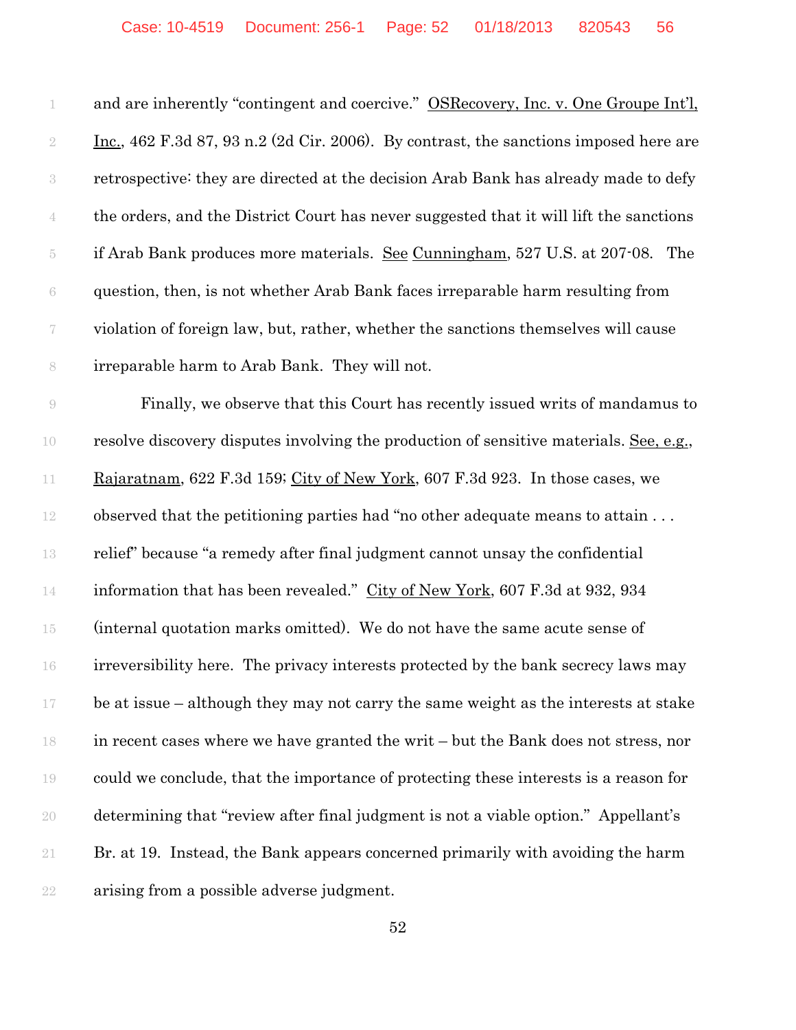| 1                        | and are inherently "contingent and coercive." OSRecovery, Inc. v. One Groupe Int'l,           |
|--------------------------|-----------------------------------------------------------------------------------------------|
| $\sqrt{2}$               | <u>Inc.</u> , 462 F.3d 87, 93 n.2 (2d Cir. 2006). By contrast, the sanctions imposed here are |
| $\sqrt{3}$               | retrospective: they are directed at the decision Arab Bank has already made to defy           |
| 4                        | the orders, and the District Court has never suggested that it will lift the sanctions        |
| $\overline{5}$           | if Arab Bank produces more materials. See Cunningham, 527 U.S. at 207-08. The                 |
| 6                        | question, then, is not whether Arab Bank faces irreparable harm resulting from                |
| $\overline{\mathcal{C}}$ | violation of foreign law, but, rather, whether the sanctions themselves will cause            |
| 8                        | irreparable harm to Arab Bank. They will not.                                                 |
| $\Theta$                 | Finally, we observe that this Court has recently issued writs of mandamus to                  |
| 10                       | resolve discovery disputes involving the production of sensitive materials. See, e.g.,        |
| 11                       | Rajaratnam, 622 F.3d 159; City of New York, 607 F.3d 923. In those cases, we                  |
| 12                       | observed that the petitioning parties had "no other adequate means to attain                  |
| 13                       | relief" because "a remedy after final judgment cannot unsay the confidential                  |
| 14                       | information that has been revealed." City of New York, 607 F.3d at 932, 934                   |
| $15\,$                   | (internal quotation marks omitted). We do not have the same acute sense of                    |
| 16                       | irreversibility here. The privacy interests protected by the bank secrecy laws may            |
| 17                       | be at issue - although they may not carry the same weight as the interests at stake           |
| 18                       | in recent cases where we have granted the writ – but the Bank does not stress, nor            |
| 19                       | could we conclude, that the importance of protecting these interests is a reason for          |
| 20                       | determining that "review after final judgment is not a viable option." Appellant's            |
| 21                       | Br. at 19. Instead, the Bank appears concerned primarily with avoiding the harm               |
| 22                       | arising from a possible adverse judgment.                                                     |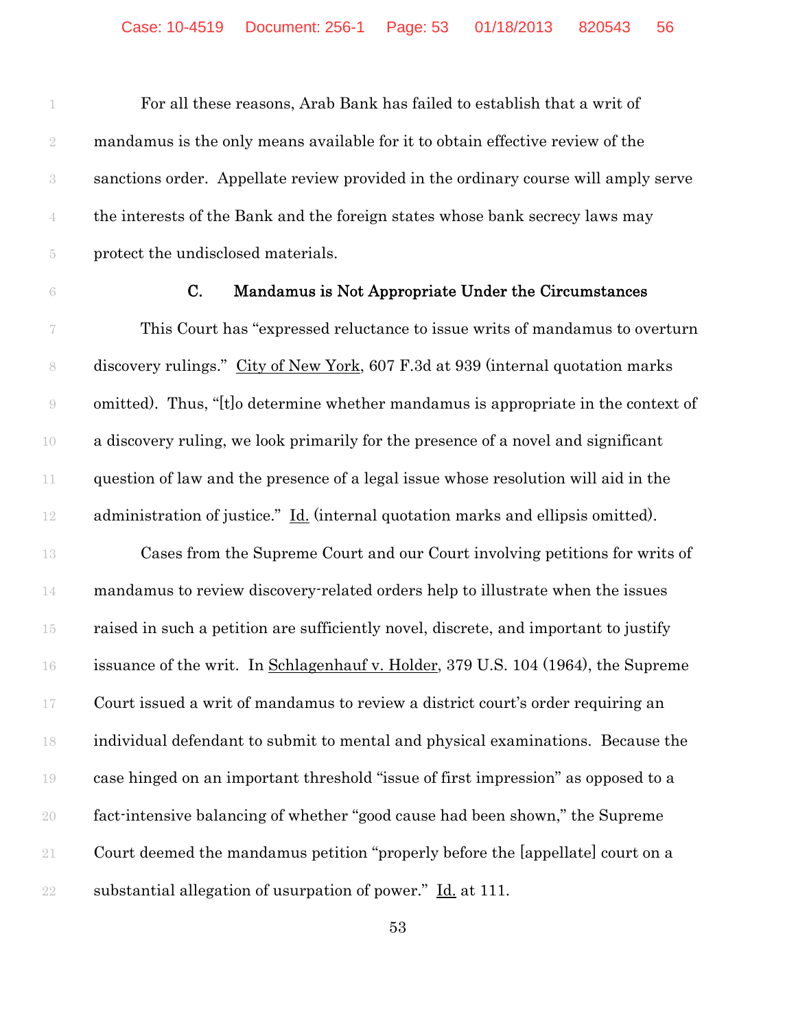For all these reasons, Arab Bank has failed to establish that a writ of mandamus is the only means available for it to obtain effective review of the sanctions order. Appellate review provided in the ordinary course will amply serve the interests of the Bank and the foreign states whose bank secrecy laws may protect the undisclosed materials.

## C. Mandamus is Not Appropriate Under the Circumstances

 This Court has "expressed reluctance to issue writs of mandamus to overturn discovery rulings." City of New York, 607 F.3d at 939 (internal quotation marks omitted). Thus, "[t]o determine whether mandamus is appropriate in the context of a discovery ruling, we look primarily for the presence of a novel and significant question of law and the presence of a legal issue whose resolution will aid in the administration of justice." Id. (internal quotation marks and ellipsis omitted).

 Cases from the Supreme Court and our Court involving petitions for writs of mandamus to review discovery-related orders help to illustrate when the issues raised in such a petition are sufficiently novel, discrete, and important to justify issuance of the writ. In Schlagenhauf v. Holder, 379 U.S. 104 (1964), the Supreme Court issued a writ of mandamus to review a district court's order requiring an individual defendant to submit to mental and physical examinations. Because the case hinged on an important threshold "issue of first impression" as opposed to a fact-intensive balancing of whether "good cause had been shown," the Supreme Court deemed the mandamus petition "properly before the [appellate] court on a 22 substantial allegation of usurpation of power."  $\underline{Id}$  at 111.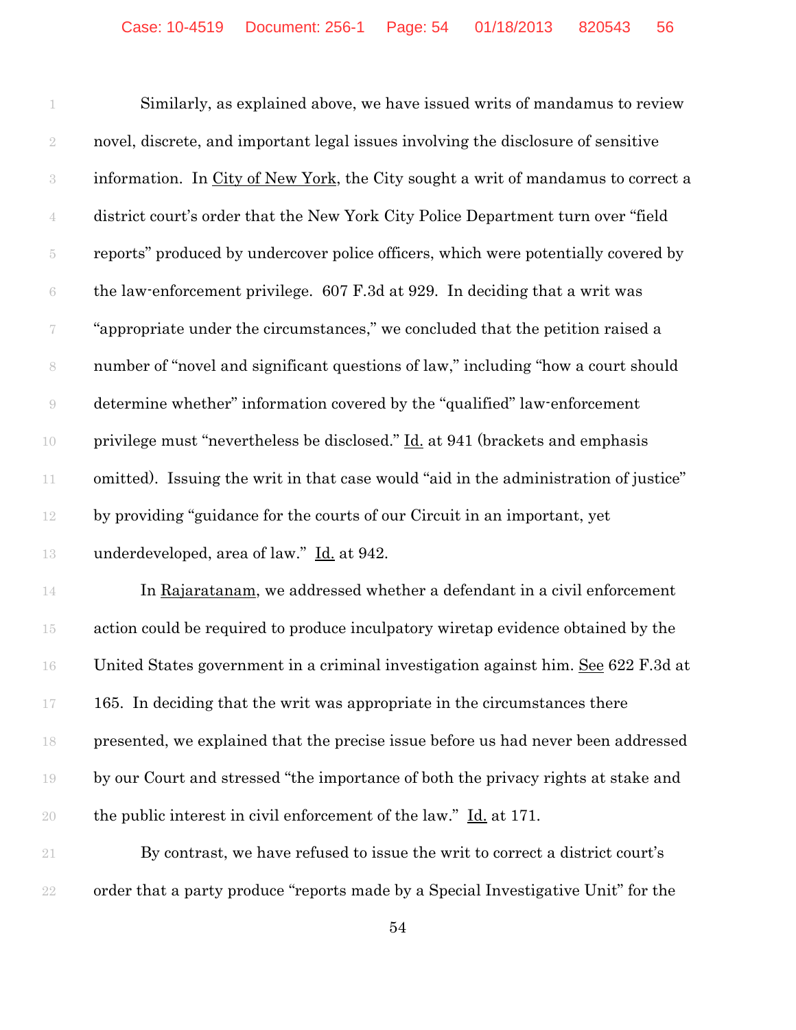Similarly, as explained above, we have issued writs of mandamus to review novel, discrete, and important legal issues involving the disclosure of sensitive information. In City of New York, the City sought a writ of mandamus to correct a district court's order that the New York City Police Department turn over "field reports" produced by undercover police officers, which were potentially covered by the law-enforcement privilege. 607 F.3d at 929. In deciding that a writ was "appropriate under the circumstances," we concluded that the petition raised a number of "novel and significant questions of law," including "how a court should determine whether" information covered by the "qualified" law-enforcement 10 privilege must "nevertheless be disclosed." <u>Id.</u> at 941 (brackets and emphasis omitted). Issuing the writ in that case would "aid in the administration of justice" by providing "guidance for the courts of our Circuit in an important, yet underdeveloped, area of law." Id. at 942. 14 In Rajaratanam, we addressed whether a defendant in a civil enforcement

 action could be required to produce inculpatory wiretap evidence obtained by the United States government in a criminal investigation against him. See 622 F.3d at 165. In deciding that the writ was appropriate in the circumstances there presented, we explained that the precise issue before us had never been addressed by our Court and stressed "the importance of both the privacy rights at stake and the public interest in civil enforcement of the law." Id. at 171.

 By contrast, we have refused to issue the writ to correct a district court's order that a party produce "reports made by a Special Investigative Unit" for the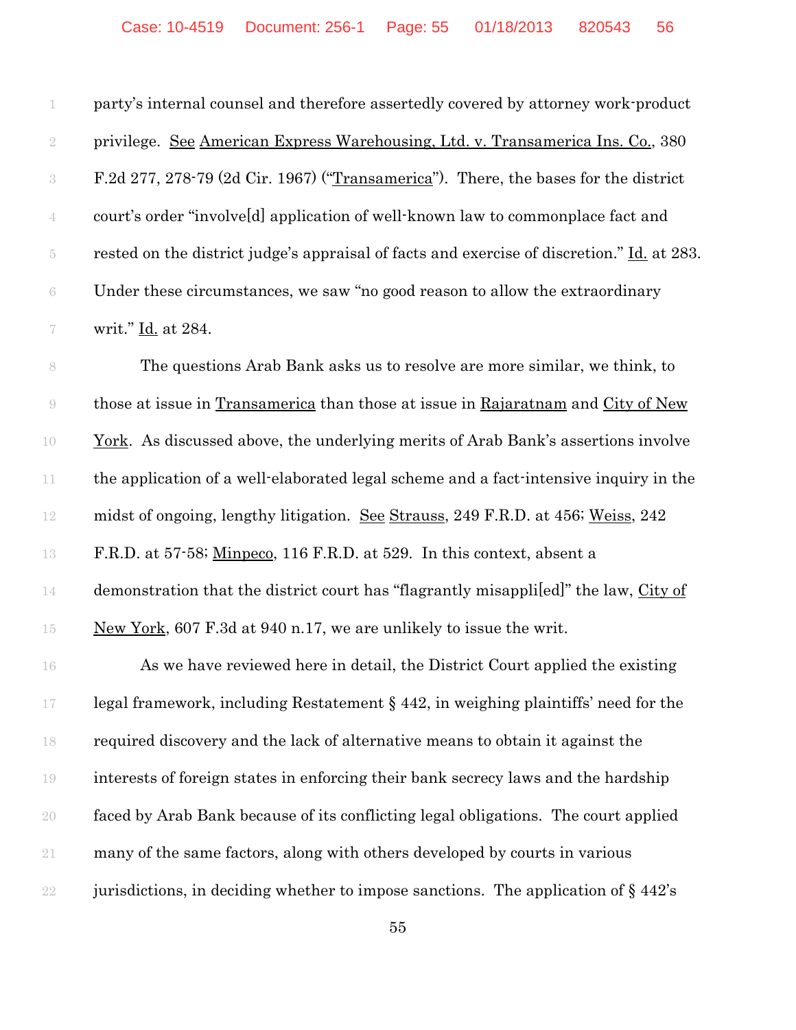| 1                | party's internal counsel and therefore assertedly covered by attorney work-product         |
|------------------|--------------------------------------------------------------------------------------------|
| $\sqrt{2}$       | privilege. See American Express Warehousing, Ltd. v. Transamerica Ins. Co., 380            |
| $\,3$            | F.2d 277, 278-79 (2d Cir. 1967) ("Transamerica"). There, the bases for the district        |
| $\overline{4}$   | court's order "involveld application of well-known law to commonplace fact and             |
| $\bar 5$         | rested on the district judge's appraisal of facts and exercise of discretion." Id. at 283. |
| $\rm 6$          | Under these circumstances, we saw "no good reason to allow the extraordinary               |
| $\boldsymbol{7}$ | writ." Id. at 284.                                                                         |
| $\,$ $\,$        | The questions Arab Bank asks us to resolve are more similar, we think, to                  |
| $\Theta$         | those at issue in Transamerica than those at issue in Rajaratnam and City of New           |
| 10               | <u>York</u> . As discussed above, the underlying merits of Arab Bank's assertions involve  |
| $11\,$           | the application of a well-elaborated legal scheme and a fact-intensive inquiry in the      |
| $12\,$           | midst of ongoing, lengthy litigation. See Strauss, 249 F.R.D. at 456; Weiss, 242           |
| 13               | F.R.D. at 57.58; Minpeco, 116 F.R.D. at 529. In this context, absent a                     |
| 14               | demonstration that the district court has "flagrantly misapplied" the law, City of         |
| $15\,$           | New York, 607 F.3d at 940 n.17, we are unlikely to issue the writ.                         |
| 16               | As we have reviewed here in detail, the District Court applied the existing                |
| 17               | legal framework, including Restatement § 442, in weighing plaintiffs' need for the         |
| 18               | required discovery and the lack of alternative means to obtain it against the              |
| 19               | interests of foreign states in enforcing their bank secrecy laws and the hardship          |
| $20\,$           | faced by Arab Bank because of its conflicting legal obligations. The court applied         |
| $21\,$           | many of the same factors, along with others developed by courts in various                 |
| $22\,$           | jurisdictions, in deciding whether to impose sanctions. The application of $\S 442$ 's     |
|                  |                                                                                            |